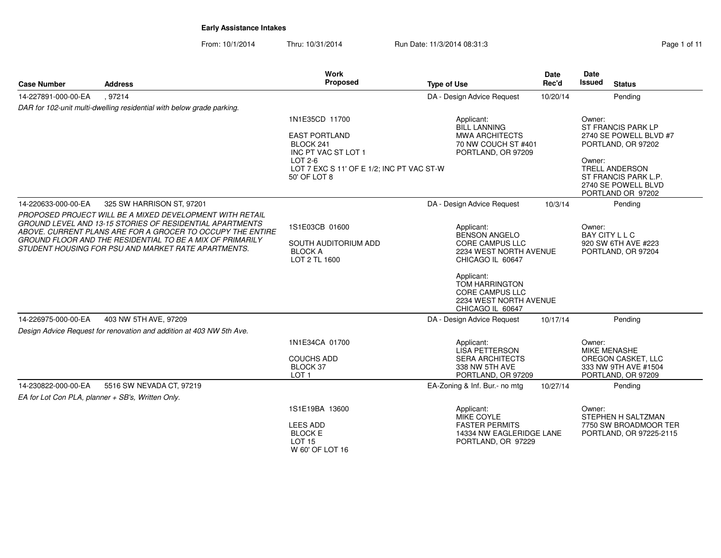|                     |                                                                                                                                                                                                                                                                                                                      | <b>Work</b>                                                                             |                                                                                                                                                                                                                           | <b>Date</b> | <b>Date</b>                                                                                         |
|---------------------|----------------------------------------------------------------------------------------------------------------------------------------------------------------------------------------------------------------------------------------------------------------------------------------------------------------------|-----------------------------------------------------------------------------------------|---------------------------------------------------------------------------------------------------------------------------------------------------------------------------------------------------------------------------|-------------|-----------------------------------------------------------------------------------------------------|
| <b>Case Number</b>  | <b>Address</b>                                                                                                                                                                                                                                                                                                       | <b>Proposed</b>                                                                         | <b>Type of Use</b>                                                                                                                                                                                                        | Rec'd       | <b>Issued</b><br><b>Status</b>                                                                      |
| 14-227891-000-00-EA | .97214                                                                                                                                                                                                                                                                                                               |                                                                                         | DA - Design Advice Request                                                                                                                                                                                                | 10/20/14    | Pending                                                                                             |
|                     | DAR for 102-unit multi-dwelling residential with below grade parking.                                                                                                                                                                                                                                                |                                                                                         |                                                                                                                                                                                                                           |             |                                                                                                     |
|                     |                                                                                                                                                                                                                                                                                                                      | 1N1E35CD 11700<br><b>EAST PORTLAND</b><br>BLOCK 241<br>INC PT VAC ST LOT 1              | Applicant:<br><b>BILL LANNING</b><br><b>MWA ARCHITECTS</b><br>70 NW COUCH ST #401<br>PORTLAND, OR 97209                                                                                                                   |             | Owner:<br>ST FRANCIS PARK LP<br>2740 SE POWELL BLVD #7<br>PORTLAND, OR 97202                        |
|                     |                                                                                                                                                                                                                                                                                                                      | LOT 2-6<br>LOT 7 EXC S 11' OF E 1/2; INC PT VAC ST-W<br>50' OF LOT 8                    |                                                                                                                                                                                                                           |             | Owner:<br><b>TRELL ANDERSON</b><br>ST FRANCIS PARK L.P.<br>2740 SE POWELL BLVD<br>PORTLAND OR 97202 |
| 14-220633-000-00-EA | 325 SW HARRISON ST, 97201                                                                                                                                                                                                                                                                                            |                                                                                         | DA - Design Advice Request                                                                                                                                                                                                | 10/3/14     | Pending                                                                                             |
|                     | PROPOSED PROJECT WILL BE A MIXED DEVELOPMENT WITH RETAIL<br><b>GROUND LEVEL AND 13-15 STORIES OF RESIDENTIAL APARTMENTS</b><br>ABOVE. CURRENT PLANS ARE FOR A GROCER TO OCCUPY THE ENTIRE<br><b>GROUND FLOOR AND THE RESIDENTIAL TO BE A MIX OF PRIMARILY</b><br>STUDENT HOUSING FOR PSU AND MARKET RATE APARTMENTS. | 1S1E03CB 01600<br>SOUTH AUDITORIUM ADD<br><b>BLOCK A</b><br>LOT 2 TL 1600               | Applicant:<br><b>BENSON ANGELO</b><br><b>CORE CAMPUS LLC</b><br>2234 WEST NORTH AVENUE<br>CHICAGO IL 60647<br>Applicant:<br><b>TOM HARRINGTON</b><br><b>CORE CAMPUS LLC</b><br>2234 WEST NORTH AVENUE<br>CHICAGO IL 60647 |             | Owner:<br><b>BAY CITY L L C</b><br>920 SW 6TH AVE #223<br>PORTLAND, OR 97204                        |
| 14-226975-000-00-EA | 403 NW 5TH AVE, 97209                                                                                                                                                                                                                                                                                                |                                                                                         | DA - Design Advice Request                                                                                                                                                                                                | 10/17/14    | Pending                                                                                             |
|                     | Design Advice Request for renovation and addition at 403 NW 5th Ave.                                                                                                                                                                                                                                                 |                                                                                         |                                                                                                                                                                                                                           |             |                                                                                                     |
|                     |                                                                                                                                                                                                                                                                                                                      | 1N1E34CA 01700<br><b>COUCHS ADD</b><br>BLOCK 37<br>LOT <sub>1</sub>                     | Applicant:<br><b>LISA PETTERSON</b><br><b>SERA ARCHITECTS</b><br>338 NW 5TH AVE<br>PORTLAND, OR 97209                                                                                                                     |             | Owner:<br>MIKE MENASHE<br>OREGON CASKET, LLC<br>333 NW 9TH AVE #1504<br>PORTLAND, OR 97209          |
| 14-230822-000-00-EA | 5516 SW NEVADA CT, 97219                                                                                                                                                                                                                                                                                             |                                                                                         | EA-Zoning & Inf. Bur.- no mtg                                                                                                                                                                                             | 10/27/14    | Pending                                                                                             |
|                     | EA for Lot Con PLA, planner + SB's, Written Only.                                                                                                                                                                                                                                                                    |                                                                                         |                                                                                                                                                                                                                           |             |                                                                                                     |
|                     |                                                                                                                                                                                                                                                                                                                      | 1S1E19BA 13600<br><b>LEES ADD</b><br><b>BLOCK E</b><br><b>LOT 15</b><br>W 60' OF LOT 16 | Applicant:<br>MIKE COYLE<br><b>FASTER PERMITS</b><br>14334 NW EAGLERIDGE LANE<br>PORTLAND, OR 97229                                                                                                                       |             | Owner:<br>STEPHEN H SALTZMAN<br>7750 SW BROADMOOR TER<br>PORTLAND, OR 97225-2115                    |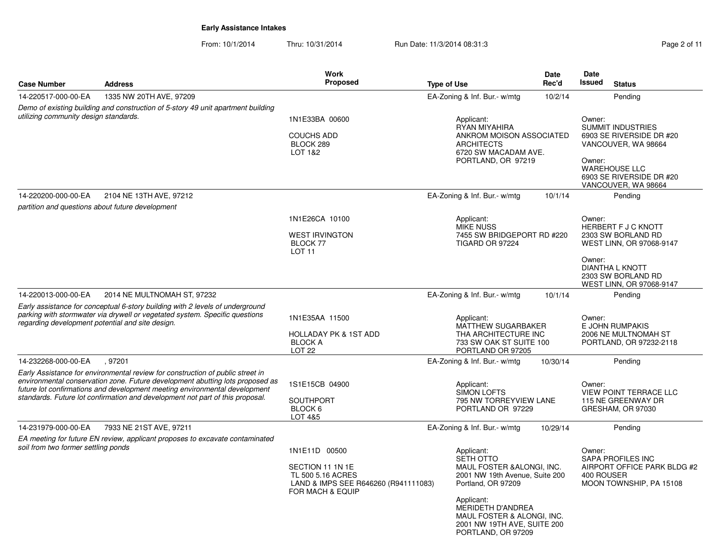| <b>Case Number</b>                                                                                                        | <b>Address</b>                                                                                                                                                                                                                                                                                                                           | <b>Work</b><br>Proposed                                                                                            | <b>Type of Use</b>                                                                                                                                                                                                                                                         | Date<br>Rec'd | <b>Date</b><br>Issued<br><b>Status</b>                                                                                                                                |
|---------------------------------------------------------------------------------------------------------------------------|------------------------------------------------------------------------------------------------------------------------------------------------------------------------------------------------------------------------------------------------------------------------------------------------------------------------------------------|--------------------------------------------------------------------------------------------------------------------|----------------------------------------------------------------------------------------------------------------------------------------------------------------------------------------------------------------------------------------------------------------------------|---------------|-----------------------------------------------------------------------------------------------------------------------------------------------------------------------|
| 14-220517-000-00-EA                                                                                                       | 1335 NW 20TH AVE, 97209                                                                                                                                                                                                                                                                                                                  |                                                                                                                    | EA-Zoning & Inf. Bur.- w/mtg                                                                                                                                                                                                                                               | 10/2/14       | Pending                                                                                                                                                               |
| Demo of existing building and construction of 5-story 49 unit apartment building<br>utilizing community design standards. |                                                                                                                                                                                                                                                                                                                                          | 1N1E33BA 00600<br><b>COUCHS ADD</b><br>BLOCK 289<br>LOT 1&2                                                        | Applicant:<br>RYAN MIYAHIRA<br>ANKROM MOISON ASSOCIATED<br><b>ARCHITECTS</b><br>6720 SW MACADAM AVE.<br>PORTLAND, OR 97219                                                                                                                                                 |               | Owner:<br><b>SUMMIT INDUSTRIES</b><br>6903 SE RIVERSIDE DR #20<br>VANCOUVER, WA 98664<br>Owner:<br><b>WAREHOUSE LLC</b><br>6903 SE RIVERSIDE DR #20                   |
| 14-220200-000-00-EA                                                                                                       | 2104 NE 13TH AVE, 97212                                                                                                                                                                                                                                                                                                                  |                                                                                                                    | EA-Zoning & Inf. Bur.- w/mtg                                                                                                                                                                                                                                               | 10/1/14       | VANCOUVER, WA 98664<br>Pending                                                                                                                                        |
| partition and questions about future development                                                                          |                                                                                                                                                                                                                                                                                                                                          | 1N1E26CA 10100<br><b>WEST IRVINGTON</b><br>BLOCK 77<br>LOT <sub>11</sub>                                           | Applicant:<br><b>MIKE NUSS</b><br>7455 SW BRIDGEPORT RD #220<br>TIGARD OR 97224                                                                                                                                                                                            |               | Owner:<br>HERBERT F J C KNOTT<br>2303 SW BORLAND RD<br>WEST LINN, OR 97068-9147<br>Owner:<br><b>DIANTHA L KNOTT</b><br>2303 SW BORLAND RD<br>WEST LINN, OR 97068-9147 |
| 14-220013-000-00-EA<br>regarding development potential and site design.                                                   | 2014 NE MULTNOMAH ST, 97232<br>Early assistance for conceptual 6-story building with 2 levels of underground<br>parking with stormwater via drywell or vegetated system. Specific questions                                                                                                                                              | 1N1E35AA 11500<br><b>HOLLADAY PK &amp; 1ST ADD</b><br><b>BLOCK A</b><br><b>LOT 22</b>                              | EA-Zoning & Inf. Bur.- w/mtg<br>Applicant:<br><b>MATTHEW SUGARBAKER</b><br>THA ARCHITECTURE INC<br>733 SW OAK ST SUITE 100<br>PORTLAND OR 97205                                                                                                                            | 10/1/14       | Pending<br>Owner:<br>E JOHN RUMPAKIS<br>2006 NE MULTNOMAH ST<br>PORTLAND, OR 97232-2118                                                                               |
| 14-232268-000-00-EA                                                                                                       | .97201<br>Early Assistance for environmental review for construction of public street in<br>environmental conservation zone. Future development abutting lots proposed as<br>future lot confirmations and development meeting environmental development<br>standards. Future lot confirmation and development not part of this proposal. | 1S1E15CB 04900<br><b>SOUTHPORT</b><br>BLOCK 6<br>LOT 4&5                                                           | EA-Zoning & Inf. Bur.- w/mtg<br>Applicant:<br><b>SIMON LOFTS</b><br>795 NW TORREYVIEW LANE<br>PORTLAND OR 97229                                                                                                                                                            | 10/30/14      | Pending<br>Owner:<br><b>VIEW POINT TERRACE LLC</b><br>115 NE GREENWAY DR<br>GRESHAM, OR 97030                                                                         |
| 14-231979-000-00-EA<br>soil from two former settling ponds                                                                | 7933 NE 21ST AVE, 97211<br>EA meeting for future EN review, applicant proposes to excavate contaminated                                                                                                                                                                                                                                  | 1N1E11D 00500<br>SECTION 11 1N 1E<br>TL 500 5.16 ACRES<br>LAND & IMPS SEE R646260 (R941111083)<br>FOR MACH & EQUIP | EA-Zoning & Inf. Bur.- w/mtg<br>Applicant:<br>SETH OTTO<br>MAUL FOSTER & ALONGI, INC.<br>2001 NW 19th Avenue, Suite 200<br>Portland, OR 97209<br>Applicant:<br><b>MERIDETH D'ANDREA</b><br>MAUL FOSTER & ALONGI, INC.<br>2001 NW 19TH AVE, SUITE 200<br>PORTLAND, OR 97209 | 10/29/14      | Pending<br>Owner:<br>SAPA PROFILES INC<br>AIRPORT OFFICE PARK BLDG #2<br>400 ROUSER<br>MOON TOWNSHIP, PA 15108                                                        |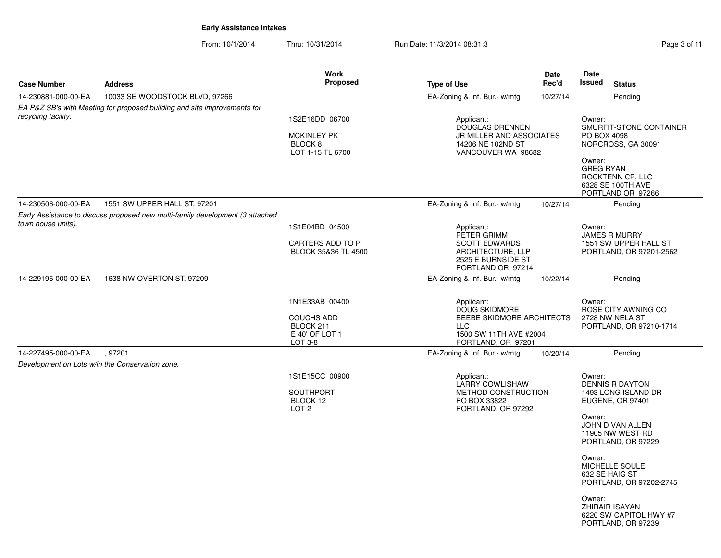| <b>Case Number</b>  | <b>Address</b>                                                                | <b>Work</b><br>Proposed                                                        | <b>Type of Use</b>                                                                                                            | Date<br>Rec'd                                                   | Date<br><b>Issued</b>      | <b>Status</b>                                                     |
|---------------------|-------------------------------------------------------------------------------|--------------------------------------------------------------------------------|-------------------------------------------------------------------------------------------------------------------------------|-----------------------------------------------------------------|----------------------------|-------------------------------------------------------------------|
| 14-230881-000-00-EA | 10033 SE WOODSTOCK BLVD, 97266                                                |                                                                                | EA-Zoning & Inf. Bur.- w/mtg                                                                                                  | 10/27/14                                                        |                            | Pending                                                           |
|                     | EA P&Z SB's with Meeting for proposed building and site improvements for      |                                                                                |                                                                                                                               |                                                                 |                            |                                                                   |
| recycling facility. |                                                                               | 1S2E16DD 06700<br><b>MCKINLEY PK</b><br>BLOCK <sub>8</sub><br>LOT 1-15 TL 6700 | Applicant:<br><b>DOUGLAS DRENNEN</b><br>14206 NE 102ND ST                                                                     | Owner:<br><b>JR MILLER AND ASSOCIATES</b><br>VANCOUVER WA 98682 |                            | SMURFIT-STONE CONTAINER<br>PO BOX 4098<br>NORCROSS, GA 30091      |
|                     |                                                                               |                                                                                |                                                                                                                               |                                                                 | Owner:<br><b>GREG RYAN</b> | ROCKTENN CP, LLC<br>6328 SE 100TH AVE<br>PORTLAND OR 97266        |
| 14-230506-000-00-EA | 1551 SW UPPER HALL ST, 97201                                                  |                                                                                | EA-Zoning & Inf. Bur.- w/mtg                                                                                                  | 10/27/14                                                        |                            | Pending                                                           |
|                     | Early Assistance to discuss proposed new multi-family development (3 attached |                                                                                |                                                                                                                               |                                                                 |                            |                                                                   |
| town house units).  |                                                                               | 1S1E04BD 04500                                                                 | Applicant:<br>PETER GRIMM                                                                                                     |                                                                 | Owner:                     | <b>JAMES R MURRY</b>                                              |
|                     |                                                                               | CARTERS ADD TO P<br>BLOCK 35&36 TL 4500                                        | <b>SCOTT EDWARDS</b><br>ARCHITECTURE, LLP<br>2525 E BURNSIDE ST<br>PORTLAND OR 97214                                          |                                                                 |                            | 1551 SW UPPER HALL ST<br>PORTLAND, OR 97201-2562                  |
| 14-229196-000-00-EA | 1638 NW OVERTON ST, 97209                                                     |                                                                                | EA-Zoning & Inf. Bur.- w/mtg                                                                                                  | 10/22/14                                                        |                            | Pending                                                           |
|                     |                                                                               | 1N1E33AB 00400<br><b>COUCHS ADD</b><br>BLOCK 211<br>E 40' OF LOT 1<br>LOT 3-8  | Applicant:<br><b>DOUG SKIDMORE</b><br>BEEBE SKIDMORE ARCHITECTS<br><b>LLC</b><br>1500 SW 11TH AVE #2004<br>PORTLAND, OR 97201 |                                                                 | Owner:                     | ROSE CITY AWNING CO<br>2728 NW NELA ST<br>PORTLAND, OR 97210-1714 |
| 14-227495-000-00-EA | .97201                                                                        |                                                                                | EA-Zoning & Inf. Bur.- w/mtg                                                                                                  | 10/20/14                                                        |                            | Pending                                                           |
|                     | Development on Lots w/in the Conservation zone.                               |                                                                                |                                                                                                                               |                                                                 |                            |                                                                   |
|                     |                                                                               | 1S1E15CC 00900<br><b>SOUTHPORT</b><br>BLOCK 12<br>LOT <sub>2</sub>             | Applicant:<br><b>LARRY COWLISHAW</b><br>METHOD CONSTRUCTION<br>PO BOX 33822<br>PORTLAND, OR 97292                             |                                                                 | Owner:                     | <b>DENNIS R DAYTON</b><br>1493 LONG ISLAND DR<br>EUGENE, OR 97401 |
|                     |                                                                               |                                                                                |                                                                                                                               |                                                                 | Owner:                     | JOHN D VAN ALLEN<br>11905 NW WEST RD<br>PORTLAND, OR 97229        |
|                     |                                                                               |                                                                                |                                                                                                                               |                                                                 | Owner:<br>632 SE HAIG ST   | MICHELLE SOULE<br>PORTLAND, OR 97202-2745                         |
|                     |                                                                               |                                                                                |                                                                                                                               |                                                                 | Owner:                     | ZHIRAIR ISAYAN<br>6220 SW CAPITOL HWY #7<br>PORTLAND, OR 97239    |
|                     |                                                                               |                                                                                |                                                                                                                               |                                                                 |                            |                                                                   |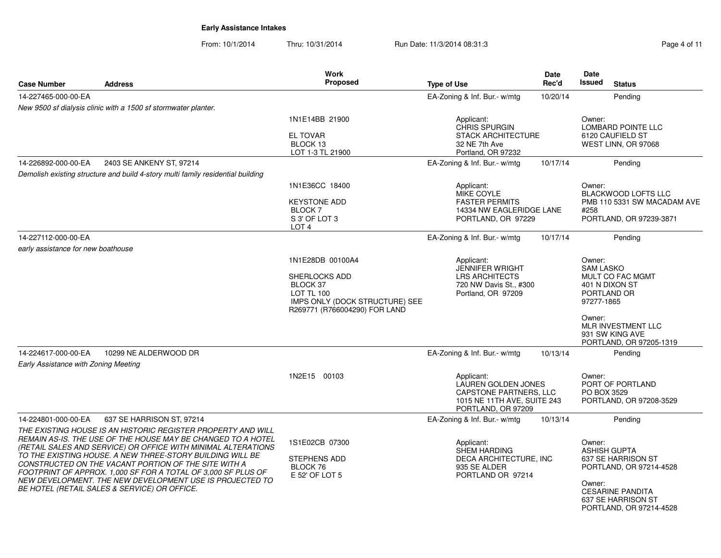From: 10/1/2014Thru: 10/31/2014 Run Date: 11/3/2014 08:31:3<br>
Page 4 of 11

|                                      |                                                                                                                                                                                                                                                                                                                                                                                                                                                                                                            | Work                                                                                                                                         |                                                                                                                  | Date     | Date                                                                                |                                                                                                                           |
|--------------------------------------|------------------------------------------------------------------------------------------------------------------------------------------------------------------------------------------------------------------------------------------------------------------------------------------------------------------------------------------------------------------------------------------------------------------------------------------------------------------------------------------------------------|----------------------------------------------------------------------------------------------------------------------------------------------|------------------------------------------------------------------------------------------------------------------|----------|-------------------------------------------------------------------------------------|---------------------------------------------------------------------------------------------------------------------------|
| <b>Case Number</b>                   | <b>Address</b>                                                                                                                                                                                                                                                                                                                                                                                                                                                                                             | <b>Proposed</b>                                                                                                                              | <b>Type of Use</b>                                                                                               | Rec'd    | <b>Issued</b>                                                                       | <b>Status</b>                                                                                                             |
| 14-227465-000-00-EA                  |                                                                                                                                                                                                                                                                                                                                                                                                                                                                                                            |                                                                                                                                              | EA-Zoning & Inf. Bur.- w/mtg                                                                                     | 10/20/14 |                                                                                     | Pending                                                                                                                   |
|                                      | New 9500 sf dialysis clinic with a 1500 sf stormwater planter.                                                                                                                                                                                                                                                                                                                                                                                                                                             |                                                                                                                                              |                                                                                                                  |          |                                                                                     |                                                                                                                           |
|                                      |                                                                                                                                                                                                                                                                                                                                                                                                                                                                                                            | 1N1E14BB 21900<br><b>EL TOVAR</b><br>BLOCK 13<br>LOT 1-3 TL 21900                                                                            | Applicant:<br><b>CHRIS SPURGIN</b><br><b>STACK ARCHITECTURE</b><br>32 NE 7th Ave<br>Portland, OR 97232           |          | Owner:                                                                              | <b>LOMBARD POINTE LLC</b><br>6120 CAUFIELD ST<br>WEST LINN, OR 97068                                                      |
| 14-226892-000-00-EA                  | 2403 SE ANKENY ST, 97214                                                                                                                                                                                                                                                                                                                                                                                                                                                                                   |                                                                                                                                              | EA-Zoning & Inf. Bur.- w/mtg                                                                                     | 10/17/14 |                                                                                     | Pending                                                                                                                   |
|                                      | Demolish existing structure and build 4-story multi family residential building                                                                                                                                                                                                                                                                                                                                                                                                                            |                                                                                                                                              |                                                                                                                  |          |                                                                                     |                                                                                                                           |
|                                      |                                                                                                                                                                                                                                                                                                                                                                                                                                                                                                            | 1N1E36CC 18400<br><b>KEYSTONE ADD</b><br>BLOCK 7<br>S 3' OF LOT 3<br>LOT <sub>4</sub>                                                        | Applicant:<br>MIKE COYLE<br><b>FASTER PERMITS</b><br>14334 NW EAGLERIDGE LANE<br>PORTLAND, OR 97229              |          | Owner:<br>#258                                                                      | <b>BLACKWOOD LOFTS LLC</b><br>PMB 110 5331 SW MACADAM AVE<br>PORTLAND, OR 97239-3871                                      |
| 14-227112-000-00-EA                  |                                                                                                                                                                                                                                                                                                                                                                                                                                                                                                            |                                                                                                                                              | EA-Zoning & Inf. Bur.- w/mtg                                                                                     | 10/17/14 |                                                                                     | Pending                                                                                                                   |
| early assistance for new boathouse   |                                                                                                                                                                                                                                                                                                                                                                                                                                                                                                            |                                                                                                                                              |                                                                                                                  |          |                                                                                     |                                                                                                                           |
|                                      |                                                                                                                                                                                                                                                                                                                                                                                                                                                                                                            | 1N1E28DB 00100A4<br><b>SHERLOCKS ADD</b><br>BLOCK 37<br><b>LOT TL 100</b><br>IMPS ONLY (DOCK STRUCTURE) SEE<br>R269771 (R766004290) FOR LAND | Applicant:<br><b>JENNIFER WRIGHT</b><br><b>LRS ARCHITECTS</b><br>720 NW Davis St., #300<br>Portland, OR 97209    |          | Owner:<br><b>SAM LASKO</b><br>401 N DIXON ST<br>PORTLAND OR<br>97277-1865<br>Owner: | MULT CO FAC MGMT<br>MLR INVESTMENT LLC<br>931 SW KING AVE<br>PORTLAND, OR 97205-1319                                      |
| 14-224617-000-00-EA                  | 10299 NE ALDERWOOD DR                                                                                                                                                                                                                                                                                                                                                                                                                                                                                      |                                                                                                                                              | EA-Zoning & Inf. Bur.- w/mtg                                                                                     | 10/13/14 |                                                                                     | Pending                                                                                                                   |
| Early Assistance with Zoning Meeting |                                                                                                                                                                                                                                                                                                                                                                                                                                                                                                            |                                                                                                                                              |                                                                                                                  |          |                                                                                     |                                                                                                                           |
|                                      |                                                                                                                                                                                                                                                                                                                                                                                                                                                                                                            | 1N2E15 00103                                                                                                                                 | Applicant:<br>LAUREN GOLDEN JONES<br>CAPSTONE PARTNERS, LLC<br>1015 NE 11TH AVE, SUITE 243<br>PORTLAND, OR 97209 |          | Owner:<br>PO BOX 3529                                                               | PORT OF PORTLAND<br>PORTLAND, OR 97208-3529                                                                               |
| 14-224801-000-00-EA                  | 637 SE HARRISON ST, 97214                                                                                                                                                                                                                                                                                                                                                                                                                                                                                  |                                                                                                                                              | EA-Zoning & Inf. Bur.- w/mtg                                                                                     | 10/13/14 |                                                                                     | Pending                                                                                                                   |
|                                      | THE EXISTING HOUSE IS AN HISTORIC REGISTER PROPERTY AND WILL<br>REMAIN AS-IS. THE USE OF THE HOUSE MAY BE CHANGED TO A HOTEL<br>(RETAIL SALES AND SERVICE) OR OFFICE WITH MINIMAL ALTERATIONS<br>TO THE EXISTING HOUSE. A NEW THREE-STORY BUILDING WILL BE<br>CONSTRUCTED ON THE VACANT PORTION OF THE SITE WITH A<br>FOOTPRINT OF APPROX. 1,000 SF FOR A TOTAL OF 3,000 SF PLUS OF<br>NEW DEVELOPMENT. THE NEW DEVELOPMENT USE IS PROJECTED TO<br><b>BE HOTEL (RETAIL SALES &amp; SERVICE) OR OFFICE.</b> | 1S1E02CB 07300<br><b>STEPHENS ADD</b><br>BLOCK 76<br>E 52' OF LOT 5                                                                          | Applicant:<br><b>SHEM HARDING</b><br>DECA ARCHITECTURE, INC<br>935 SE ALDER<br>PORTLAND OR 97214                 |          | Owner:<br><b>ASHISH GUPTA</b><br>Owner:                                             | 637 SE HARRISON ST<br>PORTLAND, OR 97214-4528<br><b>CESARINE PANDITA</b><br>637 SE HARRISON ST<br>PORTLAND, OR 97214-4528 |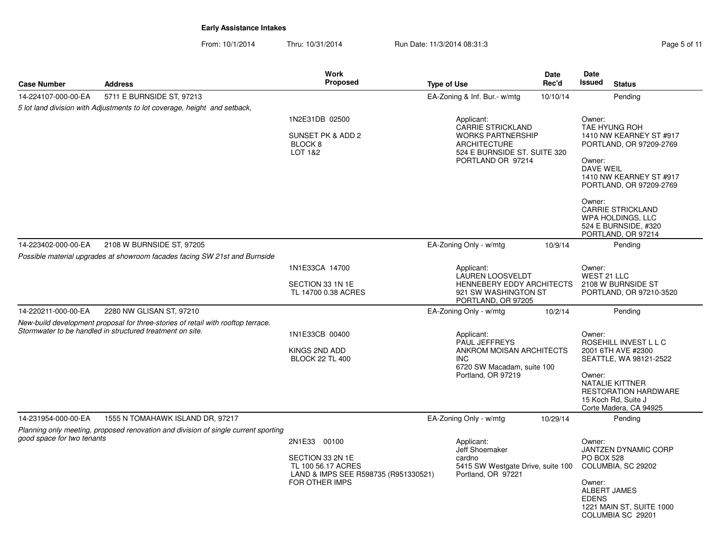From: 10/1/2014Thru: 10/31/2014 Run Date: 11/3/2014 08:31:3 Rege 5 of 11

**Case NumberWork** Proposed **AddressS** Proposed **Date Rec'dDateIssued Type of Use Issued Status** 5 lot land division with Adjustments to lot coverage, height and setback,14-224107-000-00-EA 5711 E BURNSIDE ST, 97213 1N2E31DB 02500SUNSET PK & ADD 2 BLOCK 8 LOT 1&2Applicant: CARRIE STRICKLAND WORKS PARTNERSHIPARCHITECTURE 524 E BURNSIDE ST. SUITE 320PORTLAND OR 97214Owner: TAE HYUNG ROH 1410 NW KEARNEY ST #917 PORTLAND, OR 97209-2769Owner: DAVE WEIL 1410 NW KEARNEY ST #917 PORTLAND, OR 97209-2769Owner: CARRIE STRICKLAND WPA HOLDINGS, LLC 524 E BURNSIDE, #320 PORTLAND, OR 97214EA-Zoning & Inf. Bur.- w/mtg 10/10/14 Pending Possible material upgrades at showroom facades facing SW 21st and Burnside14-223402-000-00-EA 2108 W BURNSIDE ST, 97205 1N1E33CA 14700SECTION 33 1N 1E TL 14700 0.38 ACRESApplicant: LAUREN LOOSVELDT HENNEBERY EDDY ARCHITECTS921 SW WASHINGTON STPORTLAND, OR 97205Owner: WEST 21 LLC 2108 W BURNSIDE ST PORTLAND, OR 97210-3520EA-Zoning Only - w/mtg 10/9/14 Pending New-build development proposal for three-stories of retail with rooftop terrace.Stormwater to be handled in structured treatment on site.14-220211-000-00-EA 2280 NW GLISAN ST, 97210 1N1E33CB 00400KINGS 2ND ADD BLOCK 22 TL 400Applicant: PAUL JEFFREYS ANKROM MOISAN ARCHITECTSINC 6720 SW Macadam, suite 100Portland, OR 97219Owner: ROSEHILL INVEST L L C2001 6TH AVE #2300 SEATTLE, WA 98121-2522Owner: NATALIE KITTNER RESTORATION HARDWARE15 Koch Rd, Suite J Corte Madera, CA 94925EA-Zoning Only - w/mtg 10/2/14 Pending Planning only meeting, proposed renovation and division of single current sportinggood space for two tenants14-231954-000-00-EA 1555 N TOMAHAWK ISLAND DR, 97217 2N1E33 00100SECTION 33 2N 1E TL 100 56.17 ACRES LAND & IMPS SEE R598735 (R951330521)FOR OTHER IMPSApplicant: Jeff Shoemakercardno 5415 SW Westgate Drive, suite 100Portland, OR 97221Owner: JANTZEN DYNAMIC CORPPO BOX 528 COLUMBIA, SC 29202Owner: ALBERT JAMESEDENS 1221 MAIN ST, SUITE 1000COLUMBIA SC 29201EA-Zoning Only - w/mtg 10/29/14Pending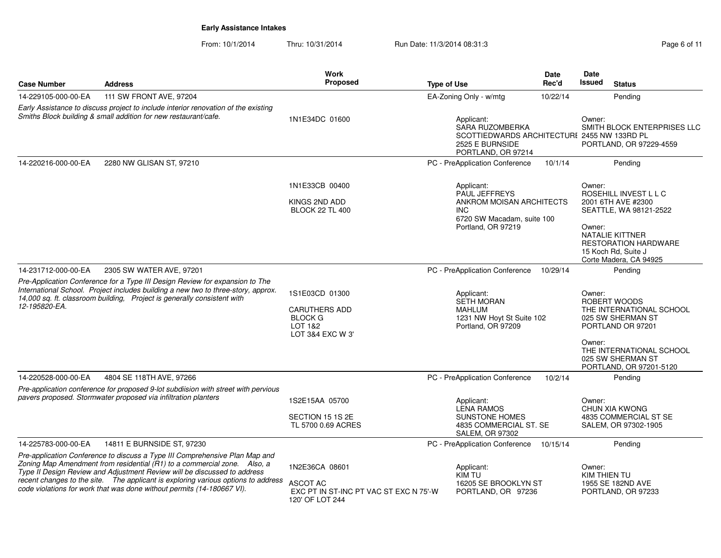|                     |                                                                                                                                                                                                                                                                                                                                                                                                     | Work<br>Proposed                                                                        |                                                                                                                                  | <b>Date</b> | Date<br><b>Issued</b>  |                                                                                                                                                                                 |
|---------------------|-----------------------------------------------------------------------------------------------------------------------------------------------------------------------------------------------------------------------------------------------------------------------------------------------------------------------------------------------------------------------------------------------------|-----------------------------------------------------------------------------------------|----------------------------------------------------------------------------------------------------------------------------------|-------------|------------------------|---------------------------------------------------------------------------------------------------------------------------------------------------------------------------------|
| <b>Case Number</b>  | <b>Address</b>                                                                                                                                                                                                                                                                                                                                                                                      |                                                                                         | <b>Type of Use</b>                                                                                                               | Rec'd       |                        | <b>Status</b>                                                                                                                                                                   |
| 14-229105-000-00-EA | 111 SW FRONT AVE, 97204                                                                                                                                                                                                                                                                                                                                                                             |                                                                                         | EA-Zoning Only - w/mtg                                                                                                           | 10/22/14    |                        | Pending                                                                                                                                                                         |
|                     | Early Assistance to discuss project to include interior renovation of the existing<br>Smiths Block building & small addition for new restaurant/cafe.                                                                                                                                                                                                                                               | 1N1E34DC 01600                                                                          | Applicant:<br><b>SARA RUZOMBERKA</b><br>SCOTTIEDWARDS ARCHITECTURI 2455 NW 133RD PL<br>2525 E BURNSIDE<br>PORTLAND, OR 97214     |             |                        | SMITH BLOCK ENTERPRISES LLC<br>PORTLAND, OR 97229-4559                                                                                                                          |
| 14-220216-000-00-EA | 2280 NW GLISAN ST, 97210                                                                                                                                                                                                                                                                                                                                                                            |                                                                                         | PC - PreApplication Conference                                                                                                   | 10/1/14     |                        | Pending                                                                                                                                                                         |
|                     |                                                                                                                                                                                                                                                                                                                                                                                                     | 1N1E33CB 00400<br>KINGS 2ND ADD<br><b>BLOCK 22 TL 400</b>                               | Applicant:<br><b>PAUL JEFFREYS</b><br>ANKROM MOISAN ARCHITECTS<br><b>INC</b><br>6720 SW Macadam, suite 100<br>Portland, OR 97219 |             | Owner:<br>Owner:       | ROSEHILL INVEST L L C<br>2001 6TH AVE #2300<br>SEATTLE, WA 98121-2522<br><b>NATALIE KITTNER</b><br><b>RESTORATION HARDWARE</b><br>15 Koch Rd, Suite J<br>Corte Madera, CA 94925 |
| 14-231712-000-00-EA | 2305 SW WATER AVE, 97201                                                                                                                                                                                                                                                                                                                                                                            |                                                                                         | PC - PreApplication Conference                                                                                                   | 10/29/14    |                        | Pending                                                                                                                                                                         |
| 12-195820-EA.       | Pre-Application Conference for a Type III Design Review for expansion to The<br>International School. Project includes building a new two to three-story, approx.<br>14,000 sq. ft. classroom building, Project is generally consistent with                                                                                                                                                        | 1S1E03CD 01300<br><b>CARUTHERS ADD</b><br><b>BLOCK G</b><br>LOT 1&2<br>LOT 3&4 EXC W 3' | Applicant:<br>SETH MORAN<br><b>MAHLUM</b><br>1231 NW Hoyt St Suite 102<br>Portland, OR 97209                                     |             | Owner:<br>Owner:       | ROBERT WOODS<br>THE INTERNATIONAL SCHOOL<br>025 SW SHERMAN ST<br>PORTLAND OR 97201<br>THE INTERNATIONAL SCHOOL<br>025 SW SHERMAN ST<br>PORTLAND, OR 97201-5120                  |
| 14-220528-000-00-EA | 4804 SE 118TH AVE, 97266                                                                                                                                                                                                                                                                                                                                                                            |                                                                                         | PC - PreApplication Conference                                                                                                   | 10/2/14     |                        | Pending                                                                                                                                                                         |
|                     | Pre-application conference for proposed 9-lot subdiision with street with pervious<br>pavers proposed. Stormwater proposed via infiltration planters                                                                                                                                                                                                                                                | 1S2E15AA 05700<br>SECTION 15 1S 2E<br>TL 5700 0.69 ACRES                                | Applicant:<br><b>LENA RAMOS</b><br><b>SUNSTONE HOMES</b><br>4835 COMMERCIAL ST. SE<br>SALEM, OR 97302                            |             | Owner:                 | CHUN XIA KWONG<br>4835 COMMERCIAL ST SE<br>SALEM, OR 97302-1905                                                                                                                 |
| 14-225783-000-00-EA | 14811 E BURNSIDE ST, 97230                                                                                                                                                                                                                                                                                                                                                                          |                                                                                         | PC - PreApplication Conference 10/15/14                                                                                          |             |                        | Pending                                                                                                                                                                         |
|                     | Pre-application Conference to discuss a Type III Comprehensive Plan Map and<br>Zoning Map Amendment from residential (R1) to a commercial zone. Also, a<br>Type II Design Review and Adjustment Review will be discussed to address<br>recent changes to the site.  The applicant is exploring various options to address<br>code violations for work that was done without permits (14-180667 VI). | 1N2E36CA 08601<br>ASCOT AC<br>EXC PT IN ST-INC PT VAC ST EXC N 75'-W<br>120' OF LOT 244 | Applicant:<br>KIM TU<br>16205 SE BROOKLYN ST<br>PORTLAND, OR 97236                                                               |             | Owner:<br>KIM THIEN TU | 1955 SE 182ND AVE<br>PORTLAND, OR 97233                                                                                                                                         |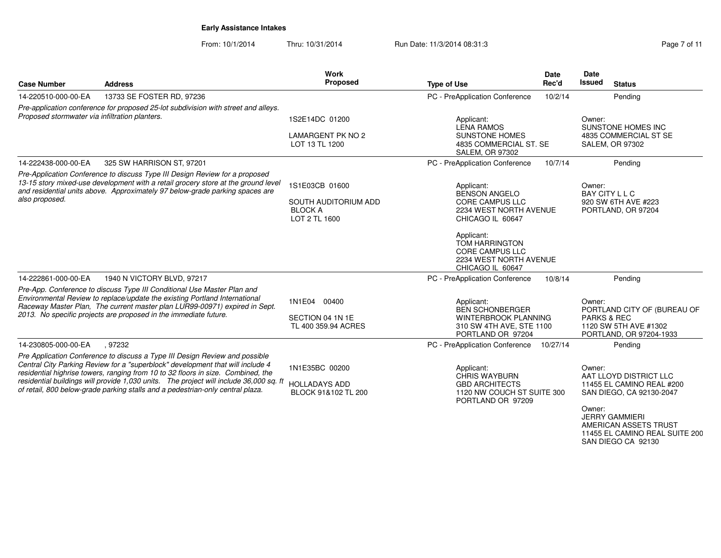From: 10/1/2014Thru: 10/31/2014 Run Date: 11/3/2014 08:31:3

SAN DIEGO CA 92130

| <b>Case Number</b>                                                                                                                                                                                                                                                 | <b>Address</b>                                                                                                                                                                                                                                                                                                                                                                                                                | Work<br>Proposed                                              | <b>Type of Use</b>                                                                                             | <b>Date</b><br>Rec'd | <b>Date</b><br><b>Issued</b>     | <b>Status</b>                                                                                                                                                       |
|--------------------------------------------------------------------------------------------------------------------------------------------------------------------------------------------------------------------------------------------------------------------|-------------------------------------------------------------------------------------------------------------------------------------------------------------------------------------------------------------------------------------------------------------------------------------------------------------------------------------------------------------------------------------------------------------------------------|---------------------------------------------------------------|----------------------------------------------------------------------------------------------------------------|----------------------|----------------------------------|---------------------------------------------------------------------------------------------------------------------------------------------------------------------|
| 14-220510-000-00-EA                                                                                                                                                                                                                                                | 13733 SE FOSTER RD, 97236                                                                                                                                                                                                                                                                                                                                                                                                     |                                                               | PC - PreApplication Conference                                                                                 | 10/2/14              |                                  | Pending                                                                                                                                                             |
| Proposed stormwater via infiltration planters.                                                                                                                                                                                                                     | Pre-application conference for proposed 25-lot subdivision with street and alleys.                                                                                                                                                                                                                                                                                                                                            | 1S2E14DC 01200                                                | Applicant:                                                                                                     |                      | Owner:                           |                                                                                                                                                                     |
|                                                                                                                                                                                                                                                                    |                                                                                                                                                                                                                                                                                                                                                                                                                               |                                                               | <b>LENA RAMOS</b>                                                                                              |                      |                                  | SUNSTONE HOMES INC                                                                                                                                                  |
|                                                                                                                                                                                                                                                                    |                                                                                                                                                                                                                                                                                                                                                                                                                               | <b>LAMARGENT PK NO 2</b><br>LOT 13 TL 1200                    | <b>SUNSTONE HOMES</b><br>4835 COMMERCIAL ST. SE<br><b>SALEM, OR 97302</b>                                      |                      |                                  | 4835 COMMERCIAL ST SE<br>SALEM, OR 97302                                                                                                                            |
| 14-222438-000-00-EA                                                                                                                                                                                                                                                | 325 SW HARRISON ST, 97201                                                                                                                                                                                                                                                                                                                                                                                                     |                                                               | PC - PreApplication Conference                                                                                 | 10/7/14              |                                  | Pending                                                                                                                                                             |
| Pre-Application Conference to discuss Type III Design Review for a proposed<br>13-15 story mixed-use development with a retail grocery store at the ground level<br>and residential units above. Approximately 97 below-grade parking spaces are<br>also proposed. |                                                                                                                                                                                                                                                                                                                                                                                                                               | 1S1E03CB 01600<br>SOUTH AUDITORIUM ADD                        | Applicant:<br><b>BENSON ANGELO</b><br>CORE CAMPUS LLC                                                          |                      | Owner:<br><b>BAY CITY L L C</b>  | 920 SW 6TH AVE #223                                                                                                                                                 |
|                                                                                                                                                                                                                                                                    |                                                                                                                                                                                                                                                                                                                                                                                                                               | <b>BLOCK A</b><br>LOT 2 TL 1600                               | 2234 WEST NORTH AVENUE<br>CHICAGO IL 60647                                                                     |                      |                                  | PORTLAND, OR 97204                                                                                                                                                  |
|                                                                                                                                                                                                                                                                    |                                                                                                                                                                                                                                                                                                                                                                                                                               |                                                               | Applicant:<br><b>TOM HARRINGTON</b><br>CORE CAMPUS LLC<br>2234 WEST NORTH AVENUE<br>CHICAGO IL 60647           |                      |                                  |                                                                                                                                                                     |
| 14-222861-000-00-EA                                                                                                                                                                                                                                                | 1940 N VICTORY BLVD, 97217                                                                                                                                                                                                                                                                                                                                                                                                    |                                                               | PC - PreApplication Conference                                                                                 | 10/8/14              |                                  | Pending                                                                                                                                                             |
|                                                                                                                                                                                                                                                                    | Pre-App. Conference to discuss Type III Conditional Use Master Plan and<br>Environmental Review to replace/update the existing Portland International<br>Raceway Master Plan, The current master plan LUR99-00971) expired in Sept.<br>2013. No specific projects are proposed in the immediate future.                                                                                                                       | 1N1E04 00400<br>SECTION 04 1N 1E<br>TL 400 359.94 ACRES       | Applicant:<br><b>BEN SCHONBERGER</b><br>WINTERBROOK PLANNING<br>310 SW 4TH AVE, STE 1100<br>PORTLAND OR 97204  |                      | Owner:<br><b>PARKS &amp; REC</b> | PORTLAND CITY OF (BUREAU OF<br>1120 SW 5TH AVE #1302<br>PORTLAND, OR 97204-1933                                                                                     |
| 14-230805-000-00-EA                                                                                                                                                                                                                                                | .97232                                                                                                                                                                                                                                                                                                                                                                                                                        |                                                               | PC - PreApplication Conference                                                                                 | 10/27/14             |                                  | Pending                                                                                                                                                             |
|                                                                                                                                                                                                                                                                    | Pre Application Conference to discuss a Type III Design Review and possible<br>Central City Parking Review for a "superblock" development that will include 4<br>residential highrise towers, ranging from 10 to 32 floors in size. Combined, the<br>residential buildings will provide 1,030 units. The project will include 36,000 sq. ft<br>of retail, 800 below-grade parking stalls and a pedestrian-only central plaza. | 1N1E35BC 00200<br><b>HOLLADAYS ADD</b><br>BLOCK 91&102 TL 200 | Applicant:<br><b>CHRIS WAYBURN</b><br><b>GBD ARCHITECTS</b><br>1120 NW COUCH ST SUITE 300<br>PORTLAND OR 97209 |                      | Owner:<br>Owner:                 | AAT LLOYD DISTRICT LLC<br>11455 EL CAMINO REAL #200<br>SAN DIEGO, CA 92130-2047<br><b>JERRY GAMMIERI</b><br>AMERICAN ASSETS TRUST<br>11455 EL CAMINO REAL SUITE 200 |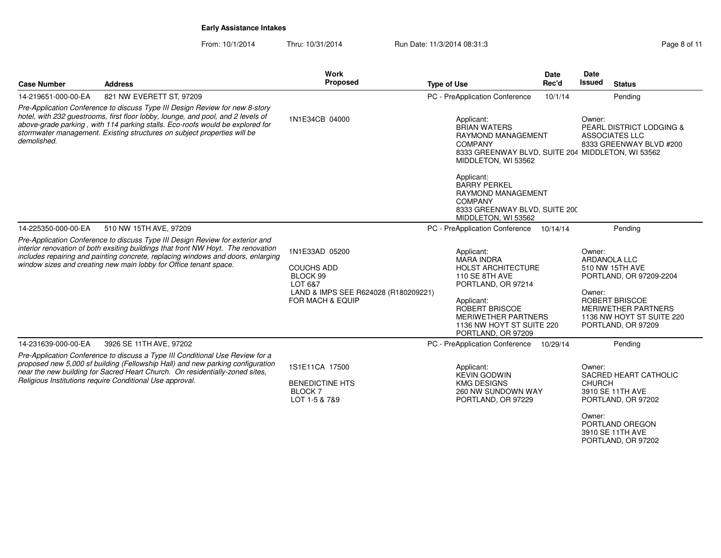From: 10/1/2014Thru: 10/31/2014 Run Date: 11/3/2014 08:31:3

| <b>Case Number</b>                                                                                                                                                                                                                                                                                                                           | <b>Address</b>                                                                                                                                                                                                                                                                                                              | Work<br>Proposed                                                                                                       | <b>Type of Use</b>                                                                                                                                                                                                           | <b>Date</b><br>Rec'd | <b>Date</b><br><b>Issued</b>      | <b>Status</b>                                                                                                                                                        |
|----------------------------------------------------------------------------------------------------------------------------------------------------------------------------------------------------------------------------------------------------------------------------------------------------------------------------------------------|-----------------------------------------------------------------------------------------------------------------------------------------------------------------------------------------------------------------------------------------------------------------------------------------------------------------------------|------------------------------------------------------------------------------------------------------------------------|------------------------------------------------------------------------------------------------------------------------------------------------------------------------------------------------------------------------------|----------------------|-----------------------------------|----------------------------------------------------------------------------------------------------------------------------------------------------------------------|
| 14-219651-000-00-EA                                                                                                                                                                                                                                                                                                                          | 821 NW EVERETT ST, 97209                                                                                                                                                                                                                                                                                                    |                                                                                                                        | PC - PreApplication Conference                                                                                                                                                                                               | 10/1/14              |                                   | Pending                                                                                                                                                              |
| Pre-Application Conference to discuss Type III Design Review for new 8-story<br>hotel, with 232 guestrooms, first floor lobby, lounge, and pool, and 2 levels of<br>above-grade parking, with 114 parking stalls. Eco-roofs would be explored for<br>stormwater management. Existing structures on subject properties will be<br>demolished. |                                                                                                                                                                                                                                                                                                                             | 1N1E34CB 04000                                                                                                         | Applicant:<br><b>BRIAN WATERS</b><br><b>RAYMOND MANAGEMENT</b><br><b>COMPANY</b><br>8333 GREENWAY BLVD, SUITE 204 MIDDLETON, WI 53562<br>MIDDLETON, WI 53562                                                                 |                      | Owner:                            | <b>PEARL DISTRICT LODGING &amp;</b><br>ASSOCIATES LLC<br>8333 GREENWAY BLVD #200                                                                                     |
|                                                                                                                                                                                                                                                                                                                                              |                                                                                                                                                                                                                                                                                                                             |                                                                                                                        | Applicant:<br><b>BARRY PERKEL</b><br><b>RAYMOND MANAGEMENT</b><br><b>COMPANY</b><br>8333 GREENWAY BLVD, SUITE 200<br>MIDDLETON, WI 53562                                                                                     |                      |                                   |                                                                                                                                                                      |
| 14-225350-000-00-EA                                                                                                                                                                                                                                                                                                                          | 510 NW 15TH AVE, 97209                                                                                                                                                                                                                                                                                                      |                                                                                                                        | PC - PreApplication Conference                                                                                                                                                                                               | 10/14/14             |                                   | Pending                                                                                                                                                              |
|                                                                                                                                                                                                                                                                                                                                              | Pre-Application Conference to discuss Type III Design Review for exterior and<br>interior renovation of both exsiting buildings that front NW Hoyt. The renovation<br>includes repairing and painting concrete, replacing windows and doors, enlarging<br>window sizes and creating new main lobby for Office tenant space. | 1N1E33AD 05200<br><b>COUCHS ADD</b><br>BLOCK 99<br>LOT 6&7<br>LAND & IMPS SEE R624028 (R180209221)<br>FOR MACH & EQUIP | Applicant:<br><b>MARA INDRA</b><br><b>HOLST ARCHITECTURE</b><br>110 SE 8TH AVE<br>PORTLAND, OR 97214<br>Applicant:<br><b>ROBERT BRISCOE</b><br><b>MERIWETHER PARTNERS</b><br>1136 NW HOYT ST SUITE 220<br>PORTLAND, OR 97209 |                      | Owner:<br>Owner:                  | <b>ARDANOLA LLC</b><br>510 NW 15TH AVE<br>PORTLAND, OR 97209-2204<br>ROBERT BRISCOE<br><b>MERIWETHER PARTNERS</b><br>1136 NW HOYT ST SUITE 220<br>PORTLAND, OR 97209 |
| 14-231639-000-00-EA                                                                                                                                                                                                                                                                                                                          | 3926 SE 11TH AVE, 97202                                                                                                                                                                                                                                                                                                     |                                                                                                                        | PC - PreApplication Conference                                                                                                                                                                                               | 10/29/14             |                                   | Pending                                                                                                                                                              |
|                                                                                                                                                                                                                                                                                                                                              | Pre-Application Conference to discuss a Type III Conditional Use Review for a<br>proposed new 5,000 sf building (Fellowship Hall) and new parking configuration<br>near the new building for Sacred Heart Church. On residentially-zoned sites,<br>Religious Institutions require Conditional Use approval.                 | 1S1E11CA 17500<br><b>BENEDICTINE HTS</b><br>BLOCK <sub>7</sub><br>LOT 1-5 & 7&9                                        | Applicant:<br><b>KEVIN GODWIN</b><br><b>KMG DESIGNS</b><br>260 NW SUNDOWN WAY<br>PORTLAND, OR 97229                                                                                                                          |                      | Owner:<br><b>CHURCH</b><br>Owner: | SACRED HEART CATHOLIC<br>3910 SE 11TH AVE<br>PORTLAND, OR 97202                                                                                                      |

 PORTLAND OREGON3910 SE 11TH AVE PORTLAND, OR 97202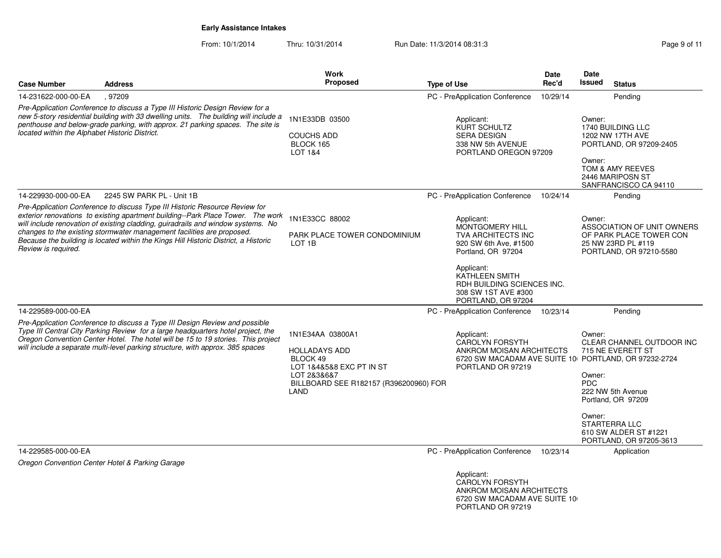From: 10/1/2014Thru: 10/31/2014 Run Date: 11/3/2014 08:31:3<br>
Page 9 of 11

| <b>Case Number</b>                             | <b>Address</b>                                                                                                                                                                                                                                                                                                                                                                                                      | Work<br><b>Proposed</b>                                                                                                                           | <b>Type of Use</b>                                                                                                                                                                                            | Date<br>Rec'd | <b>Date</b><br>Issued<br><b>Status</b>                                                                                                                                                                                                                                    |
|------------------------------------------------|---------------------------------------------------------------------------------------------------------------------------------------------------------------------------------------------------------------------------------------------------------------------------------------------------------------------------------------------------------------------------------------------------------------------|---------------------------------------------------------------------------------------------------------------------------------------------------|---------------------------------------------------------------------------------------------------------------------------------------------------------------------------------------------------------------|---------------|---------------------------------------------------------------------------------------------------------------------------------------------------------------------------------------------------------------------------------------------------------------------------|
| 14-231622-000-00-EA                            | .97209                                                                                                                                                                                                                                                                                                                                                                                                              |                                                                                                                                                   | PC - PreApplication Conference                                                                                                                                                                                | 10/29/14      | Pending                                                                                                                                                                                                                                                                   |
| located within the Alphabet Historic District. | Pre-Application Conference to discuss a Type III Historic Design Review for a<br>new 5-story residential building with 33 dwelling units. The building will include a<br>penthouse and below-grade parking, with approx. 21 parking spaces. The site is                                                                                                                                                             | 1N1E33DB 03500<br><b>COUCHS ADD</b><br>BLOCK 165<br>LOT 1&4                                                                                       | Applicant:<br>KURT SCHULTZ<br><b>SERA DESIGN</b><br>338 NW 5th AVENUE<br>PORTLAND OREGON 97209                                                                                                                |               | Owner:<br>1740 BUILDING LLC<br>1202 NW 17TH AVE<br>PORTLAND, OR 97209-2405<br>Owner:<br>TOM & AMY REEVES<br>2446 MARIPOSN ST<br>SANFRANCISCO CA 94110                                                                                                                     |
| 14-229930-000-00-EA                            | 2245 SW PARK PL - Unit 1B                                                                                                                                                                                                                                                                                                                                                                                           |                                                                                                                                                   | PC - PreApplication Conference                                                                                                                                                                                | 10/24/14      | Pending                                                                                                                                                                                                                                                                   |
| Review is required.                            | Pre-Application Conference to discuss Type III Historic Resource Review for<br>exterior renovations to existing apartment building--Park Place Tower. The work<br>will include renovation of existing cladding, guiradrails and window systems. No<br>changes to the existing stormwater management facilities are proposed.<br>Because the building is located within the Kings Hill Historic District, a Historic | 1N1E33CC 88002<br>PARK PLACE TOWER CONDOMINIUM<br>LOT 1B                                                                                          | Applicant:<br>MONTGOMERY HILL<br>TVA ARCHITECTS INC<br>920 SW 6th Ave, #1500<br>Portland, OR 97204<br>Applicant:<br>KATHLEEN SMITH<br>RDH BUILDING SCIENCES INC.<br>308 SW 1ST AVE #300<br>PORTLAND, OR 97204 |               | Owner:<br>ASSOCIATION OF UNIT OWNERS<br>OF PARK PLACE TOWER CON<br>25 NW 23RD PL #119<br>PORTLAND, OR 97210-5580                                                                                                                                                          |
| 14-229589-000-00-EA                            |                                                                                                                                                                                                                                                                                                                                                                                                                     |                                                                                                                                                   | PC - PreApplication Conference                                                                                                                                                                                | 10/23/14      | Pending                                                                                                                                                                                                                                                                   |
|                                                | Pre-Application Conference to discuss a Type III Design Review and possible<br>Type III Central City Parking Review for a large headquarters hotel project, the<br>Oregon Convention Center Hotel. The hotel will be 15 to 19 stories. This project<br>will include a separate multi-level parking structure, with approx. 385 spaces                                                                               | 1N1E34AA 03800A1<br><b>HOLLADAYS ADD</b><br>BLOCK 49<br>LOT 1&4&5&8 EXC PT IN ST<br>LOT 2&3&6&7<br>BILLBOARD SEE R182157 (R396200960) FOR<br>LAND | Applicant:<br><b>CAROLYN FORSYTH</b><br>ANKROM MOISAN ARCHITECTS<br>PORTLAND OR 97219                                                                                                                         |               | Owner:<br>CLEAR CHANNEL OUTDOOR INC<br>715 NE EVERETT ST<br>6720 SW MACADAM AVE SUITE 10 PORTLAND, OR 97232-2724<br>Owner:<br><b>PDC</b><br>222 NW 5th Avenue<br>Portland, OR 97209<br>Owner:<br><b>STARTERRA LLC</b><br>610 SW ALDER ST #1221<br>PORTLAND, OR 97205-3613 |
| 14-229585-000-00-EA                            |                                                                                                                                                                                                                                                                                                                                                                                                                     |                                                                                                                                                   | PC - PreApplication Conference                                                                                                                                                                                | 10/23/14      | Application                                                                                                                                                                                                                                                               |
|                                                | Oregon Convention Center Hotel & Parking Garage                                                                                                                                                                                                                                                                                                                                                                     |                                                                                                                                                   |                                                                                                                                                                                                               |               |                                                                                                                                                                                                                                                                           |
|                                                |                                                                                                                                                                                                                                                                                                                                                                                                                     |                                                                                                                                                   | Applicant:<br>$\Gamma$ $\cap$ $\cap$ $\Gamma$ $\Gamma$ $\Gamma$                                                                                                                                               |               |                                                                                                                                                                                                                                                                           |

 CAROLYN FORSYTH ANKROM MOISAN ARCHITECTS6720 SW MACADAM AVE SUITE 100 PORTLAND OR 97219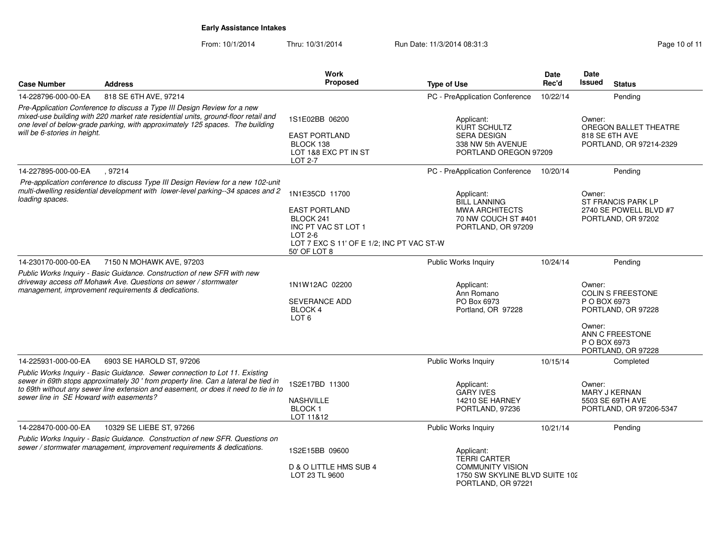| <b>Case Number</b>                                                                                                                                                                                                                                                              | <b>Address</b>                                                                                                                                                                                                                                            | Work<br>Proposed                                                                                                                                     | <b>Type of Use</b>                                                                                                   | <b>Date</b><br>Rec'd | Date<br><b>Issued</b><br><b>Status</b>                                                                                               |
|---------------------------------------------------------------------------------------------------------------------------------------------------------------------------------------------------------------------------------------------------------------------------------|-----------------------------------------------------------------------------------------------------------------------------------------------------------------------------------------------------------------------------------------------------------|------------------------------------------------------------------------------------------------------------------------------------------------------|----------------------------------------------------------------------------------------------------------------------|----------------------|--------------------------------------------------------------------------------------------------------------------------------------|
| 14-228796-000-00-EA                                                                                                                                                                                                                                                             | 818 SE 6TH AVE, 97214                                                                                                                                                                                                                                     |                                                                                                                                                      | PC - PreApplication Conference                                                                                       | 10/22/14             | Pending                                                                                                                              |
| Pre-Application Conference to discuss a Type III Design Review for a new<br>mixed-use building with 220 market rate residential units, ground-floor retail and<br>one level of below-grade parking, with approximately 125 spaces. The building<br>will be 6-stories in height. |                                                                                                                                                                                                                                                           | 1S1E02BB 06200<br><b>EAST PORTLAND</b><br>BLOCK 138<br>LOT 1&8 EXC PT IN ST<br>LOT 2-7                                                               | Applicant:<br>KURT SCHULTZ<br>SERA DESIGN<br>338 NW 5th AVENUE<br>PORTLAND OREGON 97209                              |                      | Owner:<br>OREGON BALLET THEATRE<br>818 SE 6TH AVE<br>PORTLAND, OR 97214-2329                                                         |
| 14-227895-000-00-EA                                                                                                                                                                                                                                                             | , 97214                                                                                                                                                                                                                                                   |                                                                                                                                                      | PC - PreApplication Conference                                                                                       | 10/20/14             | Pending                                                                                                                              |
| loading spaces.                                                                                                                                                                                                                                                                 | Pre-application conference to discuss Type III Design Review for a new 102-unit<br>multi-dwelling residential development with lower-level parking--34 spaces and 2                                                                                       | 1N1E35CD 11700<br><b>EAST PORTLAND</b><br>BLOCK 241<br>INC PT VAC ST LOT 1<br>$LOT 2-6$<br>LOT 7 EXC S 11' OF E 1/2; INC PT VAC ST-W<br>50' OF LOT 8 | Applicant:<br><b>BILL LANNING</b><br><b>MWA ARCHITECTS</b><br>70 NW COUCH ST #401<br>PORTLAND, OR 97209              |                      | Owner:<br>ST FRANCIS PARK LP<br>2740 SE POWELL BLVD #7<br>PORTLAND, OR 97202                                                         |
| 14-230170-000-00-EA                                                                                                                                                                                                                                                             | 7150 N MOHAWK AVE, 97203                                                                                                                                                                                                                                  |                                                                                                                                                      | Public Works Inquiry                                                                                                 | 10/24/14             | Pending                                                                                                                              |
|                                                                                                                                                                                                                                                                                 | Public Works Inquiry - Basic Guidance. Construction of new SFR with new<br>driveway access off Mohawk Ave. Questions on sewer / stormwater<br>management, improvement requirements & dedications.                                                         | 1N1W12AC 02200<br><b>SEVERANCE ADD</b><br><b>BLOCK 4</b><br>LOT <sub>6</sub>                                                                         | Applicant:<br>Ann Romano<br>PO Box 6973<br>Portland, OR 97228                                                        |                      | Owner:<br>COLIN S FREESTONE<br>P O BOX 6973<br>PORTLAND, OR 97228<br>Owner:<br>ANN C FREESTONE<br>P O BOX 6973<br>PORTLAND, OR 97228 |
| 14-225931-000-00-EA                                                                                                                                                                                                                                                             | 6903 SE HAROLD ST, 97206                                                                                                                                                                                                                                  |                                                                                                                                                      | Public Works Inquiry                                                                                                 | 10/15/14             | Completed                                                                                                                            |
| sewer line in SE Howard with easements?                                                                                                                                                                                                                                         | Public Works Inquiry - Basic Guidance. Sewer connection to Lot 11. Existing<br>sewer in 69th stops approximately 30 ' from property line. Can a lateral be tied in<br>to 69th without any sewer line extension and easement, or does it need to tie in to | 1S2E17BD 11300<br><b>NASHVILLE</b><br><b>BLOCK1</b><br>LOT 11&12                                                                                     | Applicant:<br><b>GARY IVES</b><br>14210 SE HARNEY<br>PORTLAND, 97236                                                 |                      | Owner:<br><b>MARY J KERNAN</b><br>5503 SE 69TH AVE<br>PORTLAND, OR 97206-5347                                                        |
| 14-228470-000-00-EA                                                                                                                                                                                                                                                             | 10329 SE LIEBE ST, 97266                                                                                                                                                                                                                                  |                                                                                                                                                      | Public Works Inquiry                                                                                                 | 10/21/14             | Pending                                                                                                                              |
|                                                                                                                                                                                                                                                                                 | Public Works Inquiry - Basic Guidance. Construction of new SFR. Questions on<br>sewer / stormwater management, improvement requirements & dedications.                                                                                                    | 1S2E15BB 09600<br>D & O LITTLE HMS SUB 4<br>LOT 23 TL 9600                                                                                           | Applicant:<br><b>TERRI CARTER</b><br><b>COMMUNITY VISION</b><br>1750 SW SKYLINE BLVD SUITE 102<br>PORTLAND, OR 97221 |                      |                                                                                                                                      |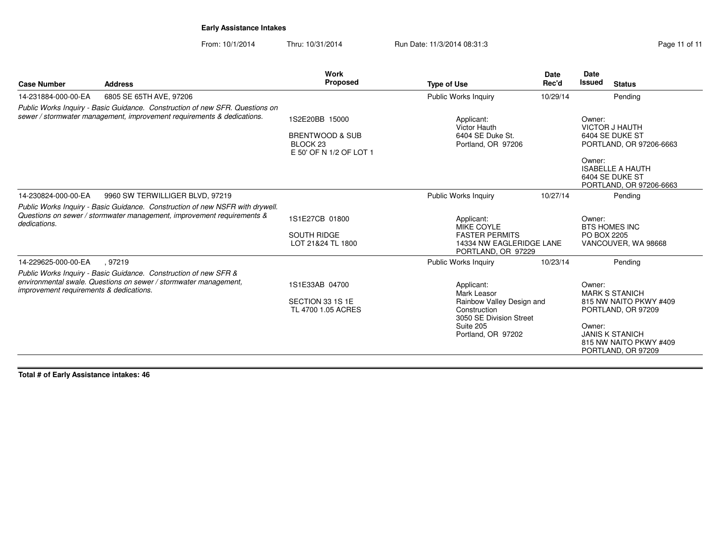From: 10/1/2014Thru: 10/31/2014 Run Date: 11/3/2014 08:31:3

| <b>Case Number</b>                      | <b>Address</b>                                                                                                                                          | Work<br>Proposed                                                                               | <b>Type of Use</b>                                                                                                                   | <b>Date</b><br>Rec'd | <b>Date</b><br><b>Issued</b> | <b>Status</b>                                                                                                                                   |
|-----------------------------------------|---------------------------------------------------------------------------------------------------------------------------------------------------------|------------------------------------------------------------------------------------------------|--------------------------------------------------------------------------------------------------------------------------------------|----------------------|------------------------------|-------------------------------------------------------------------------------------------------------------------------------------------------|
| 14-231884-000-00-EA                     | 6805 SE 65TH AVE, 97206                                                                                                                                 |                                                                                                | Public Works Inquiry                                                                                                                 | 10/29/14             |                              | Pending                                                                                                                                         |
|                                         | Public Works Inquiry - Basic Guidance. Construction of new SFR. Questions on<br>sewer / stormwater management, improvement requirements & dedications.  | 1S2E20BB 15000<br><b>BRENTWOOD &amp; SUB</b><br>BLOCK <sub>23</sub><br>E 50' OF N 1/2 OF LOT 1 | Applicant:<br>Victor Hauth<br>6404 SE Duke St.<br>Portland, OR 97206                                                                 |                      | Owner:<br>Owner:             | <b>VICTOR J HAUTH</b><br>6404 SE DUKE ST<br>PORTLAND, OR 97206-6663<br><b>ISABELLE A HAUTH</b><br>6404 SE DUKE ST                               |
| 14-230824-000-00-EA                     | 9960 SW TERWILLIGER BLVD, 97219                                                                                                                         |                                                                                                | <b>Public Works Inquiry</b>                                                                                                          | 10/27/14             |                              | PORTLAND, OR 97206-6663<br>Pending                                                                                                              |
| dedications.                            | Public Works Inquiry - Basic Guidance. Construction of new NSFR with drywell.<br>Questions on sewer / stormwater management, improvement requirements & | 1S1E27CB 01800<br><b>SOUTH RIDGE</b><br>LOT 21&24 TL 1800                                      | Applicant:<br><b>MIKE COYLE</b><br><b>FASTER PERMITS</b><br>14334 NW EAGLERIDGE LANE<br>PORTLAND, OR 97229                           |                      | Owner:<br>PO BOX 2205        | <b>BTS HOMES INC</b><br>VANCOUVER, WA 98668                                                                                                     |
| 14-229625-000-00-EA                     | .97219                                                                                                                                                  |                                                                                                | <b>Public Works Inquiry</b>                                                                                                          | 10/23/14             |                              | Pending                                                                                                                                         |
| improvement requirements & dedications. | Public Works Inquiry - Basic Guidance. Construction of new SFR &<br>environmental swale. Questions on sewer / stormwater management,                    | 1S1E33AB 04700<br>SECTION 33 1S 1E<br>TL 4700 1.05 ACRES                                       | Applicant:<br>Mark Leasor<br>Rainbow Valley Design and<br>Construction<br>3050 SE Division Street<br>Suite 205<br>Portland, OR 97202 |                      | Owner:<br>Owner:             | <b>MARK S STANICH</b><br>815 NW NAITO PKWY #409<br>PORTLAND, OR 97209<br><b>JANIS K STANICH</b><br>815 NW NAITO PKWY #409<br>PORTLAND, OR 97209 |

**Total # of Early Assistance intakes: 46**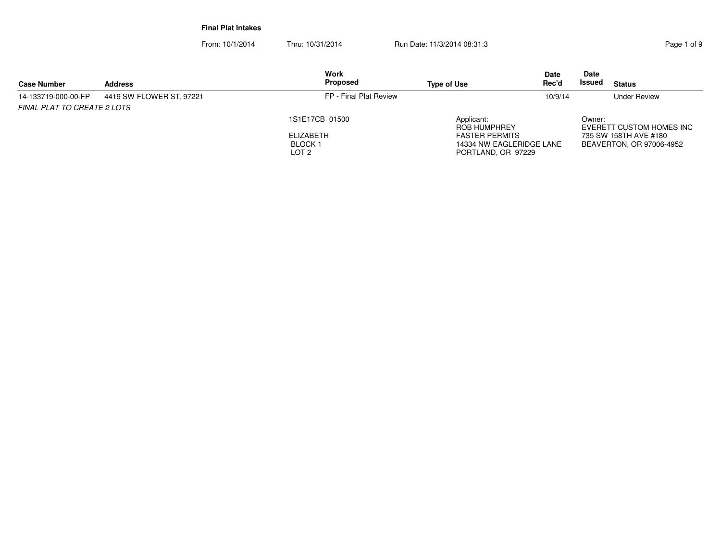**Final Plat Intakes**

| <b>Case Number</b>                 | <b>Address</b>           | <b>Work</b><br>Proposed                                          | <b>Type of Use</b>                                                                                    | <b>Date</b><br>Rec'd | Date<br><b>Issued</b> | <b>Status</b>                                                                 |
|------------------------------------|--------------------------|------------------------------------------------------------------|-------------------------------------------------------------------------------------------------------|----------------------|-----------------------|-------------------------------------------------------------------------------|
| 14-133719-000-00-FP                | 4419 SW FLOWER ST, 97221 | FP - Final Plat Review                                           |                                                                                                       | 10/9/14              |                       | <b>Under Review</b>                                                           |
| <b>FINAL PLAT TO CREATE 2 LOTS</b> |                          | 1S1E17CB 01500<br>ELIZABETH<br><b>BLOCK1</b><br>LOT <sub>2</sub> | Applicant:<br>ROB HUMPHREY<br><b>FASTER PERMITS</b><br>14334 NW EAGLERIDGE LANE<br>PORTLAND, OR 97229 |                      | Owner:                | EVERETT CUSTOM HOMES INC<br>735 SW 158TH AVE #180<br>BEAVERTON, OR 97006-4952 |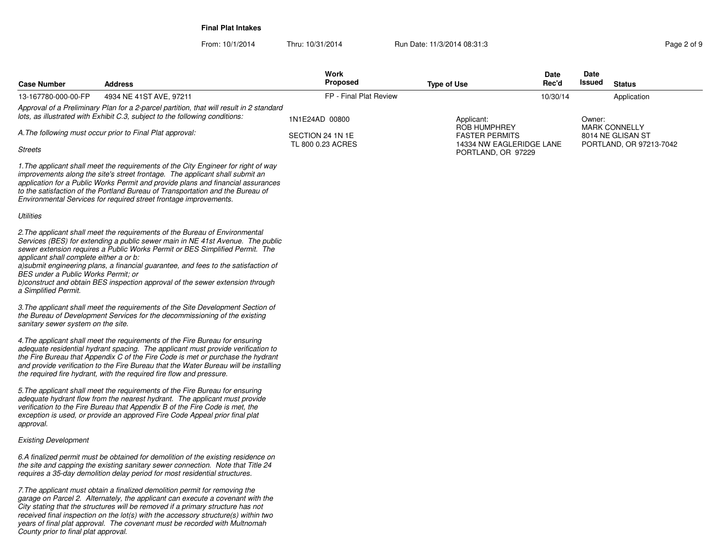**Final Plat Intakes**

| <b>Case Number</b>                                                                                                                                                                                                                  | <b>Address</b>                                                                                                                                                                                                                                                                                                                                                                                                         | Work<br><b>Proposed</b>               | <b>Type of Use</b>                                                      | Date<br>Rec'd | Date<br>Issued | <b>Status</b>                                |
|-------------------------------------------------------------------------------------------------------------------------------------------------------------------------------------------------------------------------------------|------------------------------------------------------------------------------------------------------------------------------------------------------------------------------------------------------------------------------------------------------------------------------------------------------------------------------------------------------------------------------------------------------------------------|---------------------------------------|-------------------------------------------------------------------------|---------------|----------------|----------------------------------------------|
| 13-167780-000-00-FP                                                                                                                                                                                                                 | 4934 NE 41ST AVE, 97211                                                                                                                                                                                                                                                                                                                                                                                                | FP - Final Plat Review                |                                                                         | 10/30/14      |                | Application                                  |
| Approval of a Preliminary Plan for a 2-parcel partition, that will result in 2 standard<br>lots, as illustrated with Exhibit C.3, subject to the following conditions:<br>A. The following must occur prior to Final Plat approval: |                                                                                                                                                                                                                                                                                                                                                                                                                        | 1N1E24AD 00800                        | Applicant:<br><b>ROB HUMPHREY</b>                                       |               | Owner:         | <b>MARK CONNELLY</b>                         |
| <b>Streets</b>                                                                                                                                                                                                                      |                                                                                                                                                                                                                                                                                                                                                                                                                        | SECTION 24 1N 1E<br>TL 800 0.23 ACRES | <b>FASTER PERMITS</b><br>14334 NW EAGLERIDGE LANE<br>PORTLAND, OR 97229 |               |                | 8014 NE GLISAN ST<br>PORTLAND, OR 97213-7042 |
|                                                                                                                                                                                                                                     | 1. The applicant shall meet the requirements of the City Engineer for right of way<br>improvements along the site's street frontage. The applicant shall submit an<br>application for a Public Works Permit and provide plans and financial assurances<br>to the satisfaction of the Portland Bureau of Transportation and the Bureau of<br>Environmental Services for required street frontage improvements.          |                                       |                                                                         |               |                |                                              |
| Utilities                                                                                                                                                                                                                           |                                                                                                                                                                                                                                                                                                                                                                                                                        |                                       |                                                                         |               |                |                                              |
| applicant shall complete either a or b:<br>BES under a Public Works Permit: or<br>a Simplified Permit.                                                                                                                              | 2. The applicant shall meet the requirements of the Bureau of Environmental<br>Services (BES) for extending a public sewer main in NE 41st Avenue. The public<br>sewer extension requires a Public Works Permit or BES Simplified Permit. The<br>a) submit engineering plans, a financial guarantee, and fees to the satisfaction of<br>b) construct and obtain BES inspection approval of the sewer extension through |                                       |                                                                         |               |                |                                              |
| sanitary sewer system on the site.                                                                                                                                                                                                  | 3. The applicant shall meet the requirements of the Site Development Section of<br>the Bureau of Development Services for the decommissioning of the existing                                                                                                                                                                                                                                                          |                                       |                                                                         |               |                |                                              |
|                                                                                                                                                                                                                                     | 4. The applicant shall meet the requirements of the Fire Bureau for ensuring<br>adequate residential hydrant spacing. The applicant must provide verification to<br>the Fire Bureau that Appendix C of the Fire Code is met or purchase the hydrant<br>and provide verification to the Fire Bureau that the Water Bureau will be installing<br>the required fire hydrant, with the required fire flow and pressure.    |                                       |                                                                         |               |                |                                              |
| approval.                                                                                                                                                                                                                           | 5. The applicant shall meet the requirements of the Fire Bureau for ensuring<br>adequate hydrant flow from the nearest hydrant. The applicant must provide<br>verification to the Fire Bureau that Appendix B of the Fire Code is met, the<br>exception is used, or provide an approved Fire Code Appeal prior final plat                                                                                              |                                       |                                                                         |               |                |                                              |
| <b>Existing Development</b>                                                                                                                                                                                                         |                                                                                                                                                                                                                                                                                                                                                                                                                        |                                       |                                                                         |               |                |                                              |
|                                                                                                                                                                                                                                     | 6.A finalized permit must be obtained for demolition of the existing residence on<br>the site and capping the existing sanitary sewer connection. Note that Title 24<br>requires a 35-day demolition delay period for most residential structures.                                                                                                                                                                     |                                       |                                                                         |               |                |                                              |
| County prior to final plat approval.                                                                                                                                                                                                | 7. The applicant must obtain a finalized demolition permit for removing the<br>garage on Parcel 2. Alternately, the applicant can execute a covenant with the<br>City stating that the structures will be removed if a primary structure has not<br>received final inspection on the lot(s) with the accessory structure(s) within two<br>years of final plat approval. The covenant must be recorded with Multnomah   |                                       |                                                                         |               |                |                                              |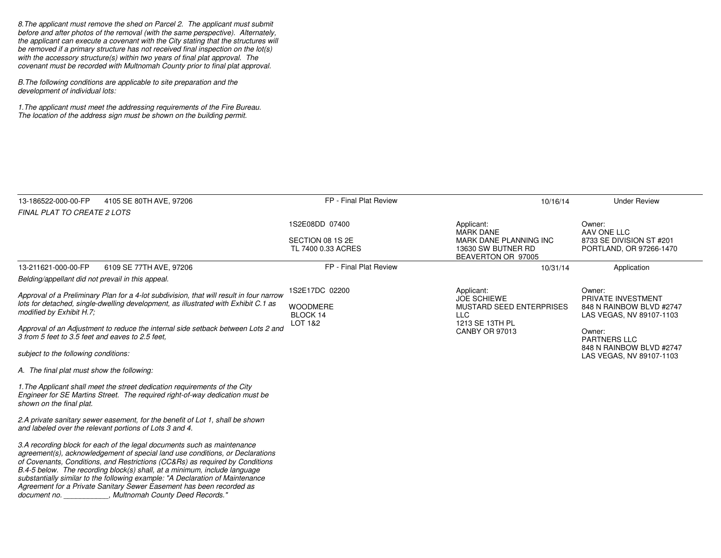8.The applicant must remove the shed on Parcel 2. The applicant must submit before and after photos of the removal (with the same perspective). Alternately, the applicant can execute a covenant with the City stating that the structures will be removed if a primary structure has not received final inspection on the lot(s)with the accessory structure(s) within two years of final plat approval. Thecovenant must be recorded with Multnomah County prior to final plat approval.

B.The following conditions are applicable to site preparation and thedevelopment of individual lots:

1.The applicant must meet the addressing requirements of the Fire Bureau. The location of the address sign must be shown on the building permit.

| 13-186522-000-00-FP                                                                                                                                                                                       | 4105 SE 80TH AVE, 97206                                                                                                                                                                                                                                                                                                                                                                                                                                                                                                            | FP - Final Plat Review                        | 10/16/14                                                                          | <b>Under Review</b>                                                                         |
|-----------------------------------------------------------------------------------------------------------------------------------------------------------------------------------------------------------|------------------------------------------------------------------------------------------------------------------------------------------------------------------------------------------------------------------------------------------------------------------------------------------------------------------------------------------------------------------------------------------------------------------------------------------------------------------------------------------------------------------------------------|-----------------------------------------------|-----------------------------------------------------------------------------------|---------------------------------------------------------------------------------------------|
| <b>FINAL PLAT TO CREATE 2 LOTS</b>                                                                                                                                                                        |                                                                                                                                                                                                                                                                                                                                                                                                                                                                                                                                    |                                               |                                                                                   |                                                                                             |
|                                                                                                                                                                                                           |                                                                                                                                                                                                                                                                                                                                                                                                                                                                                                                                    | 1S2E08DD 07400                                | Applicant:<br><b>MARK DANE</b>                                                    | Owner:<br>AAV ONE LLC                                                                       |
|                                                                                                                                                                                                           |                                                                                                                                                                                                                                                                                                                                                                                                                                                                                                                                    | SECTION 08 1S 2E<br>TL 7400 0.33 ACRES        | MARK DANE PLANNING INC<br>13630 SW BUTNER RD<br>BEAVERTON OR 97005                | 8733 SE DIVISION ST #201<br>PORTLAND, OR 97266-1470                                         |
| 13-211621-000-00-FP                                                                                                                                                                                       | 6109 SE 77TH AVE, 97206                                                                                                                                                                                                                                                                                                                                                                                                                                                                                                            | FP - Final Plat Review                        | 10/31/14                                                                          | Application                                                                                 |
| Belding/appellant did not prevail in this appeal.                                                                                                                                                         |                                                                                                                                                                                                                                                                                                                                                                                                                                                                                                                                    |                                               |                                                                                   |                                                                                             |
| Approval of a Preliminary Plan for a 4-lot subdivision, that will result in four narrow<br>lots for detached, single-dwelling development, as illustrated with Exhibit C.1 as<br>modified by Exhibit H.7; |                                                                                                                                                                                                                                                                                                                                                                                                                                                                                                                                    | 1S2E17DC 02200<br><b>WOODMERE</b><br>BLOCK 14 | Applicant:<br><b>JOE SCHIEWE</b><br><b>MUSTARD SEED ENTERPRISES</b><br><b>LLC</b> | Owner:<br><b>PRIVATE INVESTMENT</b><br>848 N RAINBOW BLVD #2747<br>LAS VEGAS, NV 89107-1103 |
| 3 from 5 feet to 3.5 feet and eaves to 2.5 feet.                                                                                                                                                          | Approval of an Adjustment to reduce the internal side setback between Lots 2 and                                                                                                                                                                                                                                                                                                                                                                                                                                                   | LOT 1&2                                       | 1213 SE 13TH PL<br><b>CANBY OR 97013</b>                                          | Owner:<br><b>PARTNERS LLC</b><br>848 N RAINBOW BLVD #2747                                   |
| subject to the following conditions:                                                                                                                                                                      |                                                                                                                                                                                                                                                                                                                                                                                                                                                                                                                                    |                                               |                                                                                   | LAS VEGAS, NV 89107-1103                                                                    |
| A. The final plat must show the following:                                                                                                                                                                |                                                                                                                                                                                                                                                                                                                                                                                                                                                                                                                                    |                                               |                                                                                   |                                                                                             |
| shown on the final plat.                                                                                                                                                                                  | 1. The Applicant shall meet the street dedication requirements of the City<br>Engineer for SE Martins Street. The required right-of-way dedication must be                                                                                                                                                                                                                                                                                                                                                                         |                                               |                                                                                   |                                                                                             |
|                                                                                                                                                                                                           | 2.A private sanitary sewer easement, for the benefit of Lot 1, shall be shown<br>and labeled over the relevant portions of Lots 3 and 4.                                                                                                                                                                                                                                                                                                                                                                                           |                                               |                                                                                   |                                                                                             |
|                                                                                                                                                                                                           | 3.A recording block for each of the legal documents such as maintenance<br>agreement(s), acknowledgement of special land use conditions, or Declarations<br>of Covenants, Conditions, and Restrictions (CC&Rs) as required by Conditions<br>$B.4-5$ below. The recording block(s) shall, at a minimum, include language<br>substantially similar to the following example: "A Declaration of Maintenance<br>Agreement for a Private Sanitary Sewer Easement has been recorded as<br>document no. , Multnomah County Deed Records." |                                               |                                                                                   |                                                                                             |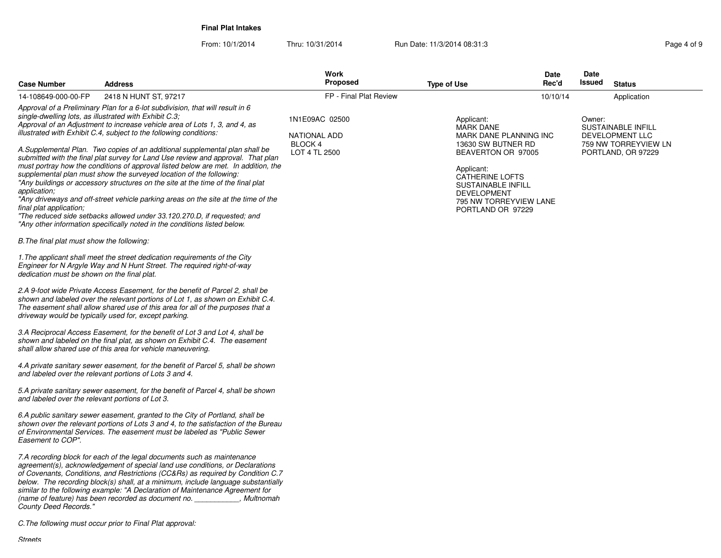**Final Plat Intakes**

From: 10/1/2014

Thru: 10/31/2014 Run Date: 11/3/2014 08:31:3

| <b>Case Number</b>                                                                                                                                                                                            | <b>Address</b>                                                                                                                                                                                                                                                                                                                                                                                                                                                                                                                                                                                                                                                                                                                                                                                                                                                                                                                                                                                                                                                                                                                                                                                                                                                                                                                                                                                                                                                                                                                                                                                                                                                                                                                                                                                                                                                                                                                                                                                                                                                                                                                                                                                                                                                                                                                                                                                              | Work<br><b>Proposed</b>                                    | <b>Type of Use</b>                                                                                                                                                                                                                             | Date<br>Rec'd | Date<br>Issued | <b>Status</b>                                                                              |
|---------------------------------------------------------------------------------------------------------------------------------------------------------------------------------------------------------------|-------------------------------------------------------------------------------------------------------------------------------------------------------------------------------------------------------------------------------------------------------------------------------------------------------------------------------------------------------------------------------------------------------------------------------------------------------------------------------------------------------------------------------------------------------------------------------------------------------------------------------------------------------------------------------------------------------------------------------------------------------------------------------------------------------------------------------------------------------------------------------------------------------------------------------------------------------------------------------------------------------------------------------------------------------------------------------------------------------------------------------------------------------------------------------------------------------------------------------------------------------------------------------------------------------------------------------------------------------------------------------------------------------------------------------------------------------------------------------------------------------------------------------------------------------------------------------------------------------------------------------------------------------------------------------------------------------------------------------------------------------------------------------------------------------------------------------------------------------------------------------------------------------------------------------------------------------------------------------------------------------------------------------------------------------------------------------------------------------------------------------------------------------------------------------------------------------------------------------------------------------------------------------------------------------------------------------------------------------------------------------------------------------------|------------------------------------------------------------|------------------------------------------------------------------------------------------------------------------------------------------------------------------------------------------------------------------------------------------------|---------------|----------------|--------------------------------------------------------------------------------------------|
| 14-108649-000-00-FP                                                                                                                                                                                           | 2418 N HUNT ST, 97217                                                                                                                                                                                                                                                                                                                                                                                                                                                                                                                                                                                                                                                                                                                                                                                                                                                                                                                                                                                                                                                                                                                                                                                                                                                                                                                                                                                                                                                                                                                                                                                                                                                                                                                                                                                                                                                                                                                                                                                                                                                                                                                                                                                                                                                                                                                                                                                       | FP - Final Plat Review                                     |                                                                                                                                                                                                                                                | 10/10/14      |                | Application                                                                                |
| application;<br>final plat application;<br>B. The final plat must show the following:<br>dedication must be shown on the final plat.<br>and labeled over the relevant portions of Lot 3.<br>Easement to COP". | Approval of a Preliminary Plan for a 6-lot subdivision, that will result in 6<br>single-dwelling lots, as illustrated with Exhibit C.3;<br>Approval of an Adjustment to increase vehicle area of Lots 1, 3, and 4, as<br>illustrated with Exhibit C.4, subject to the following conditions:<br>A.Supplemental Plan. Two copies of an additional supplemental plan shall be<br>submitted with the final plat survey for Land Use review and approval. That plan<br>must portray how the conditions of approval listed below are met. In addition, the<br>supplemental plan must show the surveyed location of the following:<br>"Any buildings or accessory structures on the site at the time of the final plat<br>"Any driveways and off-street vehicle parking areas on the site at the time of the<br>"The reduced side setbacks allowed under 33.120.270.D, if requested; and<br>"Any other information specifically noted in the conditions listed below.<br>1. The applicant shall meet the street dedication requirements of the City<br>Engineer for N Argyle Way and N Hunt Street. The required right-of-way<br>2.A 9-foot wide Private Access Easement, for the benefit of Parcel 2, shall be<br>shown and labeled over the relevant portions of Lot 1, as shown on Exhibit C.4.<br>The easement shall allow shared use of this area for all of the purposes that a<br>driveway would be typically used for, except parking.<br>3.A Reciprocal Access Easement, for the benefit of Lot 3 and Lot 4, shall be<br>shown and labeled on the final plat, as shown on Exhibit C.4. The easement<br>shall allow shared use of this area for vehicle maneuvering.<br>4.A private sanitary sewer easement, for the benefit of Parcel 5, shall be shown<br>and labeled over the relevant portions of Lots 3 and 4.<br>5.A private sanitary sewer easement, for the benefit of Parcel 4, shall be shown<br>6.A public sanitary sewer easement, granted to the City of Portland, shall be<br>shown over the relevant portions of Lots 3 and 4, to the satisfaction of the Bureau<br>of Environmental Services. The easement must be labeled as "Public Sewer<br>7.A recording block for each of the legal documents such as maintenance<br>agreement(s), acknowledgement of special land use conditions, or Declarations<br>of Covenants, Conditions, and Restrictions (CC&Rs) as required by Condition C.7 | 1N1E09AC 02500<br>NATIONAL ADD<br>BLOCK 4<br>LOT 4 TL 2500 | Applicant:<br><b>MARK DANE</b><br>MARK DANE PLANNING INC<br>13630 SW BUTNER RD<br>BEAVERTON OR 97005<br>Applicant:<br><b>CATHERINE LOFTS</b><br><b>SUSTAINABLE INFILL</b><br><b>DEVELOPMENT</b><br>795 NW TORREYVIEW LANE<br>PORTLAND OR 97229 |               | Owner:         | <b>SUSTAINABLE INFILL</b><br>DEVELOPMENT LLC<br>759 NW TORREYVIEW LN<br>PORTLAND, OR 97229 |
| County Deed Records."                                                                                                                                                                                         | below. The recording block(s) shall, at a minimum, include language substantially<br>similar to the following example: "A Declaration of Maintenance Agreement for<br>(name of feature) has been recorded as document no.<br>, Multnomah<br>C. The following must occur prior to Final Plat approval:                                                                                                                                                                                                                                                                                                                                                                                                                                                                                                                                                                                                                                                                                                                                                                                                                                                                                                                                                                                                                                                                                                                                                                                                                                                                                                                                                                                                                                                                                                                                                                                                                                                                                                                                                                                                                                                                                                                                                                                                                                                                                                       |                                                            |                                                                                                                                                                                                                                                |               |                |                                                                                            |

Streets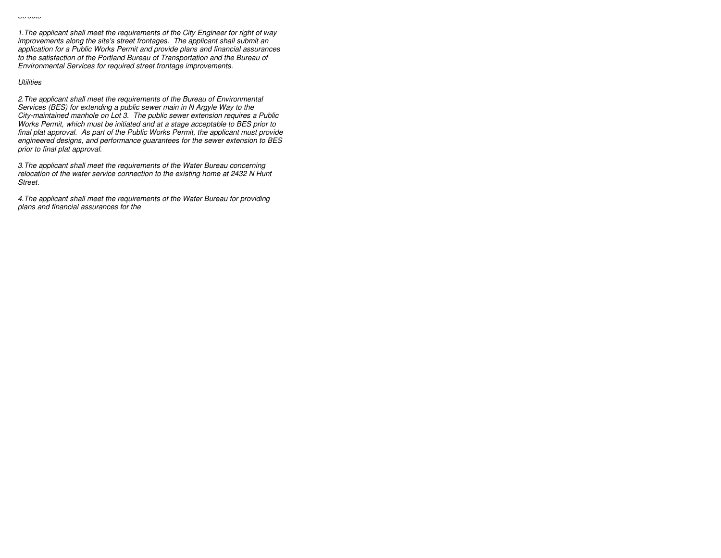1.The applicant shall meet the requirements of the City Engineer for right of wayimprovements along the site's street frontages. The applicant shall submit an application for a Public Works Permit and provide plans and financial assurancesto the satisfaction of the Portland Bureau of Transportation and the Bureau ofEnvironmental Services for required street frontage improvements.

#### **Utilities**

2.The applicant shall meet the requirements of the Bureau of EnvironmentalServices (BES) for extending a public sewer main in N Argyle Way to the City-maintained manhole on Lot 3. The public sewer extension requires a Public Works Permit, which must be initiated and at a stage acceptable to BES prior to final plat approval. As part of the Public Works Permit, the applicant must provide engineered designs, and performance guarantees for the sewer extension to BESprior to final plat approval.

3.The applicant shall meet the requirements of the Water Bureau concerning relocation of the water service connection to the existing home at 2432 N HuntStreet.

4.The applicant shall meet the requirements of the Water Bureau for providingplans and financial assurances for the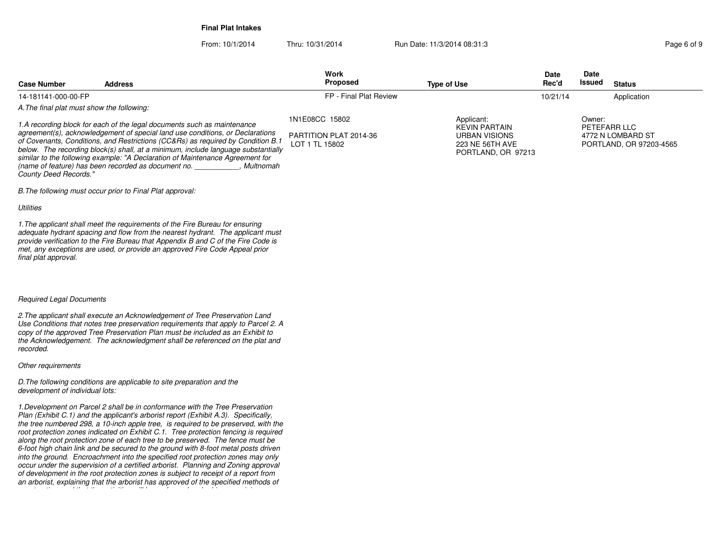**Final Plat Intakes**

From: 10/1/2014Thru: 10/31/2014 Run Date: 11/3/2014 08:31:3

**Case NumberWork** Proposed **AddressS** Proposed **Date Rec'dDateIssued Type of Use Issued Status** A.The final plat must show the following:1.A recording block for each of the legal documents such as maintenance agreement(s), acknowledgement of special land use conditions, or Declarations of Covenants, Conditions, and Restrictions (CC&Rs) as required by Condition B.1 below. The recording block(s) shall, at a minimum, include language substantiallysimilar to the following example: "A Declaration of Maintenance Agreement for14-181141-000-00-FP FP - Final Plat Review1N1E08CC 15802PARTITION PLAT 2014-36 LOT 1 TL 15802Applicant: KEVIN PARTAIN URBAN VISIONS 223 NE 56TH AVE PORTLAND, OR 97213Owner: PETEFARR LLC 4772 N LOMBARD ST PORTLAND, OR 97203-456510/21/14Application

B.The following must occur prior to Final Plat approval:

**Utilities** 

1.The applicant shall meet the requirements of the Fire Bureau for ensuring adequate hydrant spacing and flow from the nearest hydrant. The applicant must provide verification to the Fire Bureau that Appendix B and C of the Fire Code ismet, any exceptions are used, or provide an approved Fire Code Appeal priorfinal plat approval.

(name of feature) has been recorded as document no. \_\_\_\_\_\_\_\_\_\_\_, Multnomah

### Required Legal Documents

County Deed Records."

2.The applicant shall execute an Acknowledgement of Tree Preservation Land Use Conditions that notes tree preservation requirements that apply to Parcel 2. Acopy of the approved Tree Preservation Plan must be included as an Exhibit to the Acknowledgement. The acknowledgment shall be referenced on the plat andrecorded.

### Other requirements

D.The following conditions are applicable to site preparation and thedevelopment of individual lots:

1.Development on Parcel 2 shall be in conformance with the Tree Preservation Plan (Exhibit C.1) and the applicant's arborist report (Exhibit A.3). Specifically, the tree numbered 298, a 10-inch apple tree, is required to be preserved, with the root protection zones indicated on Exhibit C.1. Tree protection fencing is requiredalong the root protection zone of each tree to be preserved. The fence must be 6-foot high chain link and be secured to the ground with 8-foot metal posts driven into the ground. Encroachment into the specified root protection zones may only occur under the supervision of a certified arborist. Planning and Zoning approval of development in the root protection zones is subject to receipt of a report froman arborist, explaining that the arborist has approved of the specified methods of

construction, and that the activities will be performed under his supervision.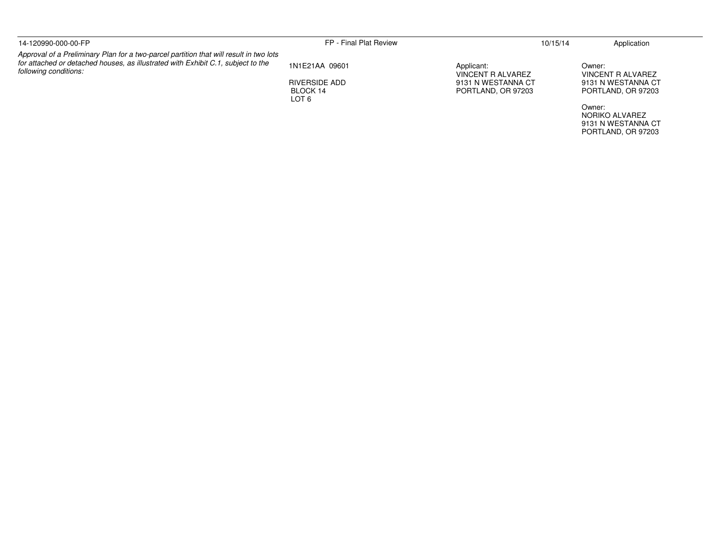| 14-120990-000-00-FP                                                                                                                                                                                 | FP - Final Plat Review                                          |                                                                             | 10/15/14 | Application                                                             |
|-----------------------------------------------------------------------------------------------------------------------------------------------------------------------------------------------------|-----------------------------------------------------------------|-----------------------------------------------------------------------------|----------|-------------------------------------------------------------------------|
| Approval of a Preliminary Plan for a two-parcel partition that will result in two lots<br>for attached or detached houses, as illustrated with Exhibit C.1, subject to the<br>following conditions: | 1N1E21AA 09601<br>RIVERSIDE ADD<br>BLOCK 14<br>LOT <sub>6</sub> | Applicant:<br>VINCENT R ALVAREZ<br>9131 N WESTANNA CT<br>PORTLAND, OR 97203 |          | Owner:<br>VINCENT R ALVAREZ<br>9131 N WESTANNA CT<br>PORTLAND, OR 97203 |
|                                                                                                                                                                                                     |                                                                 |                                                                             |          | Owner:<br>NORIKO ALVAREZ<br>9131 N WESTANNA CT                          |

PORTLAND, OR 97203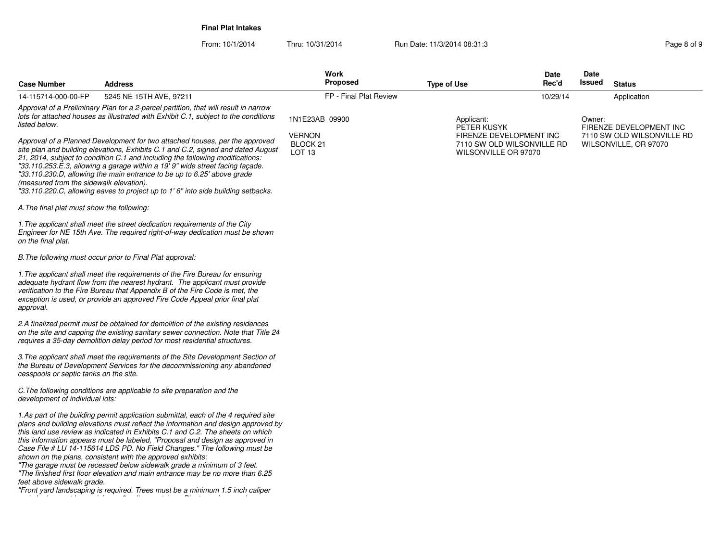**Final Plat Intakes**

| <b>Case Number</b>                         | Address                                                                                                                                                                                                                                                                                                                                                                                                                                                                                                                                                                                                                                                                                                                             | Work<br>Proposed                         | <b>Type of Use</b>                                   | Date<br>Rec'd | Date<br>Issued | <b>Status</b>                                         |
|--------------------------------------------|-------------------------------------------------------------------------------------------------------------------------------------------------------------------------------------------------------------------------------------------------------------------------------------------------------------------------------------------------------------------------------------------------------------------------------------------------------------------------------------------------------------------------------------------------------------------------------------------------------------------------------------------------------------------------------------------------------------------------------------|------------------------------------------|------------------------------------------------------|---------------|----------------|-------------------------------------------------------|
| 14-115714-000-00-FP                        | 5245 NE 15TH AVE, 97211                                                                                                                                                                                                                                                                                                                                                                                                                                                                                                                                                                                                                                                                                                             | FP - Final Plat Review                   |                                                      | 10/29/14      |                | Application                                           |
| listed below.                              | Approval of a Preliminary Plan for a 2-parcel partition, that will result in narrow<br>lots for attached houses as illustrated with Exhibit C.1, subject to the conditions                                                                                                                                                                                                                                                                                                                                                                                                                                                                                                                                                          | 1N1E23AB 09900<br><b>VERNON</b>          | Applicant:<br>PETER KUSYK<br>FIRENZE DEVELOPMENT INC |               | Owner:         | FIRENZE DEVELOPMENT INC<br>7110 SW OLD WILSONVILLE RD |
| (measured from the sidewalk elevation).    | Approval of a Planned Development for two attached houses, per the approved<br>site plan and building elevations, Exhibits C.1 and C.2, signed and dated August<br>21, 2014, subject to condition C.1 and including the following modifications:<br>"33.110.253.E.3, allowing a garage within a 19' 9" wide street facing façade.<br>"33.110.230.D, allowing the main entrance to be up to 6.25' above grade<br>"33.110.220.C, allowing eaves to project up to 1' 6" into side building setbacks.                                                                                                                                                                                                                                   | BLOCK <sub>21</sub><br>LOT <sub>13</sub> | 7110 SW OLD WILSONVILLE RD<br>WILSONVILLE OR 97070   |               |                | WILSONVILLE, OR 97070                                 |
| A. The final plat must show the following: |                                                                                                                                                                                                                                                                                                                                                                                                                                                                                                                                                                                                                                                                                                                                     |                                          |                                                      |               |                |                                                       |
| on the final plat.                         | 1. The applicant shall meet the street dedication requirements of the City<br>Engineer for NE 15th Ave. The required right-of-way dedication must be shown                                                                                                                                                                                                                                                                                                                                                                                                                                                                                                                                                                          |                                          |                                                      |               |                |                                                       |
|                                            | B. The following must occur prior to Final Plat approval:                                                                                                                                                                                                                                                                                                                                                                                                                                                                                                                                                                                                                                                                           |                                          |                                                      |               |                |                                                       |
| approval.                                  | 1. The applicant shall meet the requirements of the Fire Bureau for ensuring<br>adequate hydrant flow from the nearest hydrant. The applicant must provide<br>verification to the Fire Bureau that Appendix B of the Fire Code is met, the<br>exception is used, or provide an approved Fire Code Appeal prior final plat                                                                                                                                                                                                                                                                                                                                                                                                           |                                          |                                                      |               |                |                                                       |
|                                            | 2.A finalized permit must be obtained for demolition of the existing residences<br>on the site and capping the existing sanitary sewer connection. Note that Title 24<br>requires a 35-day demolition delay period for most residential structures.                                                                                                                                                                                                                                                                                                                                                                                                                                                                                 |                                          |                                                      |               |                |                                                       |
| cesspools or septic tanks on the site.     | 3. The applicant shall meet the requirements of the Site Development Section of<br>the Bureau of Development Services for the decommissioning any abandoned                                                                                                                                                                                                                                                                                                                                                                                                                                                                                                                                                                         |                                          |                                                      |               |                |                                                       |
| development of individual lots:            | C. The following conditions are applicable to site preparation and the                                                                                                                                                                                                                                                                                                                                                                                                                                                                                                                                                                                                                                                              |                                          |                                                      |               |                |                                                       |
| feet above sidewalk grade.                 | 1.As part of the building permit application submittal, each of the 4 required site<br>plans and building elevations must reflect the information and design approved by<br>this land use review as indicated in Exhibits C.1 and C.2. The sheets on which<br>this information appears must be labeled, "Proposal and design as approved in<br>Case File # LU 14-115614 LDS PD. No Field Changes." The following must be<br>shown on the plans, consistent with the approved exhibits:<br>"The garage must be recessed below sidewalk grade a minimum of 3 feet.<br>"The finished first floor elevation and main entrance may be no more than 6.25<br>"Front yard landscaping is required. Trees must be a minimum 1.5 inch caliper |                                          |                                                      |               |                |                                                       |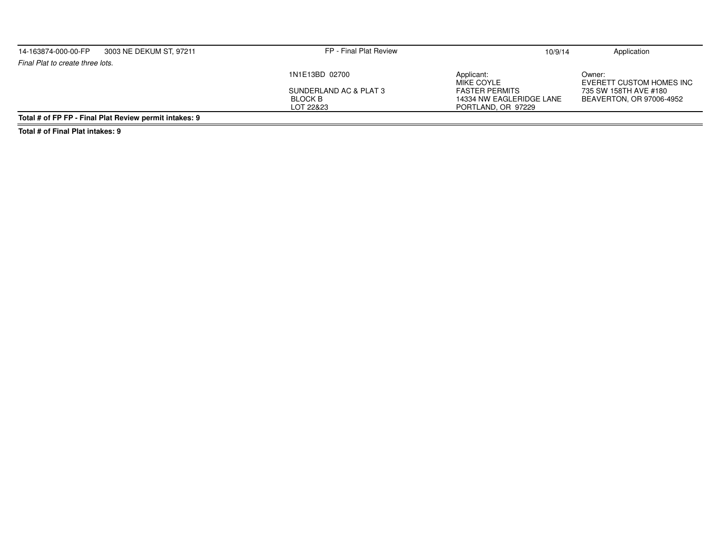| 14-163874-000-00-FP              | 3003 NE DEKUM ST, 97211                                | FP - Final Plat Review                   | 10/9/14                                           | Application                                       |
|----------------------------------|--------------------------------------------------------|------------------------------------------|---------------------------------------------------|---------------------------------------------------|
| Final Plat to create three lots. |                                                        |                                          |                                                   |                                                   |
|                                  |                                                        | 1N1E13BD 02700                           | Applicant:<br>MIKE COYLE                          | Owner:<br>EVERETT CUSTOM HOMES INC                |
|                                  |                                                        | SUNDERLAND AC & PLAT 3<br><b>BLOCK B</b> | <b>FASTER PERMITS</b><br>14334 NW EAGLERIDGE LANE | 735 SW 158TH AVE #180<br>BEAVERTON, OR 97006-4952 |
|                                  | Total # of FP FP - Final Plat Review permit intakes: 9 | LOT 22&23                                | PORTLAND, OR 97229                                |                                                   |

**Total # of Final Plat intakes: 9**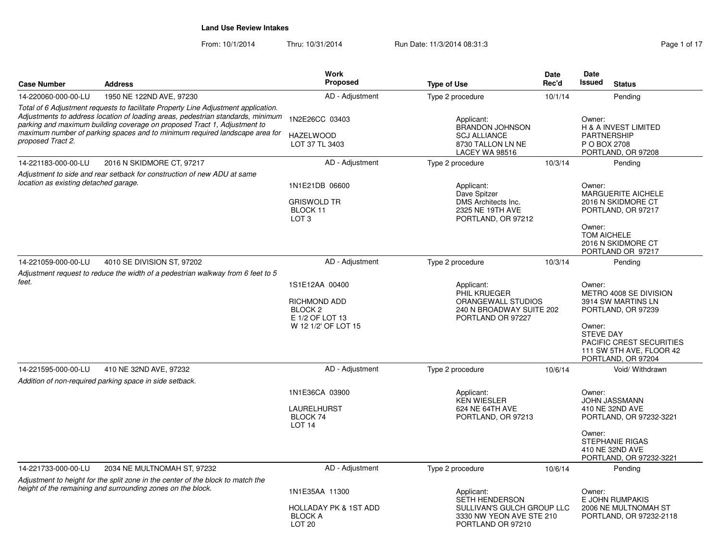| <b>Case Number</b>                    | <b>Address</b>                                                                                                                                                                                                                                                                                                                   | Work<br><b>Proposed</b>                                                                               | <b>Type of Use</b>                                                                                                 | <b>Date</b><br>Rec'd | Date<br>Issued                       | <b>Status</b>                                                                                                                                    |
|---------------------------------------|----------------------------------------------------------------------------------------------------------------------------------------------------------------------------------------------------------------------------------------------------------------------------------------------------------------------------------|-------------------------------------------------------------------------------------------------------|--------------------------------------------------------------------------------------------------------------------|----------------------|--------------------------------------|--------------------------------------------------------------------------------------------------------------------------------------------------|
| 14-220060-000-00-LU                   | 1950 NE 122ND AVE, 97230                                                                                                                                                                                                                                                                                                         | AD - Adjustment                                                                                       | Type 2 procedure                                                                                                   | 10/1/14              |                                      | Pending                                                                                                                                          |
| proposed Tract 2.                     | Total of 6 Adjustment requests to facilitate Property Line Adjustment application.<br>Adjustments to address location of loading areas, pedestrian standards, minimum<br>parking and maximum building coverage on proposed Tract 1, Adjustment to<br>maximum number of parking spaces and to minimum required landscape area for | 1N2E26CC 03403<br><b>HAZELWOOD</b><br>LOT 37 TL 3403                                                  | Applicant:<br><b>BRANDON JOHNSON</b><br><b>SCJ ALLIANCE</b><br>8730 TALLON LN NE<br><b>LACEY WA 98516</b>          |                      | Owner:<br>P O BOX 2708               | H & A INVEST LIMITED<br><b>PARTNERSHIP</b><br>PORTLAND, OR 97208                                                                                 |
| 14-221183-000-00-LU                   | 2016 N SKIDMORE CT, 97217                                                                                                                                                                                                                                                                                                        | AD - Adjustment                                                                                       | Type 2 procedure                                                                                                   | 10/3/14              |                                      | Pending                                                                                                                                          |
| location as existing detached garage. | Adjustment to side and rear setback for construction of new ADU at same                                                                                                                                                                                                                                                          | 1N1E21DB 06600<br><b>GRISWOLD TR</b><br>BLOCK 11<br>LOT <sub>3</sub>                                  | Applicant:<br>Dave Spitzer<br>DMS Architects Inc.<br>2325 NE 19TH AVE<br>PORTLAND, OR 97212                        |                      | Owner:<br>Owner:<br>TOM AICHELE      | <b>MARGUERITE AICHELE</b><br>2016 N SKIDMORE CT<br>PORTLAND, OR 97217<br>2016 N SKIDMORE CT<br>PORTLAND OR 97217                                 |
| 14-221059-000-00-LU                   | 4010 SE DIVISION ST, 97202                                                                                                                                                                                                                                                                                                       | AD - Adjustment                                                                                       | Type 2 procedure                                                                                                   | 10/3/14              |                                      | Pending                                                                                                                                          |
|                                       | Adjustment request to reduce the width of a pedestrian walkway from 6 feet to 5                                                                                                                                                                                                                                                  |                                                                                                       |                                                                                                                    |                      |                                      |                                                                                                                                                  |
| feet.                                 |                                                                                                                                                                                                                                                                                                                                  | 1S1E12AA 00400<br><b>RICHMOND ADD</b><br>BLOCK <sub>2</sub><br>E 1/2 OF LOT 13<br>W 12 1/2' OF LOT 15 | Applicant:<br>PHIL KRUEGER<br>ORANGEWALL STUDIOS<br>240 N BROADWAY SUITE 202<br>PORTLAND OR 97227                  |                      | Owner:<br>Owner:<br><b>STEVE DAY</b> | METRO 4008 SE DIVISION<br>3914 SW MARTINS LN<br>PORTLAND, OR 97239<br>PACIFIC CREST SECURITIES<br>111 SW 5TH AVE, FLOOR 42<br>PORTLAND, OR 97204 |
| 14-221595-000-00-LU                   | 410 NE 32ND AVE, 97232                                                                                                                                                                                                                                                                                                           | AD - Adjustment                                                                                       | Type 2 procedure                                                                                                   | 10/6/14              |                                      | Void/ Withdrawn                                                                                                                                  |
|                                       | Addition of non-required parking space in side setback.                                                                                                                                                                                                                                                                          | 1N1E36CA 03900<br>LAURELHURST<br>BLOCK 74<br>LOT <sub>14</sub>                                        | Applicant:<br><b>KEN WIESLER</b><br>624 NE 64TH AVE<br>PORTLAND, OR 97213                                          |                      | Owner:<br>Owner:                     | <b>JOHN JASSMANN</b><br>410 NE 32ND AVE<br>PORTLAND, OR 97232-3221<br><b>STEPHANIE RIGAS</b><br>410 NE 32ND AVE<br>PORTLAND, OR 97232-3221       |
| 14-221733-000-00-LU                   | 2034 NE MULTNOMAH ST, 97232                                                                                                                                                                                                                                                                                                      | AD - Adjustment                                                                                       | Type 2 procedure                                                                                                   | 10/6/14              |                                      | Pending                                                                                                                                          |
|                                       | Adjustment to height for the split zone in the center of the block to match the<br>height of the remaining and surrounding zones on the block.                                                                                                                                                                                   | 1N1E35AA 11300<br><b>HOLLADAY PK &amp; 1ST ADD</b><br><b>BLOCK A</b><br>LOT <sub>20</sub>             | Applicant:<br><b>SETH HENDERSON</b><br>SULLIVAN'S GULCH GROUP LLC<br>3330 NW YEON AVE STE 210<br>PORTLAND OR 97210 |                      | Owner:                               | E JOHN RUMPAKIS<br>2006 NE MULTNOMAH ST<br>PORTLAND, OR 97232-2118                                                                               |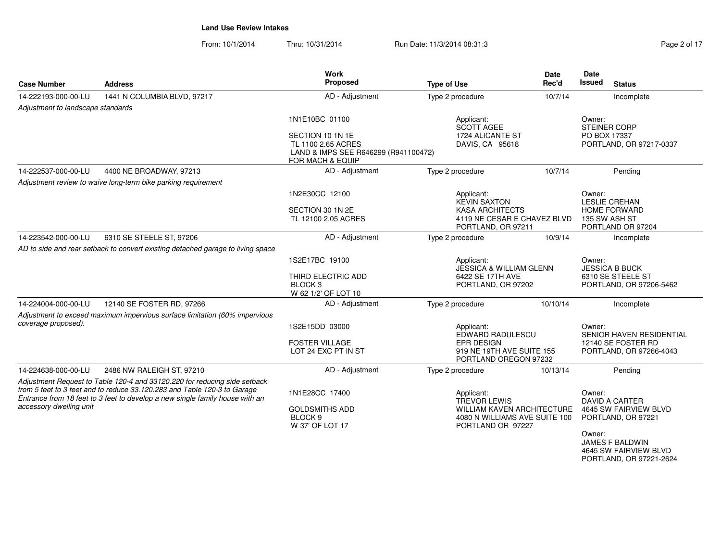| Page 2 of 17 |  |  |
|--------------|--|--|
|              |  |  |

| <b>Case Number</b>                | <b>Address</b>                                                                                                                                           | Work<br>Proposed                                                                                              | <b>Type of Use</b>                                                                      | Date<br>Rec'd | Date<br><b>Issued</b><br><b>Status</b>                                        |
|-----------------------------------|----------------------------------------------------------------------------------------------------------------------------------------------------------|---------------------------------------------------------------------------------------------------------------|-----------------------------------------------------------------------------------------|---------------|-------------------------------------------------------------------------------|
| 14-222193-000-00-LU               | 1441 N COLUMBIA BLVD, 97217                                                                                                                              | AD - Adjustment                                                                                               | Type 2 procedure                                                                        | 10/7/14       | Incomplete                                                                    |
| Adjustment to landscape standards |                                                                                                                                                          |                                                                                                               |                                                                                         |               |                                                                               |
|                                   |                                                                                                                                                          | 1N1E10BC 01100                                                                                                | Applicant:<br><b>SCOTT AGEE</b>                                                         |               | Owner:<br>STEINER CORP                                                        |
|                                   |                                                                                                                                                          | SECTION 10 1N 1E<br>TL 1100 2.65 ACRES<br>LAND & IMPS SEE R646299 (R941100472)<br><b>FOR MACH &amp; EQUIP</b> | 1724 ALICANTE ST<br>DAVIS, CA 95618                                                     |               | PO BOX 17337<br>PORTLAND, OR 97217-0337                                       |
| 14-222537-000-00-LU               | 4400 NE BROADWAY, 97213                                                                                                                                  | AD - Adjustment                                                                                               | Type 2 procedure                                                                        | 10/7/14       | Pending                                                                       |
|                                   | Adjustment review to waive long-term bike parking requirement                                                                                            |                                                                                                               |                                                                                         |               |                                                                               |
|                                   |                                                                                                                                                          | 1N2E30CC 12100                                                                                                | Applicant:<br><b>KEVIN SAXTON</b>                                                       |               | Owner:<br>LESLIE CREHAN                                                       |
|                                   |                                                                                                                                                          | SECTION 30 1N 2E                                                                                              | <b>KASA ARCHITECTS</b>                                                                  |               | <b>HOME FORWARD</b>                                                           |
|                                   |                                                                                                                                                          | TL 12100 2.05 ACRES                                                                                           | 4119 NE CESAR E CHAVEZ BLVD<br>PORTLAND, OR 97211                                       |               | 135 SW ASH ST<br>PORTLAND OR 97204                                            |
| 14-223542-000-00-LU               | 6310 SE STEELE ST, 97206                                                                                                                                 | AD - Adjustment                                                                                               | Type 2 procedure                                                                        | 10/9/14       | Incomplete                                                                    |
|                                   | AD to side and rear setback to convert existing detached garage to living space                                                                          |                                                                                                               |                                                                                         |               |                                                                               |
|                                   |                                                                                                                                                          | 1S2E17BC 19100                                                                                                | Applicant:<br><b>JESSICA &amp; WILLIAM GLENN</b>                                        |               | Owner:<br><b>JESSICA B BUCK</b>                                               |
|                                   |                                                                                                                                                          | THIRD ELECTRIC ADD                                                                                            | 6422 SE 17TH AVE                                                                        |               | 6310 SE STEELE ST                                                             |
|                                   |                                                                                                                                                          | BLOCK <sub>3</sub><br>W 62 1/2' OF LOT 10                                                                     | PORTLAND, OR 97202                                                                      |               | PORTLAND, OR 97206-5462                                                       |
| 14-224004-000-00-LU               | 12140 SE FOSTER RD, 97266                                                                                                                                | AD - Adjustment                                                                                               | Type 2 procedure                                                                        | 10/10/14      | Incomplete                                                                    |
|                                   | Adjustment to exceed maximum impervious surface limitation (60% impervious                                                                               |                                                                                                               |                                                                                         |               |                                                                               |
| coverage proposed).               |                                                                                                                                                          | 1S2E15DD 03000                                                                                                | Applicant:<br>EDWARD RADULESCU                                                          |               | Owner:<br><b>SENIOR HAVEN RESIDENTIAL</b>                                     |
|                                   |                                                                                                                                                          | <b>FOSTER VILLAGE</b>                                                                                         | <b>EPR DESIGN</b>                                                                       |               | 12140 SE FOSTER RD                                                            |
|                                   |                                                                                                                                                          | LOT 24 EXC PT IN ST                                                                                           | 919 NE 19TH AVE SUITE 155<br>PORTLAND OREGON 97232                                      |               | PORTLAND, OR 97266-4043                                                       |
| 14-224638-000-00-LU               | 2486 NW RALEIGH ST, 97210                                                                                                                                | AD - Adjustment                                                                                               | Type 2 procedure                                                                        | 10/13/14      | Pending                                                                       |
|                                   | Adjustment Request to Table 120-4 and 33120.220 for reducing side setback                                                                                |                                                                                                               |                                                                                         |               |                                                                               |
|                                   | from 5 feet to 3 feet and to reduce 33.120.283 and Table 120-3 to Garage<br>Entrance from 18 feet to 3 feet to develop a new single family house with an | 1N1E28CC 17400                                                                                                | Applicant:<br><b>TREVOR LEWIS</b>                                                       |               | Owner:<br><b>DAVID A CARTER</b>                                               |
| accessory dwelling unit           |                                                                                                                                                          | <b>GOLDSMITHS ADD</b><br>BLOCK <sub>9</sub><br>W 37' OF LOT 17                                                | <b>WILLIAM KAVEN ARCHITECTURE</b><br>4080 N WILLIAMS AVE SUITE 100<br>PORTLAND OR 97227 |               | 4645 SW FAIRVIEW BLVD<br>PORTLAND, OR 97221                                   |
|                                   |                                                                                                                                                          |                                                                                                               |                                                                                         |               | Owner:<br>JAMES F BALDWIN<br>4645 SW FAIRVIEW BLVD<br>PORTLAND, OR 97221-2624 |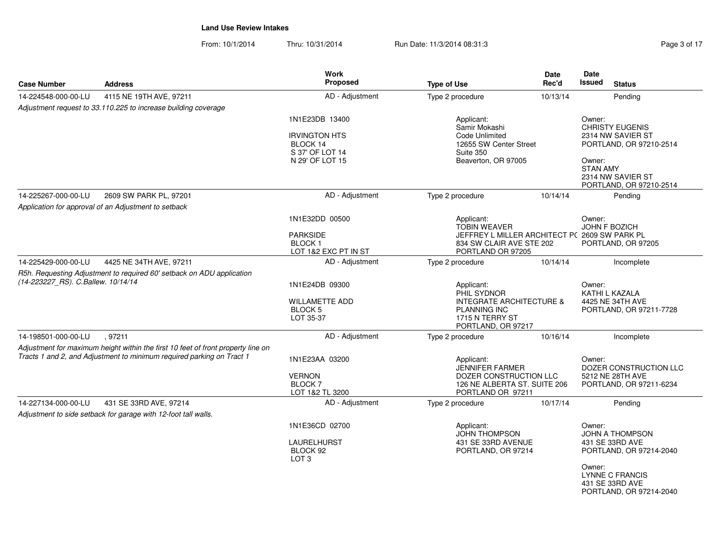|                                                                                                                                                           | <b>Work</b>                                                                                                                                                                          |                                                                                           | <b>Date</b>                                             | Date<br><b>Issued</b>                                                                                                                                                                                                     |
|-----------------------------------------------------------------------------------------------------------------------------------------------------------|--------------------------------------------------------------------------------------------------------------------------------------------------------------------------------------|-------------------------------------------------------------------------------------------|---------------------------------------------------------|---------------------------------------------------------------------------------------------------------------------------------------------------------------------------------------------------------------------------|
|                                                                                                                                                           |                                                                                                                                                                                      |                                                                                           |                                                         | <b>Status</b>                                                                                                                                                                                                             |
|                                                                                                                                                           |                                                                                                                                                                                      |                                                                                           |                                                         | Pending                                                                                                                                                                                                                   |
|                                                                                                                                                           | 1N1E23DB 13400                                                                                                                                                                       | Applicant:                                                                                |                                                         | Owner:                                                                                                                                                                                                                    |
|                                                                                                                                                           | <b>IRVINGTON HTS</b><br>BLOCK 14<br>S 37' OF LOT 14<br>N 29' OF LOT 15                                                                                                               | Code Unlimited<br>Suite 350<br>Beaverton, OR 97005                                        |                                                         | <b>CHRISTY EUGENIS</b><br>2314 NW SAVIER ST<br>PORTLAND, OR 97210-2514<br>Owner:<br><b>STAN AMY</b><br>2314 NW SAVIER ST<br>PORTLAND, OR 97210-2514                                                                       |
| 2609 SW PARK PL, 97201                                                                                                                                    | AD - Adjustment                                                                                                                                                                      | Type 2 procedure                                                                          | 10/14/14                                                | Pending                                                                                                                                                                                                                   |
| Application for approval of an Adjustment to setback                                                                                                      |                                                                                                                                                                                      |                                                                                           |                                                         |                                                                                                                                                                                                                           |
|                                                                                                                                                           | 1N1E32DD 00500<br><b>PARKSIDE</b><br><b>BLOCK1</b><br>LOT 1&2 EXC PT IN ST                                                                                                           | Applicant:<br><b>TOBIN WEAVER</b><br>PORTLAND OR 97205                                    |                                                         | Owner:<br>JOHN F BOZICH<br>PORTLAND, OR 97205                                                                                                                                                                             |
| 4425 NE 34TH AVE, 97211                                                                                                                                   | AD - Adjustment                                                                                                                                                                      | Type 2 procedure                                                                          | 10/14/14                                                | Incomplete                                                                                                                                                                                                                |
| (14-223227_RS). C.Ballew. 10/14/14                                                                                                                        | 1N1E24DB 09300<br><b>WILLAMETTE ADD</b><br><b>BLOCK 5</b><br>LOT 35-37                                                                                                               | Applicant:<br>PHIL SYDNOR<br><b>PLANNING INC</b><br>1715 N TERRY ST<br>PORTLAND, OR 97217 |                                                         | Owner:<br>KATHI L KAZALA<br>4425 NE 34TH AVE<br>PORTLAND, OR 97211-7728                                                                                                                                                   |
| . 97211                                                                                                                                                   |                                                                                                                                                                                      | Type 2 procedure                                                                          | 10/16/14                                                | Incomplete                                                                                                                                                                                                                |
| Adjustment for maximum height within the first 10 feet of front property line on<br>Tracts 1 and 2, and Adjustment to minimum required parking on Tract 1 | 1N1E23AA 03200<br><b>VERNON</b><br><b>BLOCK7</b><br>LOT 1&2 TL 3200                                                                                                                  | Applicant:<br>JENNIFER FARMER<br>PORTLAND OR 97211                                        |                                                         | Owner:<br>DOZER CONSTRUCTION LLC<br>5212 NE 28TH AVE<br>PORTLAND, OR 97211-6234                                                                                                                                           |
| 431 SE 33RD AVE, 97214                                                                                                                                    | AD - Adjustment                                                                                                                                                                      | Type 2 procedure                                                                          | 10/17/14                                                | Pending                                                                                                                                                                                                                   |
| Adjustment to side setback for garage with 12-foot tall walls.                                                                                            |                                                                                                                                                                                      |                                                                                           |                                                         |                                                                                                                                                                                                                           |
|                                                                                                                                                           | 1N1E36CD 02700<br><b>LAURELHURST</b><br>BLOCK 92<br>LOT <sub>3</sub>                                                                                                                 | Applicant:<br><b>JOHN THOMPSON</b><br>431 SE 33RD AVENUE<br>PORTLAND, OR 97214            |                                                         | Owner:<br>JOHN A THOMPSON<br>431 SE 33RD AVE<br>PORTLAND, OR 97214-2040<br>Owner:<br>LYNNE C FRANCIS<br>431 SE 33RD AVE<br>PORTLAND, OR 97214-2040                                                                        |
|                                                                                                                                                           | <b>Address</b><br>4115 NE 19TH AVE, 97211<br>Adjustment request to 33.110.225 to increase building coverage<br>R5h. Requesting Adjustment to required 60' setback on ADU application | <b>Proposed</b><br>AD - Adjustment<br>AD - Adjustment                                     | <b>Type of Use</b><br>Type 2 procedure<br>Samir Mokashi | Rec'd<br>10/13/14<br>12655 SW Center Street<br>JEFFREY L MILLER ARCHITECT P( 2609 SW PARK PL<br>834 SW CLAIR AVE STE 202<br><b>INTEGRATE ARCHITECTURE &amp;</b><br>DOZER CONSTRUCTION LLC<br>126 NE ALBERTA ST. SUITE 206 |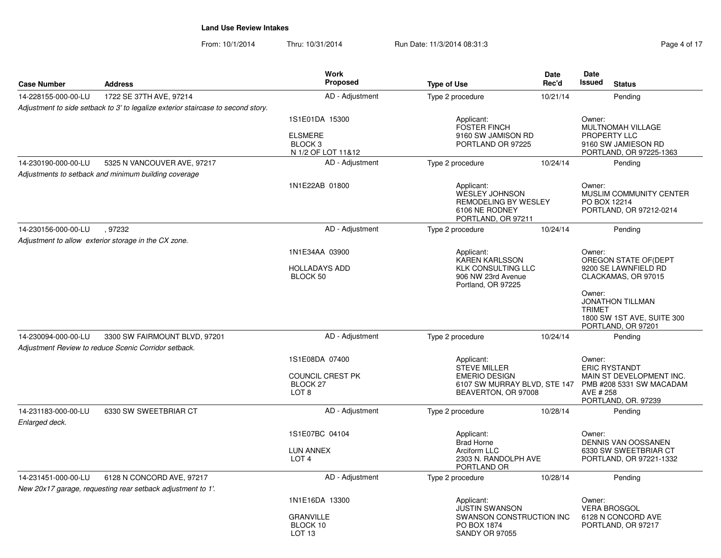| Page 4 of 17 |  |
|--------------|--|
|--------------|--|

| <b>Case Number</b>                    | <b>Address</b>                                                                        | <b>Work</b><br>Proposed                                                       | <b>Type of Use</b>                                                                                        | <b>Date</b><br>Rec'd | Date<br><b>Issued</b><br><b>Status</b>                                                                                     |
|---------------------------------------|---------------------------------------------------------------------------------------|-------------------------------------------------------------------------------|-----------------------------------------------------------------------------------------------------------|----------------------|----------------------------------------------------------------------------------------------------------------------------|
| 14-228155-000-00-LU                   | 1722 SE 37TH AVE, 97214                                                               | AD - Adjustment                                                               | Type 2 procedure                                                                                          | 10/21/14             | Pending                                                                                                                    |
|                                       | Adjustment to side setback to 3' to legalize exterior staircase to second story.      |                                                                               |                                                                                                           |                      |                                                                                                                            |
|                                       |                                                                                       | 1S1E01DA 15300<br><b>ELSMERE</b><br>BLOCK <sub>3</sub><br>N 1/2 OF LOT 11&12  | Applicant:<br><b>FOSTER FINCH</b><br>9160 SW JAMISON RD<br>PORTLAND OR 97225                              |                      | Owner:<br>MULTNOMAH VILLAGE<br>PROPERTY LLC<br>9160 SW JAMIESON RD<br>PORTLAND, OR 97225-1363                              |
| 14-230190-000-00-LU                   | 5325 N VANCOUVER AVE, 97217                                                           | AD - Adjustment                                                               | Type 2 procedure                                                                                          | 10/24/14             | Pending                                                                                                                    |
|                                       | Adjustments to setback and minimum building coverage                                  |                                                                               |                                                                                                           |                      |                                                                                                                            |
|                                       |                                                                                       | 1N1E22AB 01800                                                                | Applicant:<br><b>WESLEY JOHNSON</b><br>REMODELING BY WESLEY<br>6106 NE RODNEY<br>PORTLAND, OR 97211       |                      | Owner:<br>MUSLIM COMMUNITY CENTER<br>PO BOX 12214<br>PORTLAND, OR 97212-0214                                               |
| 14-230156-000-00-LU                   | .97232                                                                                | AD - Adjustment                                                               | Type 2 procedure                                                                                          | 10/24/14             | Pending                                                                                                                    |
|                                       | Adjustment to allow exterior storage in the CX zone.                                  |                                                                               |                                                                                                           |                      |                                                                                                                            |
|                                       |                                                                                       | 1N1E34AA 03900<br><b>HOLLADAYS ADD</b><br>BLOCK 50                            | Applicant:<br>KAREN KARLSSON<br><b>KLK CONSULTING LLC</b><br>906 NW 23rd Avenue<br>Portland, OR 97225     |                      | Owner:<br>OREGON STATE OF (DEPT<br>9200 SE LAWNFIELD RD<br>CLACKAMAS, OR 97015                                             |
|                                       |                                                                                       |                                                                               |                                                                                                           |                      | Owner:<br><b>JONATHON TILLMAN</b><br><b>TRIMET</b><br>1800 SW 1ST AVE, SUITE 300<br>PORTLAND, OR 97201                     |
| 14-230094-000-00-LU                   | 3300 SW FAIRMOUNT BLVD, 97201<br>Adjustment Review to reduce Scenic Corridor setback. | AD - Adjustment                                                               | Type 2 procedure                                                                                          | 10/24/14             | Pending                                                                                                                    |
|                                       |                                                                                       | 1S1E08DA 07400<br>COUNCIL CREST PK<br>BLOCK <sub>27</sub><br>LOT <sub>8</sub> | Applicant:<br>STEVE MILLER<br><b>EMERIO DESIGN</b><br>6107 SW MURRAY BLVD, STE 147<br>BEAVERTON, OR 97008 |                      | Owner:<br><b>ERIC RYSTANDT</b><br>MAIN ST DEVELOPMENT INC.<br>PMB #208 5331 SW MACADAM<br>AVE # 258<br>PORTLAND, OR. 97239 |
| 14-231183-000-00-LU<br>Enlarged deck. | 6330 SW SWEETBRIAR CT                                                                 | AD - Adjustment                                                               | Type 2 procedure                                                                                          | 10/28/14             | Pending                                                                                                                    |
|                                       |                                                                                       | 1S1E07BC 04104                                                                | Applicant:                                                                                                |                      | Owner:                                                                                                                     |
|                                       |                                                                                       | <b>LUN ANNEX</b><br>LOT <sub>4</sub>                                          | <b>Brad Horne</b><br>Arciform LLC<br>2303 N. RANDOLPH AVE<br>PORTLAND OR                                  |                      | <b>DENNIS VAN OOSSANEN</b><br>6330 SW SWEETBRIAR CT<br>PORTLAND, OR 97221-1332                                             |
| 14-231451-000-00-LU                   | 6128 N CONCORD AVE, 97217                                                             | AD - Adjustment                                                               | Type 2 procedure                                                                                          | 10/28/14             | Pending                                                                                                                    |
|                                       | New 20x17 garage, requesting rear setback adjustment to 1'.                           |                                                                               |                                                                                                           |                      |                                                                                                                            |
|                                       |                                                                                       | 1N1E16DA 13300<br><b>GRANVILLE</b><br>BLOCK 10<br>LOT <sub>13</sub>           | Applicant:<br><b>JUSTIN SWANSON</b><br>SWANSON CONSTRUCTION INC<br>PO BOX 1874<br><b>SANDY OR 97055</b>   |                      | Owner:<br><b>VERA BROSGOL</b><br>6128 N CONCORD AVE<br>PORTLAND, OR 97217                                                  |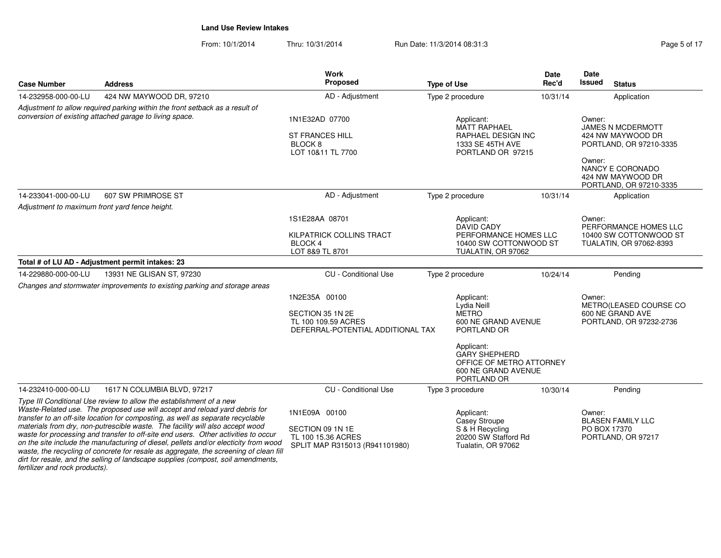| <b>Case Number</b>                                                                                                                                                                                                                                                                                                                                                                                                                                                                                                                                                                                                                                                                                                  | <b>Address</b>                                                                                                                                                             | Work<br><b>Proposed</b>                                                                       | <b>Type of Use</b>                                                                                   | Date<br>Rec'd | Date<br><b>Issued</b><br><b>Status</b>                                                |
|---------------------------------------------------------------------------------------------------------------------------------------------------------------------------------------------------------------------------------------------------------------------------------------------------------------------------------------------------------------------------------------------------------------------------------------------------------------------------------------------------------------------------------------------------------------------------------------------------------------------------------------------------------------------------------------------------------------------|----------------------------------------------------------------------------------------------------------------------------------------------------------------------------|-----------------------------------------------------------------------------------------------|------------------------------------------------------------------------------------------------------|---------------|---------------------------------------------------------------------------------------|
| 14-232958-000-00-LU                                                                                                                                                                                                                                                                                                                                                                                                                                                                                                                                                                                                                                                                                                 | 424 NW MAYWOOD DR, 97210                                                                                                                                                   | AD - Adjustment                                                                               | Type 2 procedure                                                                                     | 10/31/14      | Application                                                                           |
|                                                                                                                                                                                                                                                                                                                                                                                                                                                                                                                                                                                                                                                                                                                     | Adjustment to allow required parking within the front setback as a result of<br>conversion of existing attached garage to living space.                                    | 1N1E32AD 07700<br><b>ST FRANCES HILL</b><br>BLOCK <sub>8</sub><br>LOT 10&11 TL 7700           | Applicant:<br><b>MATT RAPHAEL</b><br>RAPHAEL DESIGN INC<br>1333 SE 45TH AVE<br>PORTLAND OR 97215     |               | Owner:<br>JAMES N MCDERMOTT<br>424 NW MAYWOOD DR<br>PORTLAND, OR 97210-3335<br>Owner: |
|                                                                                                                                                                                                                                                                                                                                                                                                                                                                                                                                                                                                                                                                                                                     |                                                                                                                                                                            |                                                                                               |                                                                                                      |               | NANCY E CORONADO<br>424 NW MAYWOOD DR<br>PORTLAND, OR 97210-3335                      |
| 14-233041-000-00-LU                                                                                                                                                                                                                                                                                                                                                                                                                                                                                                                                                                                                                                                                                                 | 607 SW PRIMROSE ST                                                                                                                                                         | AD - Adjustment                                                                               | Type 2 procedure                                                                                     | 10/31/14      | Application                                                                           |
|                                                                                                                                                                                                                                                                                                                                                                                                                                                                                                                                                                                                                                                                                                                     | Adjustment to maximum front yard fence height.<br>1S1E28AA 08701<br>Applicant:<br><b>DAVID CADY</b><br><b>KILPATRICK COLLINS TRACT</b><br><b>BLOCK4</b><br>LOT 8&9 TL 8701 |                                                                                               | PERFORMANCE HOMES LLC<br>10400 SW COTTONWOOD ST<br>TUALATIN, OR 97062                                |               | Owner:<br>PERFORMANCE HOMES LLC<br>10400 SW COTTONWOOD ST<br>TUALATIN, OR 97062-8393  |
|                                                                                                                                                                                                                                                                                                                                                                                                                                                                                                                                                                                                                                                                                                                     | Total # of LU AD - Adjustment permit intakes: 23                                                                                                                           |                                                                                               |                                                                                                      |               |                                                                                       |
| 14-229880-000-00-LU                                                                                                                                                                                                                                                                                                                                                                                                                                                                                                                                                                                                                                                                                                 | 13931 NE GLISAN ST, 97230<br>Changes and stormwater improvements to existing parking and storage areas                                                                     | <b>CU</b> - Conditional Use                                                                   | Type 2 procedure                                                                                     | 10/24/14      | Pending                                                                               |
|                                                                                                                                                                                                                                                                                                                                                                                                                                                                                                                                                                                                                                                                                                                     |                                                                                                                                                                            | 1N2E35A 00100<br>SECTION 35 1N 2E<br>TL 100 109.59 ACRES<br>DEFERRAL-POTENTIAL ADDITIONAL TAX | Applicant:<br>Lydia Neill<br><b>METRO</b><br>600 NE GRAND AVENUE<br>PORTLAND OR                      |               | Owner:<br>METRO(LEASED COURSE CO<br>600 NE GRAND AVE<br>PORTLAND, OR 97232-2736       |
|                                                                                                                                                                                                                                                                                                                                                                                                                                                                                                                                                                                                                                                                                                                     |                                                                                                                                                                            |                                                                                               | Applicant:<br><b>GARY SHEPHERD</b><br>OFFICE OF METRO ATTORNEY<br>600 NE GRAND AVENUE<br>PORTLAND OR |               |                                                                                       |
| 14-232410-000-00-LU                                                                                                                                                                                                                                                                                                                                                                                                                                                                                                                                                                                                                                                                                                 | 1617 N COLUMBIA BLVD, 97217                                                                                                                                                | <b>CU</b> - Conditional Use                                                                   | Type 3 procedure                                                                                     | 10/30/14      | Pending                                                                               |
| Type III Conditional Use review to allow the establishment of a new<br>Waste-Related use. The proposed use will accept and reload yard debris for<br>transfer to an off-site location for composting, as well as separate recyclable<br>materials from dry, non-putrescible waste. The facility will also accept wood<br>waste for processing and transfer to off-site end users. Other activities to occur<br>on the site include the manufacturing of diesel, pellets and/or electicity from wood<br>waste, the recycling of concrete for resale as aggregate, the screening of clean fill<br>dirt for resale, and the selling of landscape supplies (compost, soil amendments,<br>fertilizer and rock products). |                                                                                                                                                                            | 1N1E09A 00100<br>SECTION 09 1N 1E<br>TL 100 15.36 ACRES<br>SPLIT MAP R315013 (R941101980)     | Applicant:<br><b>Casey Stroupe</b><br>S & H Recycling<br>20200 SW Stafford Rd<br>Tualatin, OR 97062  |               | Owner:<br><b>BLASEN FAMILY LLC</b><br>PO BOX 17370<br>PORTLAND, OR 97217              |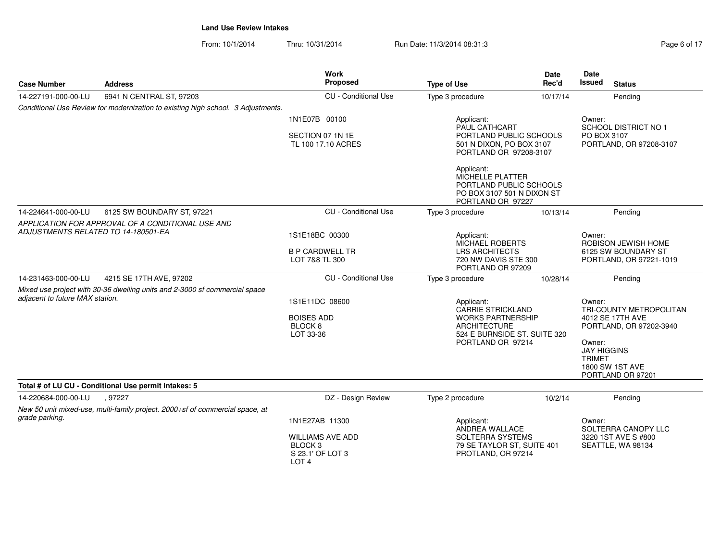| Page 6 of |  |
|-----------|--|

| <b>Case Number</b>              | <b>Address</b>                                                                                                                                         | Work<br>Proposed                                                       | <b>Type of Use</b>                                                                                           | <b>Date</b><br>Rec'd                                                                                                                      | Date<br>Issued<br><b>Status</b>                                                 |
|---------------------------------|--------------------------------------------------------------------------------------------------------------------------------------------------------|------------------------------------------------------------------------|--------------------------------------------------------------------------------------------------------------|-------------------------------------------------------------------------------------------------------------------------------------------|---------------------------------------------------------------------------------|
| 14-227191-000-00-LU             | 6941 N CENTRAL ST, 97203                                                                                                                               | CU - Conditional Use                                                   | Type 3 procedure                                                                                             | 10/17/14                                                                                                                                  | Pending                                                                         |
|                                 | Conditional Use Review for modernization to existing high school. 3 Adjustments.                                                                       |                                                                        |                                                                                                              |                                                                                                                                           |                                                                                 |
|                                 |                                                                                                                                                        | 1N1E07B 00100<br>SECTION 07 1N 1E<br>TL 100 17.10 ACRES                | Applicant:<br>PAUL CATHCART<br>PORTLAND PUBLIC SCHOOLS<br>501 N DIXON, PO BOX 3107<br>PORTLAND OR 97208-3107 |                                                                                                                                           | Owner:<br><b>SCHOOL DISTRICT NO 1</b><br>PO BOX 3107<br>PORTLAND, OR 97208-3107 |
|                                 |                                                                                                                                                        |                                                                        | Applicant:<br>MICHELLE PLATTER<br>PORTLAND PUBLIC SCHOOLS<br>PO BOX 3107 501 N DIXON ST<br>PORTLAND OR 97227 |                                                                                                                                           |                                                                                 |
| 14-224641-000-00-LU             | 6125 SW BOUNDARY ST, 97221                                                                                                                             | <b>CU</b> - Conditional Use                                            | Type 3 procedure                                                                                             | 10/13/14                                                                                                                                  | Pending                                                                         |
|                                 | APPLICATION FOR APPROVAL OF A CONDITIONAL USE AND<br>ADJUSTMENTS RELATED TO 14-180501-EA<br>1S1E18BC 00300<br><b>B P CARDWELL TR</b><br>LOT 7&8 TL 300 |                                                                        | Applicant:<br><b>LRS ARCHITECTS</b>                                                                          | MICHAEL ROBERTS<br>720 NW DAVIS STE 300                                                                                                   |                                                                                 |
| 14-231463-000-00-LU             | 4215 SE 17TH AVE, 97202                                                                                                                                | CU - Conditional Use                                                   | PORTLAND OR 97209                                                                                            |                                                                                                                                           | Pending                                                                         |
| adjacent to future MAX station. | Mixed use project with 30-36 dwelling units and 2-3000 sf commercial space                                                                             | 1S1E11DC 08600<br><b>BOISES ADD</b><br>BLOCK <sub>8</sub><br>LOT 33-36 | Applicant:<br><b>ARCHITECTURE</b>                                                                            | Type 3 procedure<br>10/28/14<br><b>CARRIE STRICKLAND</b><br><b>WORKS PARTNERSHIP</b><br>524 E BURNSIDE ST. SUITE 320<br>PORTLAND OR 97214 |                                                                                 |
|                                 | Total # of LU CU - Conditional Use permit intakes: 5                                                                                                   |                                                                        |                                                                                                              |                                                                                                                                           |                                                                                 |
| 14-220684-000-00-LU             | .97227                                                                                                                                                 | DZ - Design Review                                                     | Type 2 procedure                                                                                             | 10/2/14                                                                                                                                   | Pending                                                                         |
| grade parking.                  | New 50 unit mixed-use, multi-family project. 2000+sf of commercial space, at                                                                           | 1N1E27AB 11300<br><b>WILLIAMS AVE ADD</b><br>BLOCK <sub>3</sub>        | Applicant:<br>ANDREA WALLACE<br>SOLTERRA SYSTEMS<br>79 SE TAYLOR ST, SUITE 401                               |                                                                                                                                           | Owner:<br>SOLTERRA CANOPY LLC<br>3220 1ST AVE S #800<br>SEATTLE, WA 98134       |
|                                 |                                                                                                                                                        | S 23.1' OF LOT 3<br>LOT <sub>4</sub>                                   | PROTLAND, OR 97214                                                                                           |                                                                                                                                           |                                                                                 |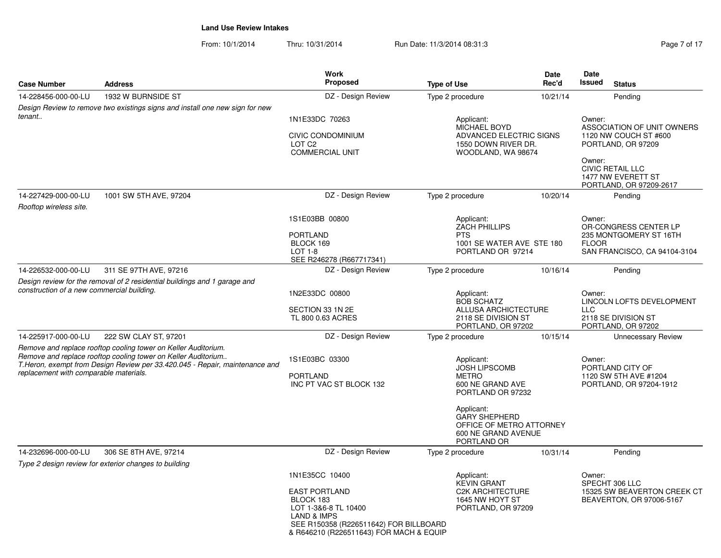| Page 7 of 17 |  |  |
|--------------|--|--|

| <b>Case Number</b>                         | <b>Address</b>                                                                                                                                | <b>Work</b><br>Proposed                                                             | <b>Type of Use</b>                                                                                   | <b>Date</b><br>Rec'd                                              | Date<br>Issued                                                                                  | <b>Status</b>                                                            |  |
|--------------------------------------------|-----------------------------------------------------------------------------------------------------------------------------------------------|-------------------------------------------------------------------------------------|------------------------------------------------------------------------------------------------------|-------------------------------------------------------------------|-------------------------------------------------------------------------------------------------|--------------------------------------------------------------------------|--|
| 14-228456-000-00-LU                        | 1932 W BURNSIDE ST                                                                                                                            | DZ - Design Review                                                                  | Type 2 procedure                                                                                     | 10/21/14                                                          |                                                                                                 | Pending                                                                  |  |
|                                            | Design Review to remove two existings signs and install one new sign for new                                                                  |                                                                                     |                                                                                                      |                                                                   |                                                                                                 |                                                                          |  |
| tenant                                     |                                                                                                                                               | 1N1E33DC 70263                                                                      | Applicant:                                                                                           |                                                                   | Owner:                                                                                          |                                                                          |  |
|                                            |                                                                                                                                               | <b>CIVIC CONDOMINIUM</b><br>LOT <sub>C2</sub><br><b>COMMERCIAL UNIT</b>             | MICHAEL BOYD<br>ADVANCED ELECTRIC SIGNS<br>1550 DOWN RIVER DR.<br>WOODLAND, WA 98674                 |                                                                   | ASSOCIATION OF UNIT OWNERS<br>1120 NW COUCH ST #600<br>PORTLAND, OR 97209                       |                                                                          |  |
|                                            |                                                                                                                                               |                                                                                     |                                                                                                      |                                                                   |                                                                                                 | <b>CIVIC RETAIL LLC</b><br>1477 NW EVERETT ST<br>PORTLAND, OR 97209-2617 |  |
| 14-227429-000-00-LU                        | 1001 SW 5TH AVE, 97204                                                                                                                        | DZ - Design Review                                                                  | Type 2 procedure                                                                                     | 10/20/14                                                          |                                                                                                 | Pending                                                                  |  |
| Rooftop wireless site.                     |                                                                                                                                               |                                                                                     |                                                                                                      |                                                                   |                                                                                                 |                                                                          |  |
|                                            |                                                                                                                                               | 1S1E03BB 00800                                                                      | Applicant:                                                                                           |                                                                   | Owner:                                                                                          |                                                                          |  |
|                                            |                                                                                                                                               | <b>PORTLAND</b>                                                                     | <b>ZACH PHILLIPS</b><br><b>PTS</b>                                                                   |                                                                   | OR-CONGRESS CENTER LP<br>235 MONTGOMERY ST 16TH<br><b>FLOOR</b><br>SAN FRANCISCO, CA 94104-3104 |                                                                          |  |
|                                            |                                                                                                                                               | BLOCK 169                                                                           | 1001 SE WATER AVE STE 180                                                                            |                                                                   |                                                                                                 |                                                                          |  |
|                                            |                                                                                                                                               | $LOT 1-8$<br>SEE R246278 (R667717341)                                               | PORTLAND OR 97214                                                                                    |                                                                   |                                                                                                 |                                                                          |  |
| 14-226532-000-00-LU                        | 311 SE 97TH AVE, 97216                                                                                                                        | DZ - Design Review                                                                  | Type 2 procedure                                                                                     | 10/16/14                                                          |                                                                                                 | Pending                                                                  |  |
|                                            | Design review for the removal of 2 residential buildings and 1 garage and                                                                     |                                                                                     |                                                                                                      |                                                                   |                                                                                                 |                                                                          |  |
| construction of a new commercial building. |                                                                                                                                               | 1N2E33DC 00800                                                                      | Applicant:<br><b>BOB SCHATZ</b>                                                                      |                                                                   |                                                                                                 | LINCOLN LOFTS DEVELOPMENT                                                |  |
|                                            |                                                                                                                                               | SECTION 33 1N 2E<br>TL 800 0.63 ACRES                                               |                                                                                                      | ALLUSA ARCHICTECTURE<br>2118 SE DIVISION ST<br>PORTLAND, OR 97202 |                                                                                                 | <b>LLC</b><br>2118 SE DIVISION ST<br>PORTLAND, OR 97202                  |  |
| 14-225917-000-00-LU                        | 222 SW CLAY ST, 97201                                                                                                                         | DZ - Design Review                                                                  | Type 2 procedure                                                                                     | 10/15/14                                                          |                                                                                                 | <b>Unnecessary Review</b>                                                |  |
|                                            | Remove and replace rooftop cooling tower on Keller Auditorium.                                                                                |                                                                                     |                                                                                                      |                                                                   |                                                                                                 |                                                                          |  |
| replacement with comparable materials.     | Remove and replace rooftop cooling tower on Keller Auditorium<br>T. Heron, exempt from Design Review per 33.420.045 - Repair, maintenance and | 1S1E03BC 03300                                                                      | Applicant:<br><b>JOSH LIPSCOMB</b>                                                                   |                                                                   | Owner:<br>PORTLAND CITY OF<br>1120 SW 5TH AVE #1204<br>PORTLAND, OR 97204-1912                  |                                                                          |  |
|                                            |                                                                                                                                               | <b>PORTLAND</b><br>INC PT VAC ST BLOCK 132                                          | <b>METRO</b><br>600 NE GRAND AVE                                                                     |                                                                   |                                                                                                 |                                                                          |  |
|                                            |                                                                                                                                               |                                                                                     | PORTLAND OR 97232                                                                                    |                                                                   |                                                                                                 |                                                                          |  |
|                                            |                                                                                                                                               |                                                                                     | Applicant:<br><b>GARY SHEPHERD</b><br>OFFICE OF METRO ATTORNEY<br>600 NE GRAND AVENUE<br>PORTLAND OR |                                                                   |                                                                                                 |                                                                          |  |
| 14-232696-000-00-LU                        | 306 SE 8TH AVE, 97214                                                                                                                         | DZ - Design Review                                                                  | Type 2 procedure                                                                                     | 10/31/14                                                          |                                                                                                 | Pending                                                                  |  |
|                                            | Type 2 design review for exterior changes to building                                                                                         |                                                                                     |                                                                                                      |                                                                   |                                                                                                 |                                                                          |  |
|                                            |                                                                                                                                               | 1N1E35CC 10400                                                                      | Applicant:<br><b>KEVIN GRANT</b>                                                                     |                                                                   | Owner:                                                                                          | SPECHT 306 LLC                                                           |  |
|                                            |                                                                                                                                               | <b>EAST PORTLAND</b><br>BLOCK 183<br>LOT 1-3&6-8 TL 10400<br><b>LAND &amp; IMPS</b> | <b>C2K ARCHITECTURE</b><br>1645 NW HOYT ST<br>PORTLAND, OR 97209                                     |                                                                   |                                                                                                 | 15325 SW BEAVERTON CREEK CT<br>BEAVERTON, OR 97006-5167                  |  |
|                                            |                                                                                                                                               | SEE R150358 (R226511642) FOR BILLBOARD<br>& R646210 (R226511643) FOR MACH & EQUIP   |                                                                                                      |                                                                   |                                                                                                 |                                                                          |  |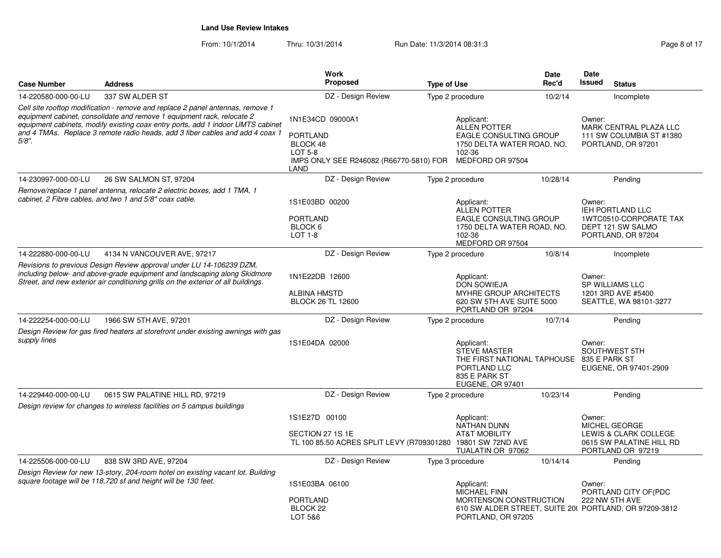| <b>Case Number</b>  | <b>Address</b>                                                                                                                                                                                                                                                                                                               | <b>Work</b><br><b>Proposed</b>                                                                                       | <b>Type of Use</b>                                                                                                                  | <b>Date</b><br>Rec'd | <b>Date</b><br><b>Issued</b><br><b>Status</b>                                                              |
|---------------------|------------------------------------------------------------------------------------------------------------------------------------------------------------------------------------------------------------------------------------------------------------------------------------------------------------------------------|----------------------------------------------------------------------------------------------------------------------|-------------------------------------------------------------------------------------------------------------------------------------|----------------------|------------------------------------------------------------------------------------------------------------|
| 14-220580-000-00-LU | 337 SW ALDER ST                                                                                                                                                                                                                                                                                                              | DZ - Design Review                                                                                                   | Type 2 procedure                                                                                                                    | 10/2/14              | Incomplete                                                                                                 |
| $5/8$ ".            | Cell site rooftop modification - remove and replace 2 panel antennas, remove 1<br>equipment cabinet, consolidate and remove 1 equipment rack, relocate 2<br>equipment cabinets, modify existing coax entry ports, add 1 indoor UMTS cabinet<br>and 4 TMAs. Replace 3 remote radio heads, add 3 fiber cables and add 4 coax 1 | 1N1E34CD 09000A1<br><b>PORTLAND</b><br>BLOCK 48<br><b>LOT 5-8</b><br>IMPS ONLY SEE R246082 (R66770-5810) FOR<br>LAND | Applicant:<br><b>ALLEN POTTER</b><br><b>EAGLE CONSULTING GROUP</b><br>1750 DELTA WATER ROAD, NO.<br>102-36<br>MEDFORD OR 97504      |                      | Owner:<br>MARK CENTRAL PLAZA LLC<br>111 SW COLUMBIA ST #1380<br>PORTLAND, OR 97201                         |
| 14-230997-000-00-LU | 26 SW SALMON ST, 97204                                                                                                                                                                                                                                                                                                       | DZ - Design Review                                                                                                   | Type 2 procedure                                                                                                                    | 10/28/14             | Pending                                                                                                    |
|                     | Remove/replace 1 panel antenna, relocate 2 electric boxes, add 1 TMA, 1<br>cabinet, 2 Fibre cables, and two 1 and 5/8" coax cable.                                                                                                                                                                                           | 1S1E03BD 00200<br><b>PORTLAND</b><br>BLOCK 6<br><b>LOT 1-8</b>                                                       | Applicant:<br><b>ALLEN POTTER</b><br><b>EAGLE CONSULTING GROUP</b><br>1750 DELTA WATER ROAD, NO.<br>102-36<br>MEDFORD OR 97504      |                      | Owner:<br>IEH PORTLAND LLC<br>1WTC0510-CORPORATE TAX<br>DEPT 121 SW SALMO<br>PORTLAND, OR 97204            |
| 14-222880-000-00-LU | 4134 N VANCOUVER AVE, 97217                                                                                                                                                                                                                                                                                                  | DZ - Design Review                                                                                                   | Type 2 procedure                                                                                                                    | 10/8/14              | Incomplete                                                                                                 |
|                     | Revisions to previous Design Review approval under LU 14-106239 DZM,<br>including below- and above-grade equipment and landscaping along Skidmore<br>Street, and new exterior air conditioning grills on the exterior of all buildings.                                                                                      | 1N1E22DB 12600<br><b>ALBINA HMSTD</b><br><b>BLOCK 26 TL 12600</b>                                                    | Applicant:<br><b>DON SOWIEJA</b><br>MYHRE GROUP ARCHITECTS<br>620 SW 5TH AVE SUITE 5000<br>PORTLAND OR 97204                        |                      | Owner:<br><b>SP WILLIAMS LLC</b><br>1201 3RD AVE #5400<br>SEATTLE, WA 98101-3277                           |
| 14-222254-000-00-LU | 1966 SW 5TH AVE, 97201                                                                                                                                                                                                                                                                                                       | DZ - Design Review                                                                                                   | Type 2 procedure                                                                                                                    | 10/7/14              | Pending                                                                                                    |
| supply lines        | Design Review for gas fired heaters at storefront under existing awnings with gas                                                                                                                                                                                                                                            | 1S1E04DA 02000                                                                                                       | Applicant:<br><b>STEVE MASTER</b><br>THE FIRST NATIONAL TAPHOUSE 835 E PARK ST<br>PORTLAND LLC<br>835 E PARK ST<br>EUGENE, OR 97401 |                      | Owner:<br>SOUTHWEST 5TH<br>EUGENE, OR 97401-2909                                                           |
| 14-229440-000-00-LU | 0615 SW PALATINE HILL RD, 97219                                                                                                                                                                                                                                                                                              | DZ - Design Review                                                                                                   | Type 2 procedure                                                                                                                    | 10/23/14             | Pending                                                                                                    |
|                     | Design review for changes to wireless facilities on 5 campus buildings                                                                                                                                                                                                                                                       | 1S1E27D 00100<br>SECTION 27 1S 1E<br>TL 100 85.50 ACRES SPLIT LEVY (R709301280 19801 SW 72ND AVE                     | Applicant:<br><b>NATHAN DUNN</b><br><b>AT&amp;T MOBILITY</b><br>TUALATIN OR 97062                                                   |                      | Owner:<br>MICHEL GEORGE<br>LEWIS & CLARK COLLEGE<br>0615 SW PALATINE HILL RD<br>PORTLAND OR 97219          |
| 14-225506-000-00-LU | 838 SW 3RD AVE, 97204                                                                                                                                                                                                                                                                                                        | DZ - Design Review                                                                                                   | Type 3 procedure                                                                                                                    | 10/14/14             | Pending                                                                                                    |
|                     | Design Review for new 13-story, 204-room hotel on existing vacant lot. Building<br>square footage will be 118,720 sf and height will be 130 feet.                                                                                                                                                                            | 1S1E03BA 06100<br><b>PORTLAND</b><br>BLOCK <sub>22</sub><br>LOT 5&6                                                  | Applicant:<br><b>MICHAEL FINN</b><br>MORTENSON CONSTRUCTION<br>PORTLAND, OR 97205                                                   |                      | Owner:<br>PORTLAND CITY OF(PDC<br>222 NW 5TH AVE<br>610 SW ALDER STREET, SUITE 201 PORTLAND, OR 97209-3812 |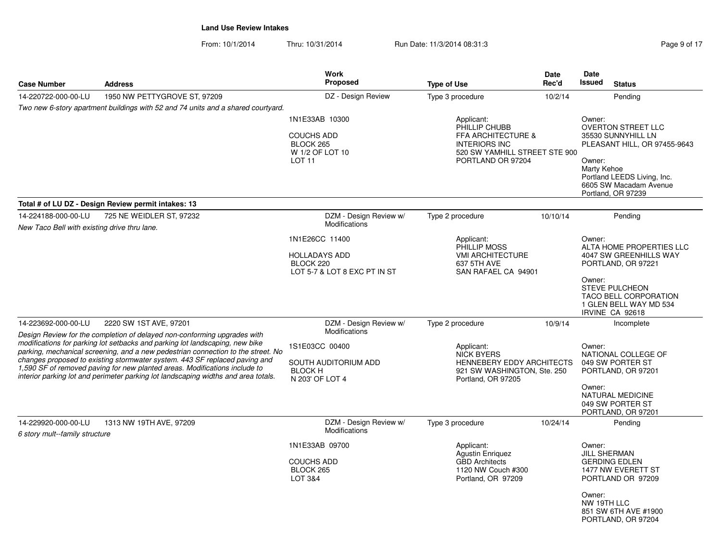| <b>Case Number</b>                                                  | <b>Address</b>                                                                                                                                                                                                                                                                                                                                                                                                                                                                                 | <b>Work</b><br><b>Proposed</b>                                                                                | <b>Type of Use</b>                                                                                                                         | Date<br>Rec'd | <b>Date</b><br><b>Issued</b>                           | <b>Status</b>                                                                                                                                                                                |
|---------------------------------------------------------------------|------------------------------------------------------------------------------------------------------------------------------------------------------------------------------------------------------------------------------------------------------------------------------------------------------------------------------------------------------------------------------------------------------------------------------------------------------------------------------------------------|---------------------------------------------------------------------------------------------------------------|--------------------------------------------------------------------------------------------------------------------------------------------|---------------|--------------------------------------------------------|----------------------------------------------------------------------------------------------------------------------------------------------------------------------------------------------|
| 14-220722-000-00-LU                                                 | 1950 NW PETTYGROVE ST, 97209                                                                                                                                                                                                                                                                                                                                                                                                                                                                   | DZ - Design Review                                                                                            | Type 3 procedure                                                                                                                           | 10/2/14       |                                                        | Pending                                                                                                                                                                                      |
|                                                                     | Two new 6-story apartment buildings with 52 and 74 units and a shared courtyard.                                                                                                                                                                                                                                                                                                                                                                                                               |                                                                                                               |                                                                                                                                            |               |                                                        |                                                                                                                                                                                              |
|                                                                     |                                                                                                                                                                                                                                                                                                                                                                                                                                                                                                | 1N1E33AB 10300<br><b>COUCHS ADD</b><br>BLOCK 265<br>W 1/2 OF LOT 10<br>LOT <sub>11</sub>                      | Applicant:<br>PHILLIP CHUBB<br><b>FFA ARCHITECTURE &amp;</b><br><b>INTERIORS INC</b><br>520 SW YAMHILL STREET STE 900<br>PORTLAND OR 97204 |               | Owner:<br>Owner:<br>Marty Kehoe                        | <b>OVERTON STREET LLC</b><br>35530 SUNNYHILL LN<br>PLEASANT HILL, OR 97455-9643<br>Portland LEEDS Living, Inc.<br>6605 SW Macadam Avenue<br>Portland, OR 97239                               |
|                                                                     | Total # of LU DZ - Design Review permit intakes: 13                                                                                                                                                                                                                                                                                                                                                                                                                                            |                                                                                                               |                                                                                                                                            |               |                                                        |                                                                                                                                                                                              |
| 14-224188-000-00-LU                                                 | 725 NE WEIDLER ST, 97232                                                                                                                                                                                                                                                                                                                                                                                                                                                                       | DZM - Design Review w/<br>Modifications                                                                       | Type 2 procedure                                                                                                                           | 10/10/14      |                                                        | Pending                                                                                                                                                                                      |
| New Taco Bell with existing drive thru lane.<br>14-223692-000-00-LU | 2220 SW 1ST AVE, 97201                                                                                                                                                                                                                                                                                                                                                                                                                                                                         | 1N1E26CC 11400<br><b>HOLLADAYS ADD</b><br>BLOCK 220<br>LOT 5-7 & LOT 8 EXC PT IN ST<br>DZM - Design Review w/ | Applicant:<br>PHILLIP MOSS<br><b>VMI ARCHITECTURE</b><br>637 5TH AVE<br>SAN RAFAEL CA 94901<br>Type 2 procedure                            | 10/9/14       | Owner:<br>Owner:                                       | ALTA HOME PROPERTIES LLC<br>4047 SW GREENHILLS WAY<br>PORTLAND, OR 97221<br><b>STEVE PULCHEON</b><br><b>TACO BELL CORPORATION</b><br>1 GLEN BELL WAY MD 534<br>IRVINE CA 92618<br>Incomplete |
|                                                                     | Design Review for the completion of delayed non-conforming upgrades with<br>modifications for parking lot setbacks and parking lot landscaping, new bike<br>parking, mechanical screening, and a new pedestrian connection to the street. No<br>changes proposed to existing stormwater system. 443 SF replaced paving and<br>1,590 SF of removed paving for new planted areas. Modifications include to<br>interior parking lot and perimeter parking lot landscaping widths and area totals. | Modifications<br>1S1E03CC 00400<br>SOUTH AUDITORIUM ADD<br><b>BLOCK H</b><br>N 203' OF LOT 4                  | Applicant:<br><b>NICK BYERS</b><br>HENNEBERY EDDY ARCHITECTS<br>921 SW WASHINGTON, Ste. 250<br>Portland, OR 97205                          |               | Owner:<br>Owner:                                       | NATIONAL COLLEGE OF<br>049 SW PORTER ST<br>PORTLAND, OR 97201<br><b>NATURAL MEDICINE</b><br>049 SW PORTER ST<br>PORTLAND, OR 97201                                                           |
| 14-229920-000-00-LU<br>6 story mult--family structure               | 1313 NW 19TH AVE, 97209                                                                                                                                                                                                                                                                                                                                                                                                                                                                        | DZM - Design Review w/<br>Modifications                                                                       | Type 3 procedure                                                                                                                           | 10/24/14      |                                                        | Pending                                                                                                                                                                                      |
|                                                                     |                                                                                                                                                                                                                                                                                                                                                                                                                                                                                                | 1N1E33AB 09700<br><b>COUCHS ADD</b><br>BLOCK 265<br>LOT 3&4                                                   | Applicant:<br><b>Agustin Enriguez</b><br><b>GBD Architects</b><br>1120 NW Couch #300<br>Portland, OR 97209                                 |               | Owner:<br><b>JILL SHERMAN</b><br>Owner:<br>NW 19TH LLC | <b>GERDING EDLEN</b><br>1477 NW EVERETT ST<br>PORTLAND OR 97209<br>851 SW 6TH AVE #1900<br>PORTLAND, OR 97204                                                                                |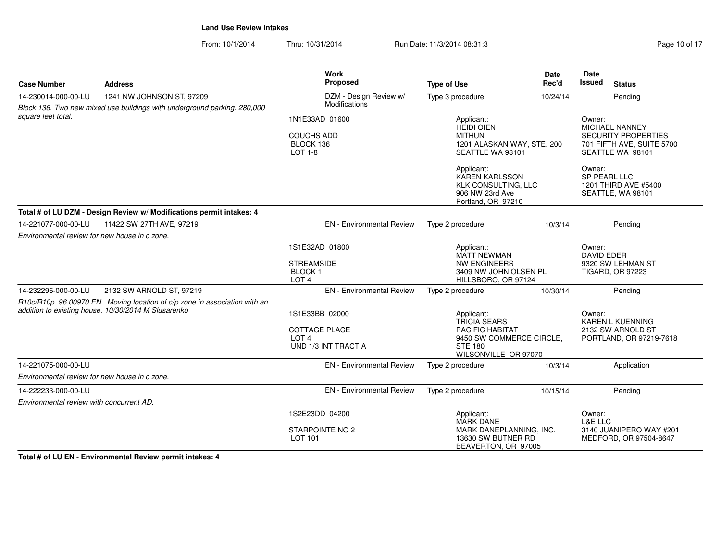From: 10/1/2014Thru: 10/31/2014 Run Date: 11/3/2014 08:31:3

| <b>Case Number</b>                            | <b>Address</b>                                                                                                                   | <b>Work</b><br>Proposed                                                                                                                                                                                                | <b>Type of Use</b>                                                                                                                                                      | <b>Date</b><br>Rec'd                                                              | Date<br>Issued<br><b>Status</b>                                                                                                                                  |
|-----------------------------------------------|----------------------------------------------------------------------------------------------------------------------------------|------------------------------------------------------------------------------------------------------------------------------------------------------------------------------------------------------------------------|-------------------------------------------------------------------------------------------------------------------------------------------------------------------------|-----------------------------------------------------------------------------------|------------------------------------------------------------------------------------------------------------------------------------------------------------------|
| 14-230014-000-00-LU                           | 1241 NW JOHNSON ST, 97209<br>Block 136. Two new mixed use buildings with underground parking. 280,000                            | DZM - Design Review w/<br><b>Modifications</b>                                                                                                                                                                         | Type 3 procedure                                                                                                                                                        | 10/24/14                                                                          | Pending                                                                                                                                                          |
| square feet total.                            |                                                                                                                                  | 1N1E33AD 01600<br><b>COUCHS ADD</b><br>BLOCK 136<br>LOT 1-8                                                                                                                                                            | Applicant:<br><b>HEIDI OIEN</b><br><b>MITHUN</b><br>1201 ALASKAN WAY, STE. 200<br>SEATTLE WA 98101<br>Applicant:<br><b>KAREN KARLSSON</b><br><b>KLK CONSULTING, LLC</b> |                                                                                   | Owner:<br><b>MICHAEL NANNEY</b><br><b>SECURITY PROPERTIES</b><br>701 FIFTH AVE, SUITE 5700<br>SEATTLE WA 98101<br>Owner:<br>SP PEARL LLC<br>1201 THIRD AVE #5400 |
|                                               |                                                                                                                                  |                                                                                                                                                                                                                        | 906 NW 23rd Ave<br>Portland, OR 97210                                                                                                                                   |                                                                                   | SEATTLE, WA 98101                                                                                                                                                |
|                                               | Total # of LU DZM - Design Review w/ Modifications permit intakes: 4                                                             |                                                                                                                                                                                                                        |                                                                                                                                                                         |                                                                                   |                                                                                                                                                                  |
| 14-221077-000-00-LU                           | 11422 SW 27TH AVE, 97219                                                                                                         | <b>EN</b> - Environmental Review                                                                                                                                                                                       | Type 2 procedure                                                                                                                                                        | 10/3/14                                                                           | Pending                                                                                                                                                          |
| Environmental review for new house in c zone. |                                                                                                                                  |                                                                                                                                                                                                                        |                                                                                                                                                                         |                                                                                   |                                                                                                                                                                  |
|                                               |                                                                                                                                  | 1S1E32AD 01800                                                                                                                                                                                                         | Applicant:<br><b>MATT NEWMAN</b>                                                                                                                                        |                                                                                   | Owner:<br><b>DAVID EDER</b>                                                                                                                                      |
|                                               |                                                                                                                                  | <b>STREAMSIDE</b><br><b>BLOCK1</b><br>LOT <sub>4</sub>                                                                                                                                                                 | <b>NW ENGINEERS</b><br>3409 NW JOHN OLSEN PL<br>HILLSBORO, OR 97124                                                                                                     |                                                                                   | 9320 SW LEHMAN ST<br><b>TIGARD, OR 97223</b>                                                                                                                     |
| 14-232296-000-00-LU                           | 2132 SW ARNOLD ST, 97219                                                                                                         | <b>EN</b> - Environmental Review                                                                                                                                                                                       | Type 2 procedure                                                                                                                                                        | 10/30/14                                                                          | Pending                                                                                                                                                          |
|                                               | R10c/R10p 96 00970 EN. Moving location of c/p zone in association with an<br>addition to existing house. 10/30/2014 M Slusarenko | 1S1E33BB 02000<br>Applicant:<br><b>TRICIA SEARS</b><br><b>COTTAGE PLACE</b><br><b>PACIFIC HABITAT</b><br>LOT <sub>4</sub><br>9450 SW COMMERCE CIRCLE,<br>UND 1/3 INT TRACT A<br><b>STE 180</b><br>WILSONVILLE OR 97070 |                                                                                                                                                                         | Owner:<br><b>KAREN L KUENNING</b><br>2132 SW ARNOLD ST<br>PORTLAND, OR 97219-7618 |                                                                                                                                                                  |
| 14-221075-000-00-LU                           |                                                                                                                                  | <b>EN</b> - Environmental Review                                                                                                                                                                                       | Type 2 procedure                                                                                                                                                        | 10/3/14                                                                           | Application                                                                                                                                                      |
| Environmental review for new house in c zone. |                                                                                                                                  |                                                                                                                                                                                                                        |                                                                                                                                                                         |                                                                                   |                                                                                                                                                                  |
| 14-222233-000-00-LU                           |                                                                                                                                  | <b>EN</b> - Environmental Review                                                                                                                                                                                       | Type 2 procedure                                                                                                                                                        | 10/15/14                                                                          | Pending                                                                                                                                                          |
| Environmental review with concurrent AD.      |                                                                                                                                  |                                                                                                                                                                                                                        |                                                                                                                                                                         |                                                                                   |                                                                                                                                                                  |
|                                               |                                                                                                                                  | 1S2E23DD 04200                                                                                                                                                                                                         | Applicant:<br><b>MARK DANE</b>                                                                                                                                          |                                                                                   | Owner:<br>L&E LLC                                                                                                                                                |
|                                               |                                                                                                                                  | STARPOINTE NO 2<br>LOT 101                                                                                                                                                                                             | MARK DANEPLANNING, INC.<br>13630 SW BUTNER RD<br>BEAVERTON, OR 97005                                                                                                    |                                                                                   | 3140 JUANIPERO WAY #201<br>MEDFORD, OR 97504-8647                                                                                                                |

**Total # of LU EN - Environmental Review permit intakes: 4**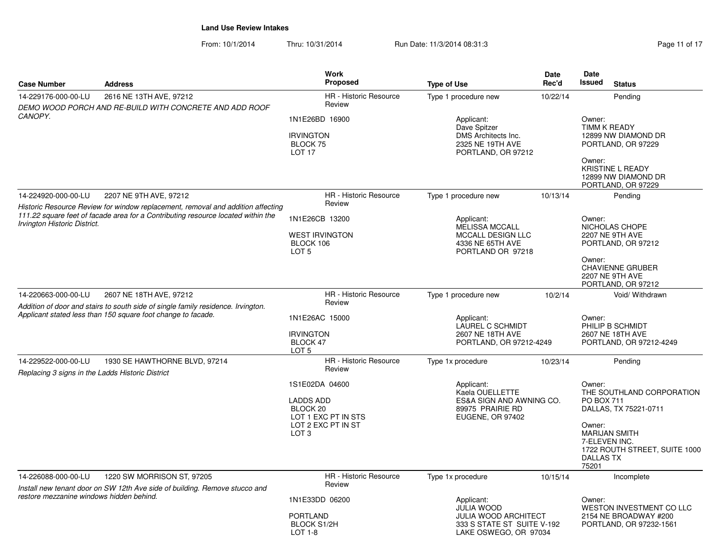| <b>Case Number</b>                                                      | <b>Address</b>                                                                                                                                                      | <b>Work</b><br>Proposed                                                                                                                                            | <b>Type of Use</b>                                                                                       | <b>Date</b><br>Rec'd | Date<br>Issued<br><b>Status</b>                                                                                                                                       |  |
|-------------------------------------------------------------------------|---------------------------------------------------------------------------------------------------------------------------------------------------------------------|--------------------------------------------------------------------------------------------------------------------------------------------------------------------|----------------------------------------------------------------------------------------------------------|----------------------|-----------------------------------------------------------------------------------------------------------------------------------------------------------------------|--|
| 14-229176-000-00-LU                                                     | 2616 NE 13TH AVE, 97212                                                                                                                                             | <b>HR</b> - Historic Resource                                                                                                                                      | Type 1 procedure new                                                                                     | 10/22/14             | Pending                                                                                                                                                               |  |
|                                                                         | DEMO WOOD PORCH AND RE-BUILD WITH CONCRETE AND ADD ROOF                                                                                                             | Review                                                                                                                                                             |                                                                                                          |                      |                                                                                                                                                                       |  |
| CANOPY.                                                                 |                                                                                                                                                                     | 1N1E26BD 16900<br>Applicant:<br>Dave Spitzer<br><b>IRVINGTON</b><br>DMS Architects Inc.<br>2325 NE 19TH AVE<br>BLOCK 75<br>LOT <sub>17</sub><br>PORTLAND, OR 97212 |                                                                                                          |                      | Owner:<br><b>TIMM K READY</b><br>12899 NW DIAMOND DR<br>PORTLAND, OR 97229<br>Owner:                                                                                  |  |
|                                                                         |                                                                                                                                                                     |                                                                                                                                                                    |                                                                                                          |                      | <b>KRISTINE L READY</b><br>12899 NW DIAMOND DR<br>PORTLAND, OR 97229                                                                                                  |  |
| 14-224920-000-00-LU                                                     | 2207 NE 9TH AVE, 97212                                                                                                                                              | HR - Historic Resource                                                                                                                                             | Type 1 procedure new                                                                                     | 10/13/14             | Pending                                                                                                                                                               |  |
| <b>Irvington Historic District.</b>                                     | Historic Resource Review for window replacement, removal and addition affecting<br>111.22 square feet of facade area for a Contributing resource located within the | Review<br>1N1E26CB 13200<br><b>WEST IRVINGTON</b><br>BLOCK 106<br>LOT <sub>5</sub>                                                                                 | Applicant:<br><b>MELISSA MCCALL</b><br><b>MCCALL DESIGN LLC</b><br>4336 NE 65TH AVE<br>PORTLAND OR 97218 |                      | Owner:<br>NICHOLAS CHOPE<br>2207 NE 9TH AVE<br>PORTLAND, OR 97212<br>Owner:                                                                                           |  |
| 14-220663-000-00-LU                                                     | 2607 NE 18TH AVE, 97212                                                                                                                                             | <b>HR</b> - Historic Resource                                                                                                                                      | Type 1 procedure new                                                                                     | 10/2/14              | <b>CHAVIENNE GRUBER</b><br><b>2207 NE 9TH AVE</b><br>PORTLAND, OR 97212<br>Void/ Withdrawn                                                                            |  |
|                                                                         | Addition of door and stairs to south side of single family residence. Irvington.                                                                                    | Review                                                                                                                                                             |                                                                                                          |                      |                                                                                                                                                                       |  |
|                                                                         | Applicant stated less than 150 square foot change to facade.<br>1N1E26AC 15000<br><b>IRVINGTON</b><br>BLOCK 47<br>LOT <sub>5</sub>                                  |                                                                                                                                                                    | Applicant:<br>LAUREL C SCHMIDT<br>2607 NE 18TH AVE<br>PORTLAND, OR 97212-4249                            |                      | Owner:<br>PHILIP B SCHMIDT<br>2607 NE 18TH AVE<br>PORTLAND, OR 97212-4249                                                                                             |  |
| 14-229522-000-00-LU<br>Replacing 3 signs in the Ladds Historic District | 1930 SE HAWTHORNE BLVD, 97214                                                                                                                                       | <b>HR</b> - Historic Resource<br>Review                                                                                                                            | Type 1x procedure                                                                                        | 10/23/14             | Pending                                                                                                                                                               |  |
|                                                                         |                                                                                                                                                                     | 1S1E02DA 04600<br><b>LADDS ADD</b><br>BLOCK 20<br>LOT 1 EXC PT IN STS<br>LOT 2 EXC PT IN ST<br>LOT <sub>3</sub>                                                    | Applicant:<br>Kaela OUELLETTE<br>ES&A SIGN AND AWNING CO.<br>89975 PRAIRIE RD<br>EUGENE, OR 97402        |                      | Owner:<br>THE SOUTHLAND CORPORATION<br><b>PO BOX 711</b><br>DALLAS, TX 75221-0711<br>Owner:<br><b>MARIJAN SMITH</b><br>7-ELEVEN INC.<br>1722 ROUTH STREET, SUITE 1000 |  |
|                                                                         |                                                                                                                                                                     |                                                                                                                                                                    |                                                                                                          |                      | <b>DALLAS TX</b><br>75201                                                                                                                                             |  |
| 14-226088-000-00-LU                                                     | 1220 SW MORRISON ST, 97205<br>Install new tenant door on SW 12th Ave side of building. Remove stucco and                                                            | <b>HR</b> - Historic Resource<br>Review                                                                                                                            | Type 1x procedure                                                                                        | 10/15/14             | Incomplete                                                                                                                                                            |  |
| restore mezzanine windows hidden behind.                                |                                                                                                                                                                     | 1N1E33DD 06200                                                                                                                                                     | Applicant:<br><b>JULIA WOOD</b>                                                                          |                      | Owner:<br><b>WESTON INVESTMENT CO LLC</b>                                                                                                                             |  |
|                                                                         |                                                                                                                                                                     | <b>PORTLAND</b><br>BLOCK S1/2H<br>$LOT 1-8$                                                                                                                        | JULIA WOOD ARCHITECT<br>333 S STATE ST SUITE V-192<br>LAKE OSWEGO, OR 97034                              |                      | 2154 NE BROADWAY #200<br>PORTLAND, OR 97232-1561                                                                                                                      |  |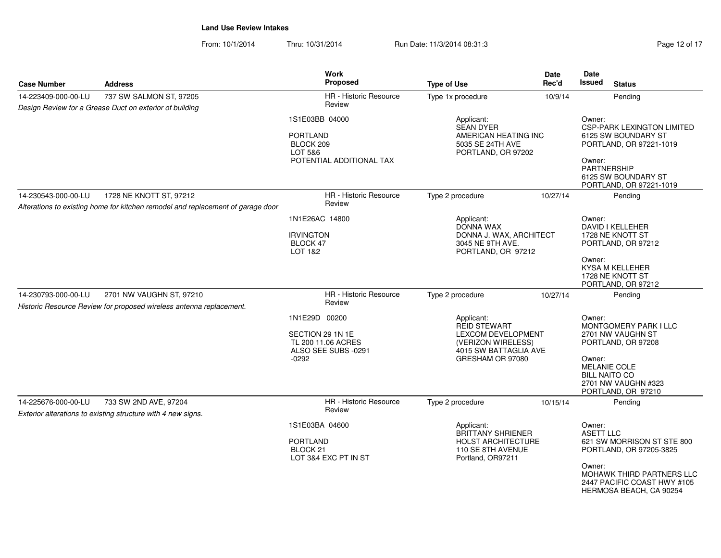| Page 12 of 17 |  |
|---------------|--|
|---------------|--|

| <b>Case Number</b>  | <b>Address</b>                                                                                  | Work<br>Proposed                                                                          | <b>Type of Use</b>                                                                                            | Date<br>Rec'd                                                            | Date<br><b>Issued</b>                | <b>Status</b>                                                                                                                                                       |
|---------------------|-------------------------------------------------------------------------------------------------|-------------------------------------------------------------------------------------------|---------------------------------------------------------------------------------------------------------------|--------------------------------------------------------------------------|--------------------------------------|---------------------------------------------------------------------------------------------------------------------------------------------------------------------|
| 14-223409-000-00-LU | 737 SW SALMON ST, 97205                                                                         | HR - Historic Resource                                                                    | Type 1x procedure                                                                                             | 10/9/14                                                                  |                                      | Pending                                                                                                                                                             |
|                     | Design Review for a Grease Duct on exterior of building                                         | Review                                                                                    |                                                                                                               |                                                                          |                                      |                                                                                                                                                                     |
|                     |                                                                                                 | 1S1E03BB 04000<br><b>PORTLAND</b><br>BLOCK 209<br>LOT 5&6<br>POTENTIAL ADDITIONAL TAX     | Applicant:<br><b>SEAN DYER</b><br>AMERICAN HEATING INC<br>5035 SE 24TH AVE<br>PORTLAND, OR 97202              |                                                                          | Owner:<br>Owner:<br>PARTNERSHIP      | <b>CSP-PARK LEXINGTON LIMITED</b><br>6125 SW BOUNDARY ST<br>PORTLAND, OR 97221-1019<br>6125 SW BOUNDARY ST<br>PORTLAND, OR 97221-1019                               |
| 14-230543-000-00-LU | 1728 NE KNOTT ST, 97212                                                                         | HR - Historic Resource                                                                    | Type 2 procedure                                                                                              | 10/27/14                                                                 |                                      | Pending                                                                                                                                                             |
|                     | Alterations to existing home for kitchen remodel and replacement of garage door                 | Review                                                                                    |                                                                                                               |                                                                          |                                      |                                                                                                                                                                     |
|                     |                                                                                                 | 1N1E26AC 14800<br><b>IRVINGTON</b><br>BLOCK 47<br>LOT 1&2                                 | Applicant:<br><b>DONNA WAX</b><br>DONNA J. WAX, ARCHITECT<br>3045 NE 9TH AVE.<br>PORTLAND, OR 97212           |                                                                          | Owner:<br>Owner:                     | DAVID I KELLEHER<br>1728 NE KNOTT ST<br>PORTLAND, OR 97212<br><b>KYSA M KELLEHER</b><br>1728 NE KNOTT ST<br>PORTLAND, OR 97212                                      |
| 14-230793-000-00-LU | 2701 NW VAUGHN ST, 97210<br>Historic Resource Review for proposed wireless antenna replacement. | HR - Historic Resource<br>Review                                                          | Type 2 procedure                                                                                              | 10/27/14                                                                 |                                      | Pending                                                                                                                                                             |
|                     |                                                                                                 | 1N1E29D 00200<br>SECTION 29 1N 1E<br>TL 200 11.06 ACRES<br>ALSO SEE SUBS -0291<br>$-0292$ | Applicant:<br><b>REID STEWART</b><br>GRESHAM OR 97080                                                         | <b>LEXCOM DEVELOPMENT</b><br>(VERIZON WIRELESS)<br>4015 SW BATTAGLIA AVE |                                      | <b>MONTGOMERY PARK I LLC</b><br>2701 NW VAUGHN ST<br>PORTLAND, OR 97208<br><b>MELANIE COLE</b><br><b>BILL NAITO CO</b><br>2701 NW VAUGHN #323<br>PORTLAND, OR 97210 |
| 14-225676-000-00-LU | 733 SW 2ND AVE, 97204<br>Exterior alterations to existing structure with 4 new signs.           | HR - Historic Resource<br>Review                                                          | Type 2 procedure                                                                                              | 10/15/14                                                                 |                                      | Pending                                                                                                                                                             |
|                     |                                                                                                 | 1S1E03BA 04600<br><b>PORTLAND</b><br>BLOCK <sub>21</sub><br>LOT 3&4 EXC PT IN ST          | Applicant:<br><b>BRITTANY SHRIENER</b><br><b>HOLST ARCHITECTURE</b><br>110 SE 8TH AVENUE<br>Portland, OR97211 |                                                                          | Owner:<br><b>ASETT LLC</b><br>Owner: | 621 SW MORRISON ST STE 800<br>PORTLAND, OR 97205-3825<br>MOHAWK THIRD PARTNERS LLC<br>2447 PACIFIC COAST HWY #105<br>HERMOSA BEACH, CA 90254                        |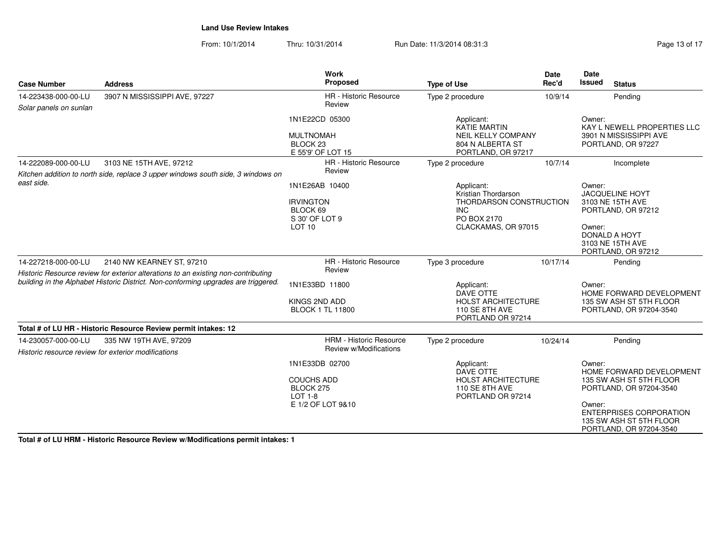From: 10/1/2014Thru: 10/31/2014 Run Date: 11/3/2014 08:31:3

| Page 13 of 17 |  |  |  |  |
|---------------|--|--|--|--|
|---------------|--|--|--|--|

| Proposed<br>Rec'd<br><b>Case Number</b><br><b>Address</b><br><b>Type of Use</b><br><b>HR</b> - Historic Resource<br>3907 N MISSISSIPPI AVE, 97227<br>Type 2 procedure<br>14-223438-000-00-LU<br>10/9/14<br>Review<br>Solar panels on sunlan<br>1N1E22CD 05300<br>Applicant:<br><b>KATIE MARTIN</b> | <b>Issued</b><br><b>Status</b><br>Pending<br>Owner:<br>KAY L NEWELL PROPERTIES LLC<br>3901 N MISSISSIPPI AVE<br>PORTLAND, OR 97227<br>Incomplete |
|----------------------------------------------------------------------------------------------------------------------------------------------------------------------------------------------------------------------------------------------------------------------------------------------------|--------------------------------------------------------------------------------------------------------------------------------------------------|
|                                                                                                                                                                                                                                                                                                    |                                                                                                                                                  |
|                                                                                                                                                                                                                                                                                                    |                                                                                                                                                  |
|                                                                                                                                                                                                                                                                                                    |                                                                                                                                                  |
| <b>NEIL KELLY COMPANY</b><br><b>MULTNOMAH</b>                                                                                                                                                                                                                                                      |                                                                                                                                                  |
| BLOCK <sub>23</sub><br>804 N ALBERTA ST                                                                                                                                                                                                                                                            |                                                                                                                                                  |
| E 55'9' OF LOT 15<br>PORTLAND, OR 97217                                                                                                                                                                                                                                                            |                                                                                                                                                  |
| 14-222089-000-00-LU<br>3103 NE 15TH AVE, 97212<br><b>HR</b> - Historic Resource<br>Type 2 procedure<br>10/7/14<br>Review                                                                                                                                                                           |                                                                                                                                                  |
| Kitchen addition to north side, replace 3 upper windows south side, 3 windows on                                                                                                                                                                                                                   |                                                                                                                                                  |
| east side.<br>1N1E26AB 10400<br>Applicant:                                                                                                                                                                                                                                                         | Owner:                                                                                                                                           |
| Kristian Thordarson<br><b>THORDARSON CONSTRUCTION</b><br><b>IRVINGTON</b>                                                                                                                                                                                                                          | <b>JACQUELINE HOYT</b><br>3103 NE 15TH AVE                                                                                                       |
| BLOCK 69<br><b>INC</b>                                                                                                                                                                                                                                                                             | PORTLAND, OR 97212                                                                                                                               |
| PO BOX 2170<br>S 30' OF LOT 9                                                                                                                                                                                                                                                                      |                                                                                                                                                  |
| LOT <sub>10</sub><br>CLACKAMAS, OR 97015                                                                                                                                                                                                                                                           | Owner:                                                                                                                                           |
|                                                                                                                                                                                                                                                                                                    | <b>DONALD A HOYT</b>                                                                                                                             |
|                                                                                                                                                                                                                                                                                                    | 3103 NE 15TH AVE                                                                                                                                 |
|                                                                                                                                                                                                                                                                                                    | PORTLAND, OR 97212                                                                                                                               |
| HR - Historic Resource<br>14-227218-000-00-LU<br>2140 NW KEARNEY ST, 97210<br>Type 3 procedure<br>10/17/14<br>Review                                                                                                                                                                               | Pending                                                                                                                                          |
| Historic Resource review for exterior alterations to an existing non-contributing                                                                                                                                                                                                                  |                                                                                                                                                  |
| building in the Alphabet Historic District. Non-conforming upgrades are triggered.<br>1N1E33BD 11800<br>Applicant:                                                                                                                                                                                 | Owner:                                                                                                                                           |
| DAVE OTTE                                                                                                                                                                                                                                                                                          | HOME FORWARD DEVELOPMENT                                                                                                                         |
| KINGS 2ND ADD<br><b>HOLST ARCHITECTURE</b><br><b>BLOCK 1 TL 11800</b><br>110 SE 8TH AVE                                                                                                                                                                                                            | 135 SW ASH ST 5TH FLOOR                                                                                                                          |
| PORTLAND OR 97214                                                                                                                                                                                                                                                                                  | PORTLAND, OR 97204-3540                                                                                                                          |
| Total # of LU HR - Historic Resource Review permit intakes: 12                                                                                                                                                                                                                                     |                                                                                                                                                  |
| <b>HRM - Historic Resource</b><br>Type 2 procedure<br>14-230057-000-00-LU<br>335 NW 19TH AVE, 97209<br>10/24/14                                                                                                                                                                                    | Pendina                                                                                                                                          |
| Review w/Modifications<br>Historic resource review for exterior modifications                                                                                                                                                                                                                      |                                                                                                                                                  |
|                                                                                                                                                                                                                                                                                                    |                                                                                                                                                  |
| 1N1E33DB 02700<br>Applicant:<br>DAVE OTTE                                                                                                                                                                                                                                                          | Owner:<br>HOME FORWARD DEVELOPMENT                                                                                                               |
| <b>COUCHS ADD</b><br><b>HOLST ARCHITECTURE</b>                                                                                                                                                                                                                                                     | 135 SW ASH ST 5TH FLOOR                                                                                                                          |
| BLOCK 275<br>110 SE 8TH AVE                                                                                                                                                                                                                                                                        | PORTLAND, OR 97204-3540                                                                                                                          |
| $LOT 1-8$<br>PORTLAND OR 97214                                                                                                                                                                                                                                                                     |                                                                                                                                                  |
| E 1/2 OF LOT 9&10                                                                                                                                                                                                                                                                                  | Owner:<br><b>ENTERPRISES CORPORATION</b><br>135 SW ASH ST 5TH FLOOR<br>PORTLAND, OR 97204-3540                                                   |

**Total # of LU HRM - Historic Resource Review w/Modifications permit intakes: 1**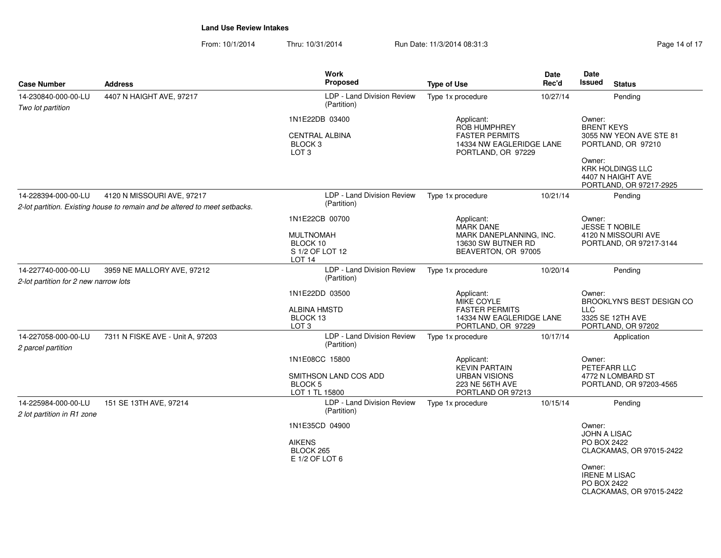| <b>Case Number</b>                                           | <b>Address</b>                                                             | <b>Work</b><br>Proposed                                         | <b>Type of Use</b>                                                      | Date<br>Rec'd | Date<br>Issued<br><b>Status</b>                                                   |
|--------------------------------------------------------------|----------------------------------------------------------------------------|-----------------------------------------------------------------|-------------------------------------------------------------------------|---------------|-----------------------------------------------------------------------------------|
| 14-230840-000-00-LU                                          | 4407 N HAIGHT AVE, 97217                                                   | LDP - Land Division Review                                      | Type 1x procedure                                                       | 10/27/14      | Pending                                                                           |
| Two lot partition                                            |                                                                            | (Partition)                                                     |                                                                         |               |                                                                                   |
|                                                              |                                                                            | 1N1E22DB 03400                                                  | Applicant:<br><b>ROB HUMPHREY</b>                                       |               | Owner:<br><b>BRENT KEYS</b>                                                       |
|                                                              |                                                                            | <b>CENTRAL ALBINA</b><br>BLOCK <sub>3</sub><br>LOT <sub>3</sub> | <b>FASTER PERMITS</b><br>14334 NW EAGLERIDGE LANE<br>PORTLAND, OR 97229 |               | 3055 NW YEON AVE STE 81<br>PORTLAND, OR 97210                                     |
|                                                              |                                                                            |                                                                 |                                                                         |               | Owner:<br><b>KRK HOLDINGS LLC</b><br>4407 N HAIGHT AVE<br>PORTLAND, OR 97217-2925 |
| 14-228394-000-00-LU                                          | 4120 N MISSOURI AVE, 97217                                                 | LDP - Land Division Review                                      | Type 1x procedure                                                       | 10/21/14      | Pending                                                                           |
|                                                              | 2-lot partition. Existing house to remain and be altered to meet setbacks. | (Partition)                                                     |                                                                         |               |                                                                                   |
|                                                              |                                                                            | 1N1E22CB 00700                                                  | Applicant:<br><b>MARK DANE</b>                                          |               | Owner:<br><b>JESSE T NOBILE</b>                                                   |
|                                                              |                                                                            | <b>MULTNOMAH</b><br>BLOCK 10                                    | MARK DANEPLANNING, INC.<br>13630 SW BUTNER RD                           |               | 4120 N MISSOURI AVE                                                               |
|                                                              |                                                                            | S 1/2 OF LOT 12<br>LOT <sub>14</sub>                            | BEAVERTON, OR 97005                                                     |               | PORTLAND, OR 97217-3144                                                           |
| 14-227740-000-00-LU<br>2-lot partition for 2 new narrow lots | 3959 NE MALLORY AVE, 97212                                                 | LDP - Land Division Review<br>(Partition)                       | Type 1x procedure                                                       | 10/20/14      | Pending                                                                           |
|                                                              |                                                                            | 1N1E22DD 03500                                                  | Applicant:<br>MIKE COYLE                                                |               | Owner:<br>BROOKLYN'S BEST DESIGN CO                                               |
|                                                              |                                                                            | <b>ALBINA HMSTD</b><br>BLOCK 13<br>LOT <sub>3</sub>             | <b>FASTER PERMITS</b><br>14334 NW EAGLERIDGE LANE<br>PORTLAND, OR 97229 |               | <b>LLC</b><br>3325 SE 12TH AVE<br>PORTLAND, OR 97202                              |
| 14-227058-000-00-LU<br>2 parcel partition                    | 7311 N FISKE AVE - Unit A, 97203                                           | LDP - Land Division Review<br>(Partition)                       | Type 1x procedure                                                       | 10/17/14      | Application                                                                       |
|                                                              |                                                                            | 1N1E08CC 15800                                                  | Applicant:<br><b>KEVIN PARTAIN</b>                                      |               | Owner:<br>PETEFARR LLC                                                            |
|                                                              |                                                                            | SMITHSON LAND COS ADD<br><b>BLOCK 5</b><br>LOT 1 TL 15800       | <b>URBAN VISIONS</b><br>223 NE 56TH AVE<br>PORTLAND OR 97213            |               | 4772 N LOMBARD ST<br>PORTLAND, OR 97203-4565                                      |
| 14-225984-000-00-LU<br>2 lot partition in R1 zone            | 151 SE 13TH AVE, 97214                                                     | LDP - Land Division Review<br>(Partition)                       | Type 1x procedure                                                       | 10/15/14      | Pending                                                                           |
|                                                              |                                                                            | 1N1E35CD 04900                                                  |                                                                         |               | Owner:                                                                            |
|                                                              |                                                                            | <b>AIKENS</b><br>BLOCK 265<br>E 1/2 OF LOT 6                    |                                                                         |               | <b>JOHN A LISAC</b><br>PO BOX 2422<br>CLACKAMAS, OR 97015-2422                    |
|                                                              |                                                                            |                                                                 |                                                                         |               | Owner:<br><b>IRENE M LISAC</b><br>PO BOX 2422<br>CLACKAMAS, OR 97015-2422         |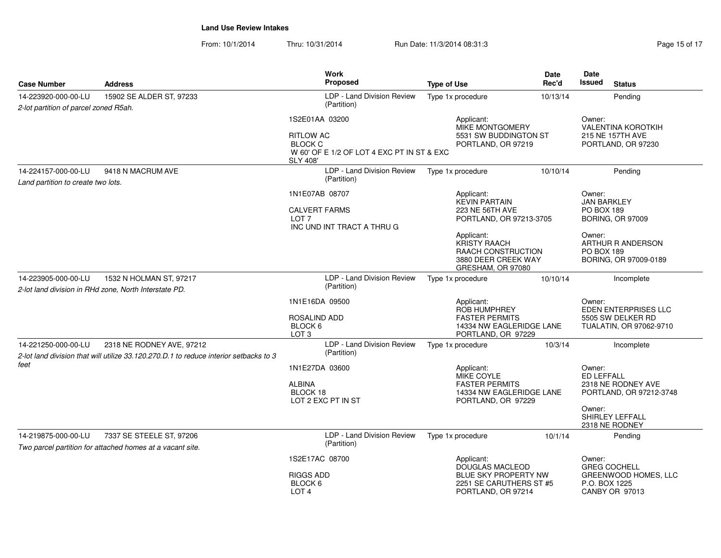| Page 15 of 17 |  |  |
|---------------|--|--|
|               |  |  |

| <b>Case Number</b>                                                                                      | <b>Address</b>                                                                                                     | <b>Work</b><br><b>Proposed</b>                                                                        | <b>Type of Use</b>                                                                                  | Date<br>Rec'd                                                                         | Date<br><b>Issued</b><br><b>Status</b>                                    |  |
|---------------------------------------------------------------------------------------------------------|--------------------------------------------------------------------------------------------------------------------|-------------------------------------------------------------------------------------------------------|-----------------------------------------------------------------------------------------------------|---------------------------------------------------------------------------------------|---------------------------------------------------------------------------|--|
| 14-223920-000-00-LU<br>2-lot partition of parcel zoned R5ah.                                            | 15902 SE ALDER ST, 97233                                                                                           | LDP - Land Division Review<br>(Partition)                                                             | Type 1x procedure                                                                                   | 10/13/14                                                                              | Pending                                                                   |  |
|                                                                                                         |                                                                                                                    | 1S2E01AA 03200                                                                                        | Applicant:<br><b>MIKE MONTGOMERY</b>                                                                |                                                                                       | Owner:<br><b>VALENTINA KOROTKIH</b>                                       |  |
|                                                                                                         |                                                                                                                    | <b>RITLOW AC</b><br><b>BLOCK C</b><br>W 60' OF E 1/2 OF LOT 4 EXC PT IN ST & EXC<br><b>SLY 408'</b>   | 5531 SW BUDDINGTON ST<br>PORTLAND, OR 97219                                                         |                                                                                       | 215 NE 157TH AVE<br>PORTLAND, OR 97230                                    |  |
| 14-224157-000-00-LU<br>Land partition to create two lots.                                               | 9418 N MACRUM AVE                                                                                                  | LDP - Land Division Review<br>(Partition)                                                             | Type 1x procedure                                                                                   | 10/10/14                                                                              | Pending                                                                   |  |
|                                                                                                         |                                                                                                                    | 1N1E07AB 08707                                                                                        | Applicant:<br><b>KEVIN PARTAIN</b>                                                                  |                                                                                       | Owner:<br><b>JAN BARKLEY</b>                                              |  |
|                                                                                                         |                                                                                                                    | <b>CALVERT FARMS</b><br>LOT <sub>7</sub><br>INC UND INT TRACT A THRU G                                | 223 NE 56TH AVE<br>PORTLAND, OR 97213-3705                                                          |                                                                                       | <b>PO BOX 189</b><br><b>BORING, OR 97009</b>                              |  |
|                                                                                                         |                                                                                                                    |                                                                                                       | Applicant:<br><b>KRISTY RAACH</b><br>RAACH CONSTRUCTION<br>3880 DEER CREEK WAY<br>GRESHAM, OR 97080 |                                                                                       | Owner:<br>ARTHUR R ANDERSON<br><b>PO BOX 189</b><br>BORING, OR 97009-0189 |  |
| 14-223905-000-00-LU<br>1532 N HOLMAN ST, 97217<br>2-lot land division in RHd zone, North Interstate PD. | LDP - Land Division Review<br>(Partition)                                                                          | Type 1x procedure                                                                                     | 10/10/14                                                                                            | Incomplete                                                                            |                                                                           |  |
|                                                                                                         | 1N1E16DA 09500<br>ROSALIND ADD<br>BLOCK 6<br>LOT <sub>3</sub>                                                      | Applicant:<br>ROB HUMPHREY<br><b>FASTER PERMITS</b><br>14334 NW EAGLERIDGE LANE<br>PORTLAND, OR 97229 |                                                                                                     | Owner:<br><b>EDEN ENTERPRISES LLC</b><br>5505 SW DELKER RD<br>TUALATIN, OR 97062-9710 |                                                                           |  |
| 14-221250-000-00-LU                                                                                     | 2318 NE RODNEY AVE, 97212<br>2-lot land division that will utilize 33.120.270.D.1 to reduce interior setbacks to 3 | LDP - Land Division Review<br>(Partition)                                                             | Type 1x procedure                                                                                   | 10/3/14                                                                               | Incomplete                                                                |  |
| feet                                                                                                    | 1N1E27DA 03600<br><b>ALBINA</b><br>BLOCK 18<br>LOT 2 EXC PT IN ST                                                  | Applicant:<br>MIKE COYLE<br><b>FASTER PERMITS</b><br>14334 NW EAGLERIDGE LANE<br>PORTLAND, OR 97229   |                                                                                                     | Owner:<br><b>ED LEFFALL</b><br>2318 NE RODNEY AVE<br>PORTLAND, OR 97212-3748          |                                                                           |  |
|                                                                                                         |                                                                                                                    |                                                                                                       |                                                                                                     |                                                                                       | Owner:<br>SHIRLEY LEFFALL<br>2318 NE RODNEY                               |  |
| 14-219875-000-00-LU                                                                                     | 7337 SE STEELE ST, 97206<br>Two parcel partition for attached homes at a vacant site.                              | LDP - Land Division Review<br>(Partition)                                                             | Type 1x procedure                                                                                   | 10/1/14                                                                               | Pending                                                                   |  |
|                                                                                                         |                                                                                                                    | 1S2E17AC 08700<br><b>RIGGS ADD</b>                                                                    | Applicant:<br>DOUGLAS MACLEOD<br><b>BLUE SKY PROPERTY NW</b>                                        |                                                                                       | Owner:<br><b>GREG COCHELL</b><br>GREENWOOD HOMES, LLC                     |  |
|                                                                                                         |                                                                                                                    | BLOCK 6<br>LOT <sub>4</sub>                                                                           | 2251 SE CARUTHERS ST #5<br>PORTLAND, OR 97214                                                       |                                                                                       | P.O. BOX 1225<br><b>CANBY OR 97013</b>                                    |  |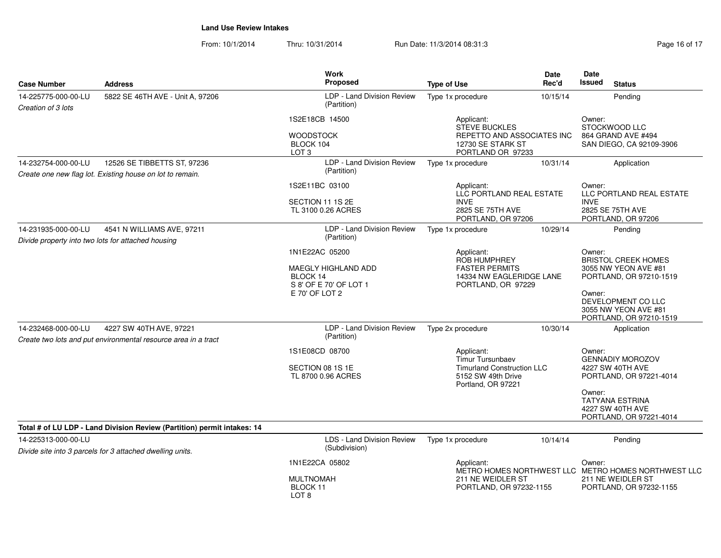| <b>Case Number</b>                                                                                      | <b>Address</b>                                                                            | Work<br><b>Proposed</b>                                                                              | <b>Type of Use</b>                                                                                                     | Date<br>Rec'd | Date<br><b>Issued</b><br><b>Status</b>                                                                                                                                     |
|---------------------------------------------------------------------------------------------------------|-------------------------------------------------------------------------------------------|------------------------------------------------------------------------------------------------------|------------------------------------------------------------------------------------------------------------------------|---------------|----------------------------------------------------------------------------------------------------------------------------------------------------------------------------|
| 14-225775-000-00-LU<br>Creation of 3 lots                                                               | 5822 SE 46TH AVE - Unit A, 97206                                                          | LDP - Land Division Review<br>(Partition)                                                            | Type 1x procedure                                                                                                      | 10/15/14      | Pending                                                                                                                                                                    |
|                                                                                                         |                                                                                           | 1S2E18CB 14500<br><b>WOODSTOCK</b><br>BLOCK 104<br>LOT <sub>3</sub>                                  | Applicant:<br>STEVE BUCKLES<br>REPETTO AND ASSOCIATES INC<br>12730 SE STARK ST<br>PORTLAND OR 97233                    |               | Owner:<br>STOCKWOOD LLC<br>864 GRAND AVE #494<br>SAN DIEGO, CA 92109-3906                                                                                                  |
| 14-232754-000-00-LU                                                                                     | 12526 SE TIBBETTS ST, 97236                                                               | LDP - Land Division Review                                                                           | Type 1x procedure                                                                                                      | 10/31/14      | Application                                                                                                                                                                |
|                                                                                                         | Create one new flag lot. Existing house on lot to remain.                                 | (Partition)                                                                                          |                                                                                                                        |               |                                                                                                                                                                            |
|                                                                                                         |                                                                                           | 1S2E11BC 03100<br>SECTION 11 1S 2E<br>TL 3100 0.26 ACRES                                             | Applicant:<br>LLC PORTLAND REAL ESTATE<br><b>INVE</b><br>2825 SE 75TH AVE<br>PORTLAND, OR 97206                        |               | Owner:<br>LLC PORTLAND REAL ESTATE<br><b>INVE</b><br>2825 SE 75TH AVE<br>PORTLAND, OR 97206                                                                                |
| 14-231935-000-00-LU<br>4541 N WILLIAMS AVE, 97211<br>Divide property into two lots for attached housing | LDP - Land Division Review<br>(Partition)                                                 | Type 1x procedure                                                                                    | 10/29/14                                                                                                               | Pending       |                                                                                                                                                                            |
|                                                                                                         |                                                                                           | 1N1E22AC 05200<br><b>MAEGLY HIGHLAND ADD</b><br>BLOCK 14<br>S 8' OF E 70' OF LOT 1<br>E 70' OF LOT 2 | Applicant:<br>ROB HUMPHREY<br><b>FASTER PERMITS</b><br>14334 NW EAGLERIDGE LANE<br>PORTLAND, OR 97229                  |               | Owner:<br><b>BRISTOL CREEK HOMES</b><br>3055 NW YEON AVE #81<br>PORTLAND, OR 97210-1519<br>Owner:<br>DEVELOPMENT CO LLC<br>3055 NW YEON AVE #81<br>PORTLAND, OR 97210-1519 |
| 14-232468-000-00-LU                                                                                     | 4227 SW 40TH AVE, 97221<br>Create two lots and put environmental resource area in a tract | LDP - Land Division Review<br>(Partition)                                                            | Type 2x procedure                                                                                                      | 10/30/14      | Application                                                                                                                                                                |
|                                                                                                         |                                                                                           | 1S1E08CD 08700<br>SECTION 08 1S 1E<br>TL 8700 0.96 ACRES                                             | Applicant:<br><b>Timur Tursunbaev</b><br><b>Timurland Construction LLC</b><br>5152 SW 49th Drive<br>Portland, OR 97221 |               | Owner:<br><b>GENNADIY MOROZOV</b><br>4227 SW 40TH AVE<br>PORTLAND, OR 97221-4014<br>Owner:<br><b>TATYANA ESTRINA</b><br>4227 SW 40TH AVE<br>PORTLAND, OR 97221-4014        |
|                                                                                                         | Total # of LU LDP - Land Division Review (Partition) permit intakes: 14                   |                                                                                                      |                                                                                                                        |               |                                                                                                                                                                            |
| 14-225313-000-00-LU                                                                                     | Divide site into 3 parcels for 3 attached dwelling units.                                 | LDS - Land Division Review<br>(Subdivision)                                                          | Type 1x procedure                                                                                                      | 10/14/14      | Pending                                                                                                                                                                    |
|                                                                                                         |                                                                                           | 1N1E22CA 05802<br><b>MULTNOMAH</b><br>BLOCK 11<br>LOT <sub>8</sub>                                   | Applicant:<br>211 NE WEIDLER ST<br>PORTLAND, OR 97232-1155                                                             |               | Owner:<br>METRO HOMES NORTHWEST LLC METRO HOMES NORTHWEST LLC<br>211 NE WEIDLER ST<br>PORTLAND, OR 97232-1155                                                              |